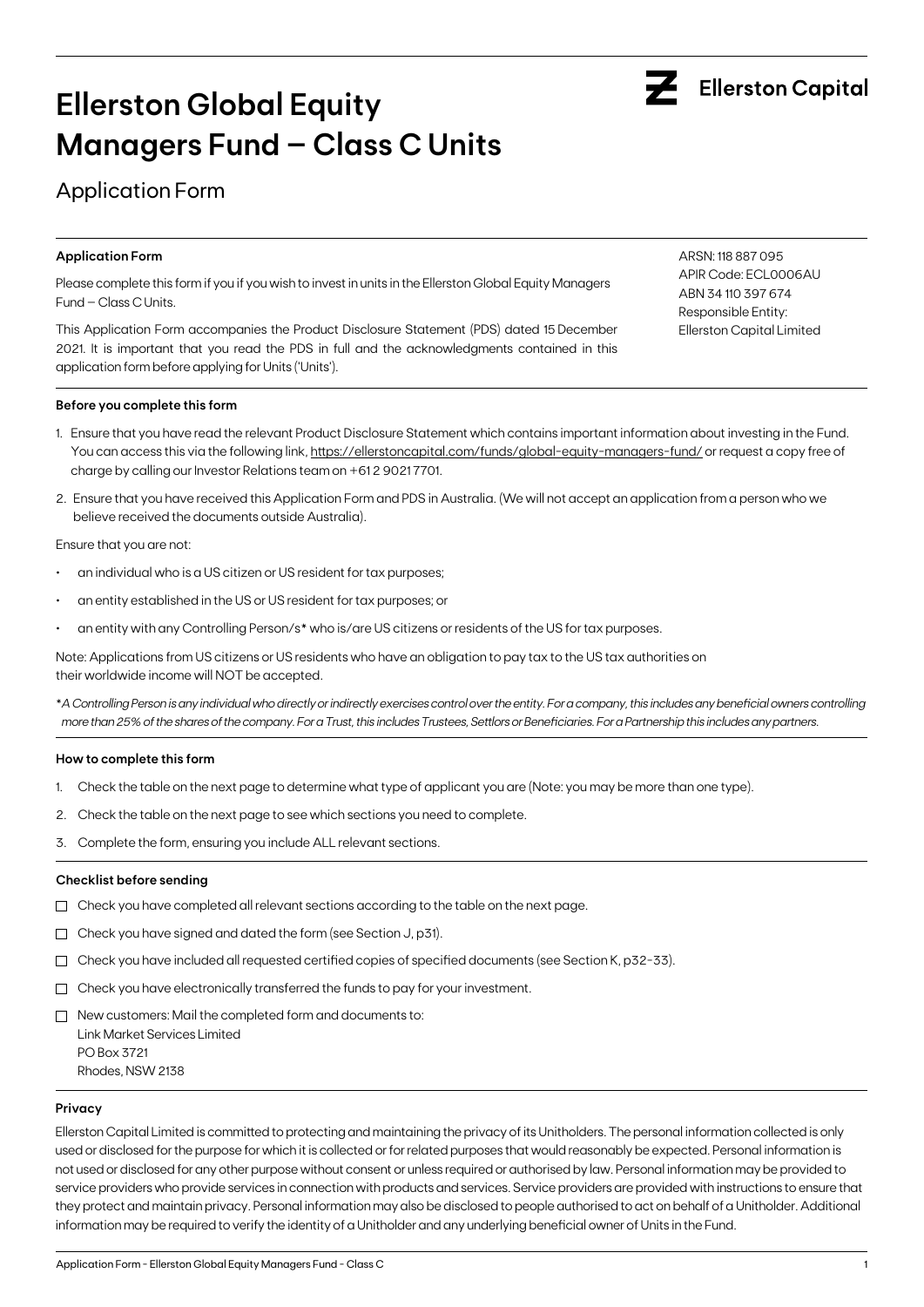

# **Ellerston Global Equity Managers Fund – Class C Units**

## Application Form

#### **Application Form**

Please complete this form if you if you wish to invest in units in the Ellerston Global Equity Managers Fund – Class C Units.

This Application Form accompanies the Product Disclosure Statement (PDS) dated 15 December 2021. It is important that you read the PDS in full and the acknowledgments contained in this application form before applying for Units ('Units').

#### **Before you complete this form**

- 1. Ensure that you have read the relevant Product Disclosure Statement which contains important information about investing in the Fund. You can access this via the following link, https://ellerstoncapital.com/funds/global-equity-managers-fund/ or request a copy free of charge by calling our Investor Relations team on +61 2 9021 7701.
- 2. Ensure that you have received this Application Form and PDS in Australia. (We will not accept an application from a person who we believe received the documents outside Australia).

Ensure that you are not:

- an individual who is a US citizen or US resident for tax purposes;
- an entity established in the US or US resident for tax purposes; or
- an entity with any Controlling Person/s\* who is/are US citizens or residents of the US for tax purposes.

Note: Applications from US citizens or US residents who have an obligation to pay tax to the US tax authorities on their worldwide income will NOT be accepted.

\**A Controlling Person is any individual who directly or indirectly exercises control over the entity. For a company, this includes any beneficial owners controlling more than 25% of the shares of the company. For a Trust, this includes Trustees, Settlors or Beneficiaries. For a Partnership this includes any partners.*

#### **How to complete this form**

- 1. Check the table on the next page to determine what type of applicant you are (Note: you may be more than one type).
- 2. Check the table on the next page to see which sections you need to complete.
- 3. Complete the form, ensuring you include ALL relevant sections.

#### **Checklist before sending**

- $\Box$  Check you have completed all relevant sections according to the table on the next page.
- Check you have signed and dated the form (see Section J, p31).
- $\Box$  Check you have included all requested certified copies of specified documents (see Section K, p32-33).
- $\Box$  Check you have electronically transferred the funds to pay for your investment.
- $\Box$  New customers: Mail the completed form and documents to: Link Market Services Limited PO Box 3721 Rhodes, NSW 2138

#### **Privacy**

Ellerston Capital Limited is committed to protecting and maintaining the privacy of its Unitholders. The personal information collected is only used or disclosed for the purpose for which it is collected or for related purposes that would reasonably be expected. Personal information is not used or disclosed for any other purpose without consent or unless required or authorised by law. Personal information may be provided to service providers who provide services in connection with products and services. Service providers are provided with instructions to ensure that they protect and maintain privacy. Personal information may also be disclosed to people authorised to act on behalf of a Unitholder. Additional information may be required to verify the identity of a Unitholder and any underlying beneficial owner of Units in the Fund.

ARSN: 118 887 095 APIR Code: ECL0006AU ABN 34 110 397 674 Responsible Entity: Ellerston Capital Limited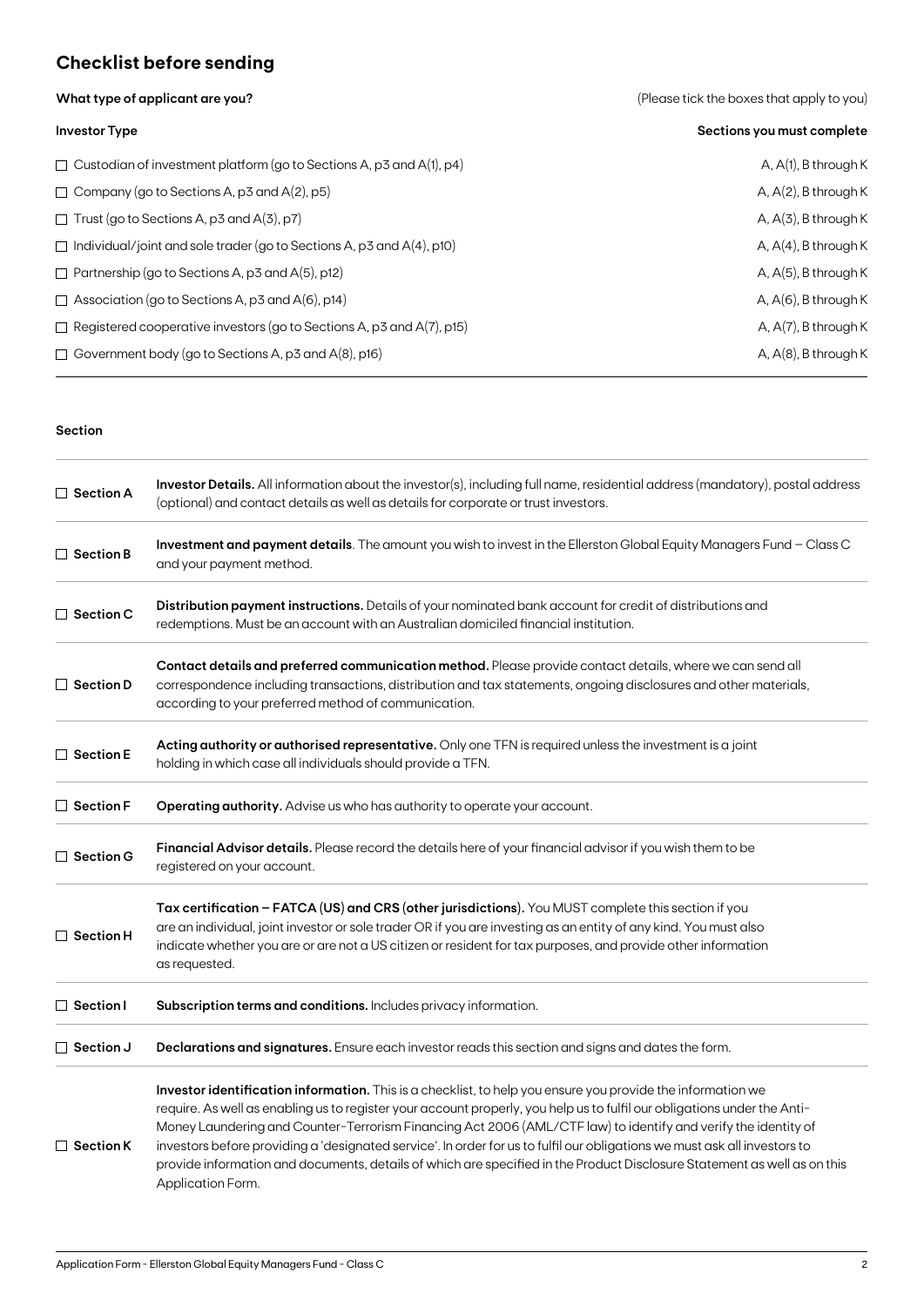## **Checklist before sending**

**What type of applicant are you?** 

| (Please tick the boxes that apply to you) |  |  |
|-------------------------------------------|--|--|
|                                           |  |  |

| <b>Investor Type</b>                                                         | Sections you must complete |
|------------------------------------------------------------------------------|----------------------------|
| $\Box$ Custodian of investment platform (go to Sections A, p3 and A(1), p4)  | A, $A(1)$ , B through K    |
| $\Box$ Company (go to Sections A, p3 and A(2), p5)                           | A, $A(2)$ , B through K    |
| $\Box$ Trust (go to Sections A, p3 and A(3), p7)                             | $A, A(3)$ , B through K    |
| $\Box$ Individual/joint and sole trader (go to Sections A, p3 and A(4), p10) | A, $A(4)$ , B through K    |
| $\Box$ Partnership (go to Sections A, p3 and A(5), p12)                      | A, $A(5)$ , B through K    |
| $\Box$ Association (go to Sections A, p3 and A(6), p14)                      | A, $A(6)$ , B through K    |
| $\Box$ Registered cooperative investors (go to Sections A, p3 and A(7), p15) | A, $A(7)$ , B through K    |
| $\Box$ Government body (go to Sections A, p3 and A(8), p16)                  | A, $A(8)$ , B through K    |

#### **Section**

| $\Box$ Section A | Investor Details. All information about the investor(s), including full name, residential address (mandatory), postal address<br>(optional) and contact details as well as details for corporate or trust investors.                                                                                                                                                                                                                                                                                                                                                                                                                    |
|------------------|-----------------------------------------------------------------------------------------------------------------------------------------------------------------------------------------------------------------------------------------------------------------------------------------------------------------------------------------------------------------------------------------------------------------------------------------------------------------------------------------------------------------------------------------------------------------------------------------------------------------------------------------|
| $\Box$ Section B | Investment and payment details. The amount you wish to invest in the Ellerston Global Equity Managers Fund - Class C<br>and your payment method.                                                                                                                                                                                                                                                                                                                                                                                                                                                                                        |
| $\Box$ Section C | Distribution payment instructions. Details of your nominated bank account for credit of distributions and<br>redemptions. Must be an account with an Australian domiciled financial institution.                                                                                                                                                                                                                                                                                                                                                                                                                                        |
| $\Box$ Section D | Contact details and preferred communication method. Please provide contact details, where we can send all<br>correspondence including transactions, distribution and tax statements, ongoing disclosures and other materials,<br>according to your preferred method of communication.                                                                                                                                                                                                                                                                                                                                                   |
| $\Box$ Section E | Acting authority or authorised representative. Only one TFN is required unless the investment is a joint<br>holding in which case all individuals should provide a TFN.                                                                                                                                                                                                                                                                                                                                                                                                                                                                 |
| $\Box$ Section F | Operating authority. Advise us who has authority to operate your account.                                                                                                                                                                                                                                                                                                                                                                                                                                                                                                                                                               |
| $\Box$ Section G | Financial Advisor details. Please record the details here of your financial advisor if you wish them to be<br>registered on your account.                                                                                                                                                                                                                                                                                                                                                                                                                                                                                               |
| $\Box$ Section H | Tax certification - FATCA (US) and CRS (other jurisdictions). You MUST complete this section if you<br>are an individual, joint investor or sole trader OR if you are investing as an entity of any kind. You must also<br>indicate whether you are or are not a US citizen or resident for tax purposes, and provide other information<br>as requested.                                                                                                                                                                                                                                                                                |
| $\Box$ Section I | Subscription terms and conditions. Includes privacy information.                                                                                                                                                                                                                                                                                                                                                                                                                                                                                                                                                                        |
| $\Box$ Section J | Declarations and signatures. Ensure each investor reads this section and signs and dates the form.                                                                                                                                                                                                                                                                                                                                                                                                                                                                                                                                      |
| $\Box$ Section K | Investor identification information. This is a checklist, to help you ensure you provide the information we<br>require. As well as enabling us to register your account properly, you help us to fulfil our obligations under the Anti-<br>Money Laundering and Counter-Terrorism Financing Act 2006 (AML/CTF law) to identify and verify the identity of<br>investors before providing a 'designated service'. In order for us to fulfil our obligations we must ask all investors to<br>provide information and documents, details of which are specified in the Product Disclosure Statement as well as on this<br>Application Form. |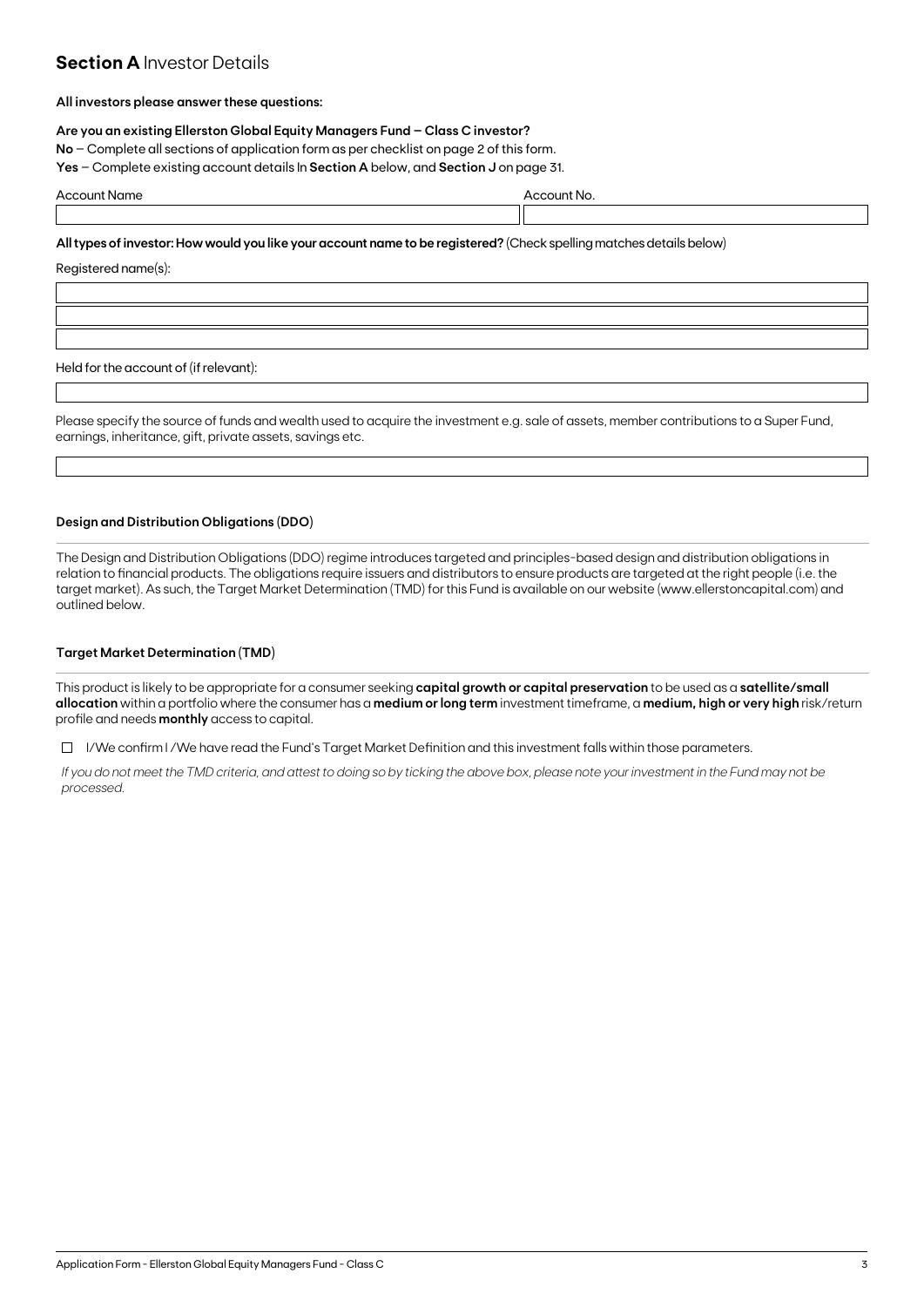### **Section A Investor Details**

#### **All investors please answer these questions:**

#### **Are you an existing Ellerston Global Equity Managers Fund – Class C investor?**

**No** – Complete all sections of application form as per checklist on page 2 of this form.

**Yes** – Complete existing account details In **Section A** below, and **Section J** on page 31.

| Acı | . |  |
|-----|---|--|
|     |   |  |

**All types of investor: How would you like your account name to be registered?** (Check spelling matches details below)

Registered name(s):

Held for the account of (if relevant):

Please specify the source of funds and wealth used to acquire the investment e.g. sale of assets, member contributions to a Super Fund, earnings, inheritance, gift, private assets, savings etc.

#### **Design and Distribution Obligations (DDO)**

The Design and Distribution Obligations (DDO) regime introduces targeted and principles-based design and distribution obligations in relation to financial products. The obligations require issuers and distributors to ensure products are targeted at the right people (i.e. the target market). As such, the Target Market Determination (TMD) for this Fund is available on our website (www.ellerstoncapital.com) and outlined below.

#### **Target Market Determination (TMD)**

This product is likely to be appropriate for a consumer seeking **capital growth or capital preservation** to be used as a **satellite/small allocation** within a portfolio where the consumer has a **medium or long term** investment timeframe, a **medium, high or very high** risk/return profile and needs **monthly** access to capital.

 $\Box$  I/We confirm I/We have read the Fund's Target Market Definition and this investment falls within those parameters.

*If you do not meet the TMD criteria, and attest to doing so by ticking the above box, please note your investment in the Fund may not be processed.*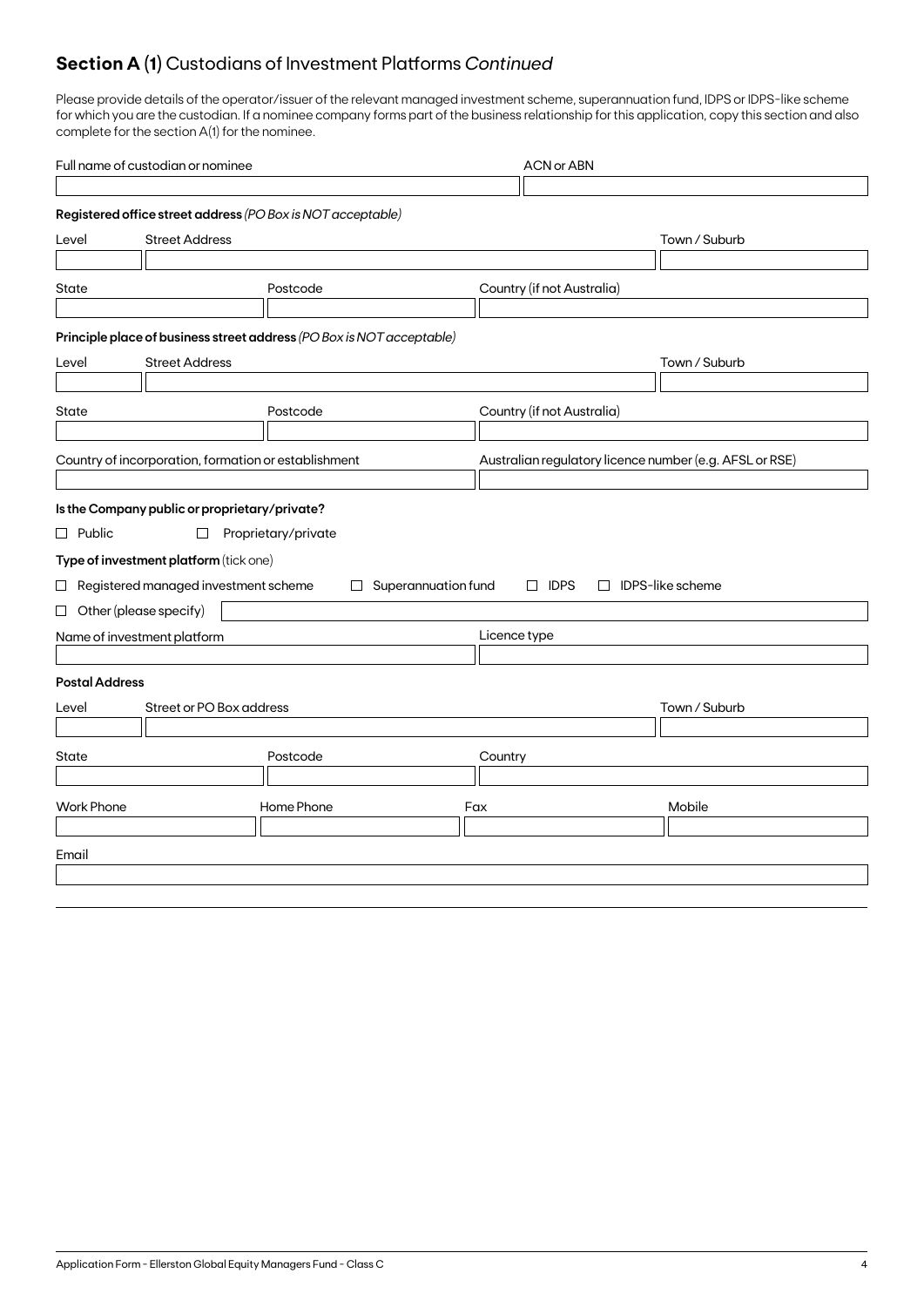## **Section A (1)** Custodians of Investment Platforms *Continued*

Please provide details of the operator/issuer of the relevant managed investment scheme, superannuation fund, IDPS or IDPS-like scheme for which you are the custodian. If a nominee company forms part of the business relationship for this application, copy this section and also complete for the section A(1) for the nominee.

| Full name of custodian or nominee |                                                      |                                                                       |                     | <b>ACN or ABN</b>          |                         |                                                         |  |
|-----------------------------------|------------------------------------------------------|-----------------------------------------------------------------------|---------------------|----------------------------|-------------------------|---------------------------------------------------------|--|
|                                   |                                                      |                                                                       |                     |                            |                         |                                                         |  |
|                                   |                                                      | Registered office street address (PO Box is NOT acceptable)           |                     |                            |                         |                                                         |  |
| Level                             | <b>Street Address</b>                                |                                                                       |                     |                            |                         | Town / Suburb                                           |  |
|                                   |                                                      |                                                                       |                     |                            |                         |                                                         |  |
| State                             |                                                      | Postcode                                                              |                     | Country (if not Australia) |                         |                                                         |  |
|                                   |                                                      |                                                                       |                     |                            |                         |                                                         |  |
|                                   |                                                      | Principle place of business street address (PO Box is NOT acceptable) |                     |                            |                         |                                                         |  |
| Level                             | <b>Street Address</b>                                |                                                                       |                     |                            |                         | Town / Suburb                                           |  |
|                                   |                                                      |                                                                       |                     |                            |                         |                                                         |  |
| State                             |                                                      | Postcode                                                              |                     | Country (if not Australia) |                         |                                                         |  |
|                                   |                                                      |                                                                       |                     |                            |                         |                                                         |  |
|                                   | Country of incorporation, formation or establishment |                                                                       |                     |                            |                         | Australian regulatory licence number (e.g. AFSL or RSE) |  |
|                                   |                                                      |                                                                       |                     |                            |                         |                                                         |  |
|                                   | Is the Company public or proprietary/private?        |                                                                       |                     |                            |                         |                                                         |  |
| $\Box$ Public                     | $\Box$                                               | Proprietary/private                                                   |                     |                            |                         |                                                         |  |
|                                   | Type of investment platform (tick one)               |                                                                       |                     |                            |                         |                                                         |  |
|                                   | $\Box$ Registered managed investment scheme          | $\Box$                                                                | Superannuation fund | $\Box$ IDPS                | $\Box$ IDPS-like scheme |                                                         |  |
|                                   | $\Box$ Other (please specify)                        |                                                                       |                     |                            |                         |                                                         |  |
|                                   | Name of investment platform                          |                                                                       |                     | Licence type               |                         |                                                         |  |
|                                   |                                                      |                                                                       |                     |                            |                         |                                                         |  |
| <b>Postal Address</b>             |                                                      |                                                                       |                     |                            |                         |                                                         |  |
| Level                             | Street or PO Box address                             |                                                                       |                     |                            |                         | Town / Suburb                                           |  |
|                                   |                                                      |                                                                       |                     |                            |                         |                                                         |  |
| State                             |                                                      | Postcode                                                              |                     | Country                    |                         |                                                         |  |
|                                   |                                                      |                                                                       |                     |                            |                         |                                                         |  |
| <b>Work Phone</b>                 |                                                      | Home Phone                                                            |                     | Fax                        |                         | Mobile                                                  |  |
|                                   |                                                      |                                                                       |                     |                            |                         |                                                         |  |
| Email                             |                                                      |                                                                       |                     |                            |                         |                                                         |  |
|                                   |                                                      |                                                                       |                     |                            |                         |                                                         |  |
|                                   |                                                      |                                                                       |                     |                            |                         |                                                         |  |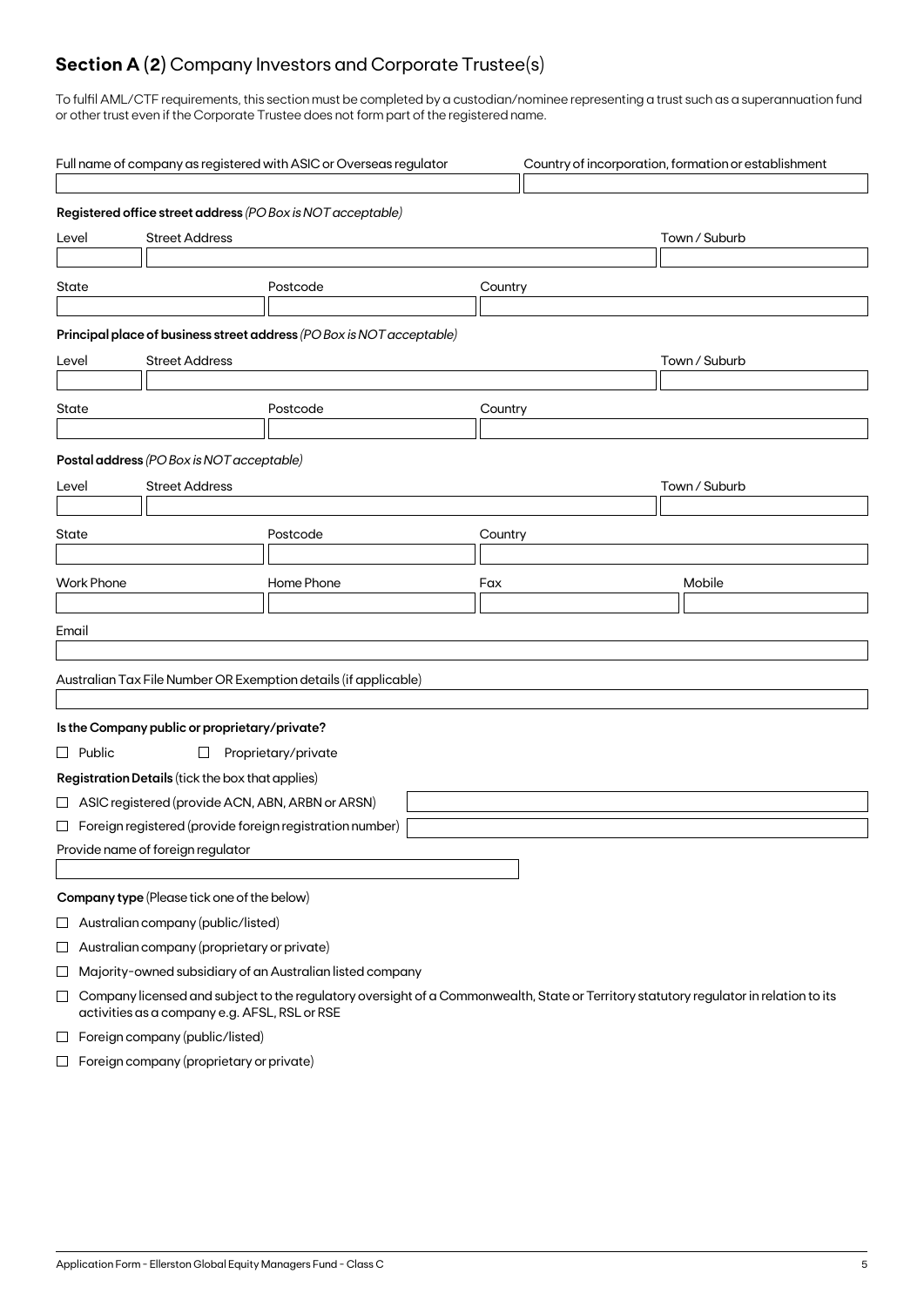## **Section A (2)** Company Investors and Corporate Trustee(s)

To fulfil AML/CTF requirements, this section must be completed by a custodian/nominee representing a trust such as a superannuation fund or other trust even if the Corporate Trustee does not form part of the registered name.

|                                |                   |                                                    | Full name of company as registered with ASIC or Overseas regulator                                                                    |         | Country of incorporation, formation or establishment |  |
|--------------------------------|-------------------|----------------------------------------------------|---------------------------------------------------------------------------------------------------------------------------------------|---------|------------------------------------------------------|--|
|                                |                   |                                                    | Registered office street address (PO Box is NOT acceptable)                                                                           |         |                                                      |  |
| <b>Street Address</b><br>Level |                   |                                                    |                                                                                                                                       |         | Town / Suburb                                        |  |
|                                |                   |                                                    |                                                                                                                                       |         |                                                      |  |
| State                          |                   |                                                    | Postcode                                                                                                                              | Country |                                                      |  |
|                                |                   |                                                    | Principal place of business street address (PO Box is NOT acceptable)                                                                 |         |                                                      |  |
| Level                          |                   | <b>Street Address</b>                              |                                                                                                                                       |         | Town / Suburb                                        |  |
|                                |                   |                                                    |                                                                                                                                       |         |                                                      |  |
| State                          |                   |                                                    | Postcode                                                                                                                              | Country |                                                      |  |
|                                |                   |                                                    |                                                                                                                                       |         |                                                      |  |
|                                |                   | Postal address (PO Box is NOT acceptable)          |                                                                                                                                       |         |                                                      |  |
| Level                          |                   | <b>Street Address</b>                              |                                                                                                                                       |         | Town / Suburb                                        |  |
|                                |                   |                                                    |                                                                                                                                       |         |                                                      |  |
| State                          |                   |                                                    | Postcode                                                                                                                              | Country |                                                      |  |
|                                | <b>Work Phone</b> |                                                    |                                                                                                                                       |         |                                                      |  |
|                                |                   |                                                    | Home Phone                                                                                                                            | Fax     | Mobile                                               |  |
| Email                          |                   |                                                    |                                                                                                                                       |         |                                                      |  |
|                                |                   |                                                    |                                                                                                                                       |         |                                                      |  |
|                                |                   |                                                    | Australian Tax File Number OR Exemption details (if applicable)                                                                       |         |                                                      |  |
|                                |                   |                                                    |                                                                                                                                       |         |                                                      |  |
|                                |                   | Is the Company public or proprietary/private?      |                                                                                                                                       |         |                                                      |  |
|                                | $\Box$ Public     | $\Box$                                             | Proprietary/private                                                                                                                   |         |                                                      |  |
|                                |                   | Registration Details (tick the box that applies)   |                                                                                                                                       |         |                                                      |  |
|                                |                   | □ ASIC registered (provide ACN, ABN, ARBN or ARSN) |                                                                                                                                       |         |                                                      |  |
|                                |                   |                                                    | $\Box$ Foreign registered (provide foreign registration number)                                                                       |         |                                                      |  |
|                                |                   | Provide name of foreign regulator                  |                                                                                                                                       |         |                                                      |  |
|                                |                   |                                                    |                                                                                                                                       |         |                                                      |  |
|                                |                   | Company type (Please tick one of the below)        |                                                                                                                                       |         |                                                      |  |
| $\sqcup$                       |                   | Australian company (public/listed)                 |                                                                                                                                       |         |                                                      |  |
| $\Box$                         |                   | Australian company (proprietary or private)        |                                                                                                                                       |         |                                                      |  |
| ⊔                              |                   |                                                    | Majority-owned subsidiary of an Australian listed company                                                                             |         |                                                      |  |
| $\Box$                         |                   | activities as a company e.g. AFSL, RSL or RSE      | Company licensed and subject to the regulatory oversight of a Commonwealth, State or Territory statutory regulator in relation to its |         |                                                      |  |
| $\overline{\phantom{a}}$       |                   | Foreign company (public/listed)                    |                                                                                                                                       |         |                                                      |  |

 $\Box$  Foreign company (proprietary or private)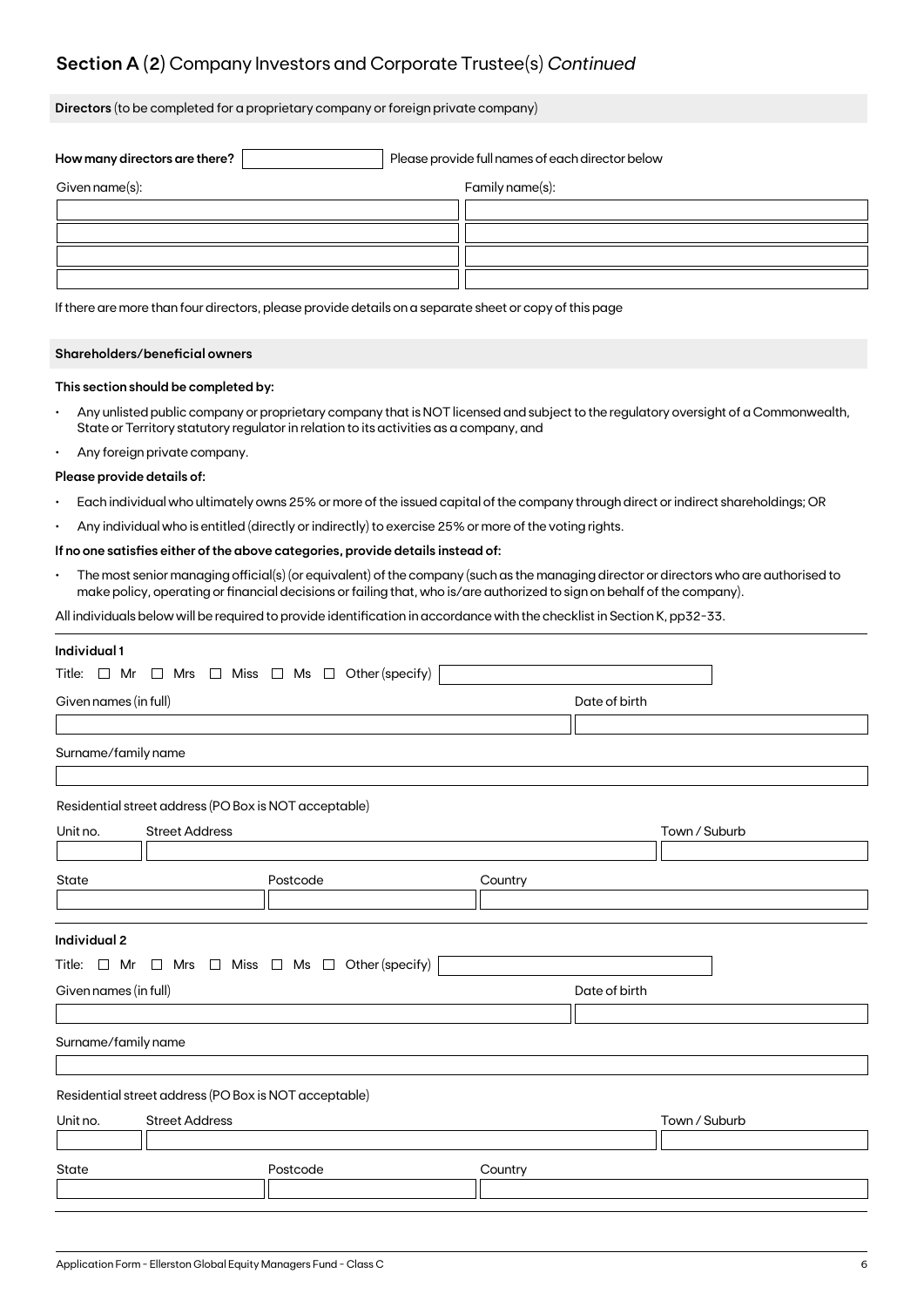## **Section A (2)** Company Investors and Corporate Trustee(s) *Continued*

**Directors** (to be completed for a proprietary company or foreign private company)

| How many directors are there? |  | Please provide full names of each director below |
|-------------------------------|--|--------------------------------------------------|
| Given name(s):                |  | Family name(s):                                  |
|                               |  |                                                  |
|                               |  |                                                  |
|                               |  |                                                  |
|                               |  |                                                  |

If there are more than four directors, please provide details on a separate sheet or copy of this page

#### **Shareholders/beneficial owners**

#### **This section should be completed by:**

- Any unlisted public company or proprietary company that is NOT licensed and subject to the regulatory oversight of a Commonwealth, State or Territory statutory regulator in relation to its activities as a company, and
- Any foreign private company.

#### **Please provide details of:**

- Each individual who ultimately owns 25% or more of the issued capital of the company through direct or indirect shareholdings; OR
- Any individual who is entitled (directly or indirectly) to exercise 25% or more of the voting rights.

#### **If no one satisfies either of the above categories, provide details instead of:**

• The most senior managing official(s) (or equivalent) of the company (such as the managing director or directors who are authorised to make policy, operating or financial decisions or failing that, who is/are authorized to sign on behalf of the company).

All individuals below will be required to provide identification in accordance with the checklist in Section K, pp32-33.

| Individual 1                                          |                                                                          |         |               |  |  |  |  |  |  |
|-------------------------------------------------------|--------------------------------------------------------------------------|---------|---------------|--|--|--|--|--|--|
|                                                       | Title: $\Box$ Mr $\Box$ Mrs $\Box$ Miss $\Box$ Ms $\Box$ Other (specify) |         |               |  |  |  |  |  |  |
| Given names (in full)                                 | Date of birth                                                            |         |               |  |  |  |  |  |  |
|                                                       |                                                                          |         |               |  |  |  |  |  |  |
| Surname/family name                                   |                                                                          |         |               |  |  |  |  |  |  |
|                                                       |                                                                          |         |               |  |  |  |  |  |  |
| Residential street address (PO Box is NOT acceptable) |                                                                          |         |               |  |  |  |  |  |  |
| <b>Street Address</b><br>Unit no.                     |                                                                          |         | Town / Suburb |  |  |  |  |  |  |
|                                                       |                                                                          |         |               |  |  |  |  |  |  |
| State                                                 | Postcode                                                                 | Country |               |  |  |  |  |  |  |
|                                                       |                                                                          |         |               |  |  |  |  |  |  |
| <b>Individual 2</b>                                   |                                                                          |         |               |  |  |  |  |  |  |
| Title: □ Mr                                           | $\Box$ Mrs $\Box$ Miss $\Box$ Ms $\Box$ Other (specify)                  |         |               |  |  |  |  |  |  |
| Given names (in full)                                 |                                                                          |         | Date of birth |  |  |  |  |  |  |
|                                                       |                                                                          |         |               |  |  |  |  |  |  |
| Surname/family name                                   |                                                                          |         |               |  |  |  |  |  |  |
|                                                       |                                                                          |         |               |  |  |  |  |  |  |
| Residential street address (PO Box is NOT acceptable) |                                                                          |         |               |  |  |  |  |  |  |
| <b>Street Address</b><br>Unit no.                     |                                                                          |         | Town / Suburb |  |  |  |  |  |  |
|                                                       |                                                                          |         |               |  |  |  |  |  |  |
| State                                                 | Postcode                                                                 | Country |               |  |  |  |  |  |  |
|                                                       |                                                                          |         |               |  |  |  |  |  |  |
|                                                       |                                                                          |         |               |  |  |  |  |  |  |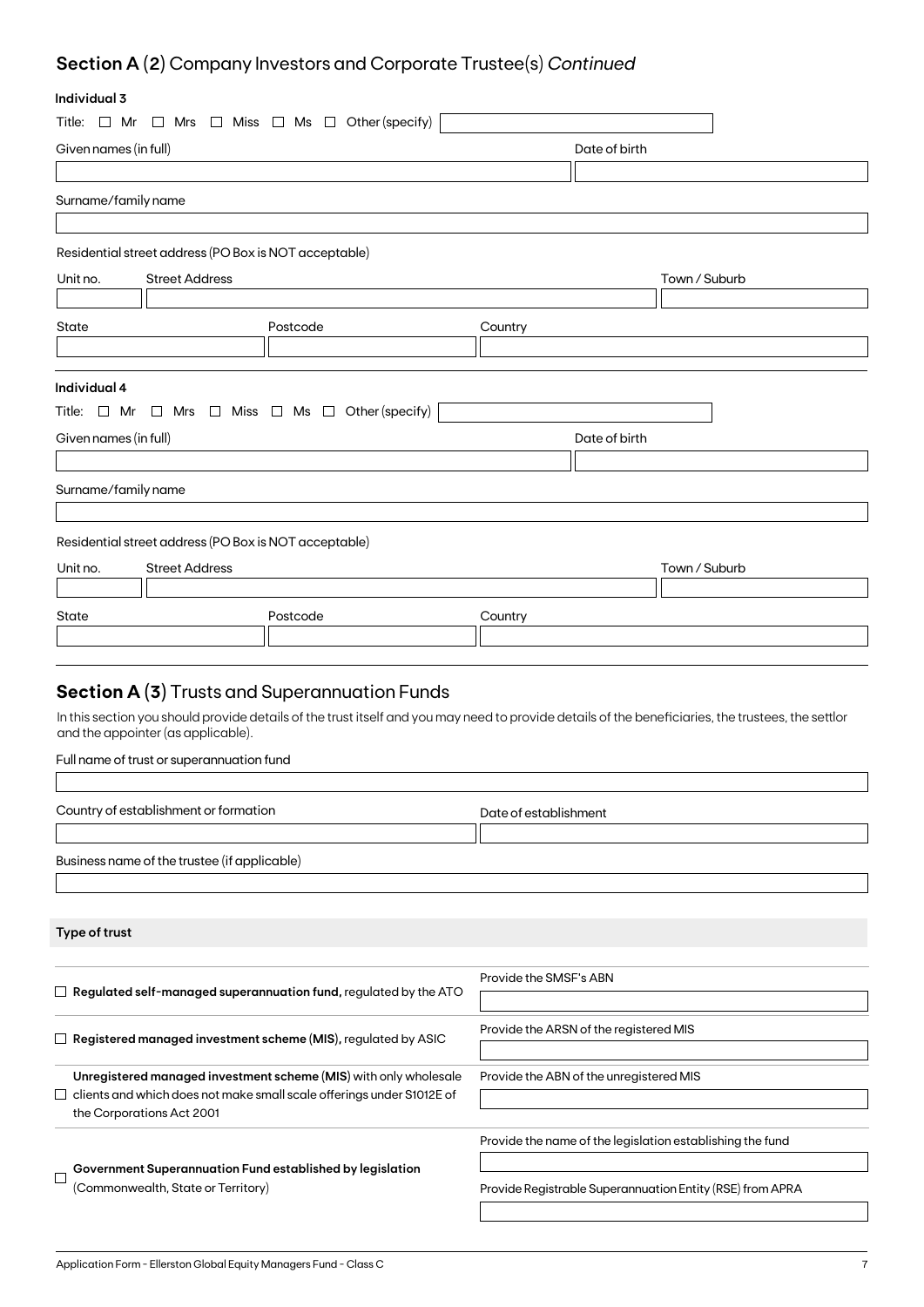## **Section A (2)** Company Investors and Corporate Trustee(s) *Continued*

## **Individual 3**

| ınaıvıauai ə          |                                                       |                                                                                    |                        |                                                                                                                                                    |  |
|-----------------------|-------------------------------------------------------|------------------------------------------------------------------------------------|------------------------|----------------------------------------------------------------------------------------------------------------------------------------------------|--|
| Title: $\Box$ Mr      |                                                       | $\Box$ Mrs $\Box$ Miss $\Box$ Ms $\Box$ Other (specify)                            |                        |                                                                                                                                                    |  |
| Given names (in full) |                                                       |                                                                                    | Date of birth          |                                                                                                                                                    |  |
|                       |                                                       |                                                                                    |                        |                                                                                                                                                    |  |
| Surname/family name   |                                                       |                                                                                    |                        |                                                                                                                                                    |  |
|                       |                                                       |                                                                                    |                        |                                                                                                                                                    |  |
|                       | Residential street address (PO Box is NOT acceptable) |                                                                                    |                        |                                                                                                                                                    |  |
| Unit no.              | <b>Street Address</b>                                 |                                                                                    |                        | Town / Suburb                                                                                                                                      |  |
|                       |                                                       |                                                                                    |                        |                                                                                                                                                    |  |
| State                 |                                                       | Postcode                                                                           | Country                |                                                                                                                                                    |  |
|                       |                                                       |                                                                                    |                        |                                                                                                                                                    |  |
|                       |                                                       |                                                                                    |                        |                                                                                                                                                    |  |
| Individual 4          |                                                       |                                                                                    |                        |                                                                                                                                                    |  |
|                       |                                                       | Title: $\Box$ Mr $\Box$ Mrs $\Box$ Miss $\Box$ Ms $\Box$ Other (specify)           |                        |                                                                                                                                                    |  |
| Given names (in full) |                                                       |                                                                                    |                        | Date of birth                                                                                                                                      |  |
|                       |                                                       |                                                                                    |                        |                                                                                                                                                    |  |
| Surname/family name   |                                                       |                                                                                    |                        |                                                                                                                                                    |  |
|                       |                                                       |                                                                                    |                        |                                                                                                                                                    |  |
|                       | Residential street address (PO Box is NOT acceptable) |                                                                                    |                        |                                                                                                                                                    |  |
| Unit no.              | <b>Street Address</b>                                 |                                                                                    |                        | Town / Suburb                                                                                                                                      |  |
|                       |                                                       |                                                                                    |                        |                                                                                                                                                    |  |
| State                 |                                                       | Postcode                                                                           | Country                |                                                                                                                                                    |  |
|                       |                                                       |                                                                                    |                        |                                                                                                                                                    |  |
|                       |                                                       |                                                                                    |                        |                                                                                                                                                    |  |
|                       |                                                       | <b>Section A (3)</b> Trusts and Superannuation Funds                               |                        |                                                                                                                                                    |  |
|                       |                                                       |                                                                                    |                        |                                                                                                                                                    |  |
|                       | and the appointer (as applicable).                    |                                                                                    |                        | In this section you should provide details of the trust itself and you may need to provide details of the beneficiaries, the trustees, the settlor |  |
|                       | Full name of trust or superannuation fund             |                                                                                    |                        |                                                                                                                                                    |  |
|                       |                                                       |                                                                                    |                        |                                                                                                                                                    |  |
|                       | Country of establishment or formation                 |                                                                                    | Date of establishment  |                                                                                                                                                    |  |
|                       |                                                       |                                                                                    |                        |                                                                                                                                                    |  |
|                       | Business name of the trustee (if applicable)          |                                                                                    |                        |                                                                                                                                                    |  |
|                       |                                                       |                                                                                    |                        |                                                                                                                                                    |  |
|                       |                                                       |                                                                                    |                        |                                                                                                                                                    |  |
| Type of trust         |                                                       |                                                                                    |                        |                                                                                                                                                    |  |
|                       |                                                       |                                                                                    |                        |                                                                                                                                                    |  |
|                       |                                                       |                                                                                    | Provide the SMSF's ABN |                                                                                                                                                    |  |
|                       |                                                       | $\Box~$ Regulated self-managed superannuation fund, regulated by the ATO           |                        |                                                                                                                                                    |  |
|                       |                                                       |                                                                                    |                        | Provide the ARSN of the registered MIS                                                                                                             |  |
|                       |                                                       | $\Box$ Registered managed investment scheme (MIS), regulated by ASIC               |                        |                                                                                                                                                    |  |
|                       |                                                       | Unregistered managed investment scheme (MIS) with only wholesale                   |                        | Provide the ABN of the unregistered MIS                                                                                                            |  |
|                       |                                                       | clients and which does not make small scale offerings under S1012E of              |                        |                                                                                                                                                    |  |
|                       | the Corporations Act 2001                             |                                                                                    |                        |                                                                                                                                                    |  |
|                       |                                                       |                                                                                    |                        | Provide the name of the legislation establishing the fund                                                                                          |  |
|                       |                                                       | $\overline{\phantom{x}}$ Government Superannuation Fund established by legislation |                        |                                                                                                                                                    |  |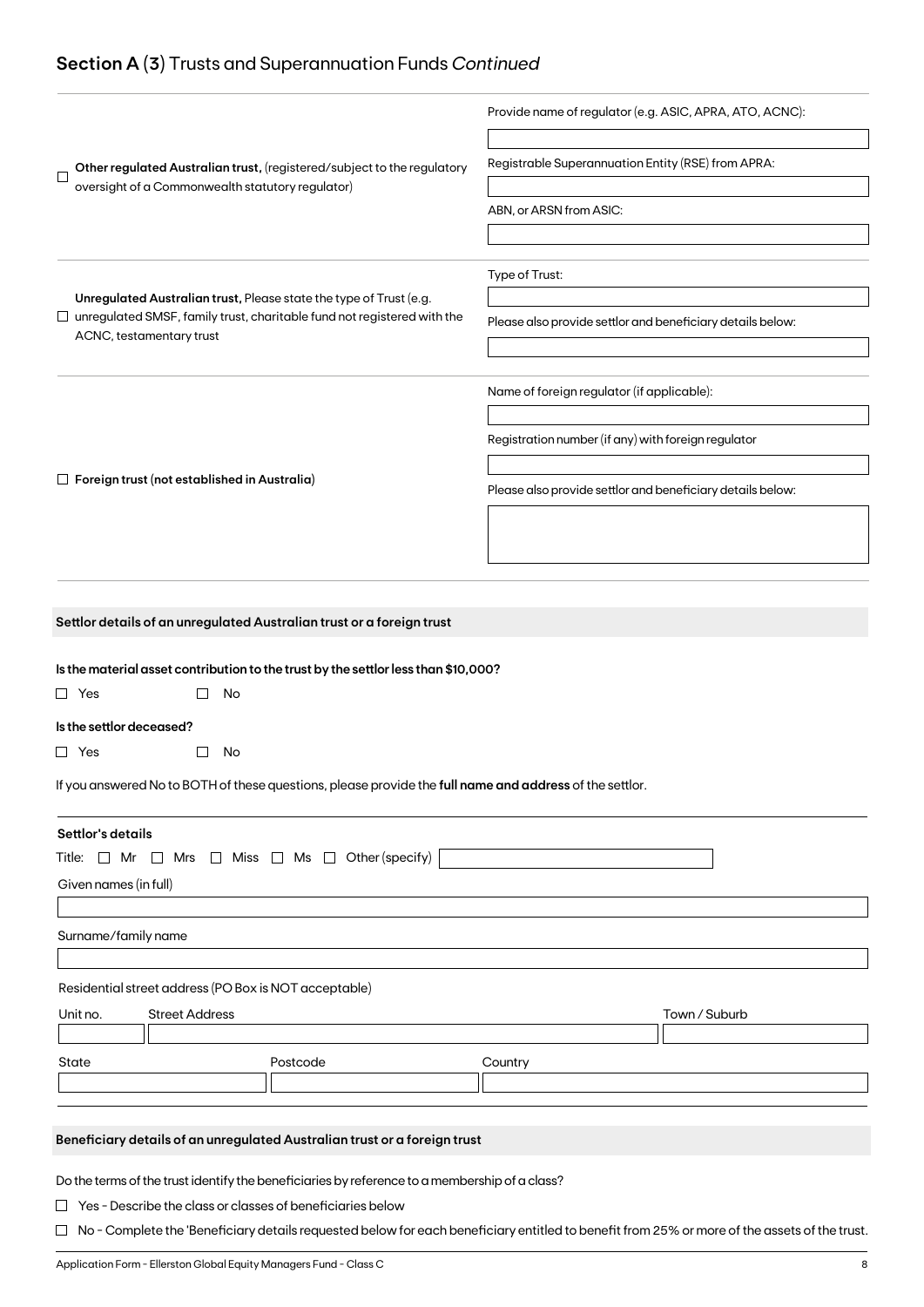## **Section A (3)** Trusts and Superannuation Funds *Continued*

|                                                                                                                                                                                       | Provide name of regulator (e.g. ASIC, APRA, ATO, ACNC):    |  |  |  |
|---------------------------------------------------------------------------------------------------------------------------------------------------------------------------------------|------------------------------------------------------------|--|--|--|
| Other regulated Australian trust, (registered/subject to the regulatory<br>Г                                                                                                          | Registrable Superannuation Entity (RSE) from APRA:         |  |  |  |
| oversight of a Commonwealth statutory regulator)                                                                                                                                      | ABN, or ARSN from ASIC:                                    |  |  |  |
|                                                                                                                                                                                       |                                                            |  |  |  |
|                                                                                                                                                                                       |                                                            |  |  |  |
| Unregulated Australian trust, Please state the type of Trust (e.g.                                                                                                                    | Type of Trust:                                             |  |  |  |
| $\Box$ unregulated SMSF, family trust, charitable fund not registered with the                                                                                                        | Please also provide settlor and beneficiary details below: |  |  |  |
| ACNC, testamentary trust                                                                                                                                                              |                                                            |  |  |  |
|                                                                                                                                                                                       |                                                            |  |  |  |
|                                                                                                                                                                                       | Name of foreign regulator (if applicable):                 |  |  |  |
|                                                                                                                                                                                       | Registration number (if any) with foreign regulator        |  |  |  |
|                                                                                                                                                                                       |                                                            |  |  |  |
| $\Box$ Foreign trust (not established in Australia)                                                                                                                                   | Please also provide settlor and beneficiary details below: |  |  |  |
|                                                                                                                                                                                       |                                                            |  |  |  |
|                                                                                                                                                                                       |                                                            |  |  |  |
|                                                                                                                                                                                       |                                                            |  |  |  |
| $\Box$ Yes<br>No<br>Is the settlor deceased?<br>$\Box$ Yes<br>$\Box$<br>No<br>If you answered No to BOTH of these questions, please provide the full name and address of the settlor. |                                                            |  |  |  |
|                                                                                                                                                                                       |                                                            |  |  |  |
|                                                                                                                                                                                       |                                                            |  |  |  |
| Settlor's details<br>$\Box$ Miss $\Box$ Ms $\Box$ Other (specify)<br>Title: $\Box$ Mr<br>$\Box$ Mrs<br>Given names (in full)                                                          |                                                            |  |  |  |
|                                                                                                                                                                                       |                                                            |  |  |  |
| Surname/family name                                                                                                                                                                   |                                                            |  |  |  |
| Residential street address (PO Box is NOT acceptable)                                                                                                                                 |                                                            |  |  |  |
| <b>Street Address</b><br>Unit no.                                                                                                                                                     | Town / Suburb                                              |  |  |  |
|                                                                                                                                                                                       |                                                            |  |  |  |
| Postcode<br>State                                                                                                                                                                     | Country                                                    |  |  |  |
|                                                                                                                                                                                       |                                                            |  |  |  |
| Beneficiary details of an unregulated Australian trust or a foreign trust                                                                                                             |                                                            |  |  |  |
| Do the terms of the trust identify the beneficiaries by reference to a membership of a class?                                                                                         |                                                            |  |  |  |

□ No - Complete the 'Beneficiary details requested below for each beneficiary entitled to benefit from 25% or more of the assets of the trust.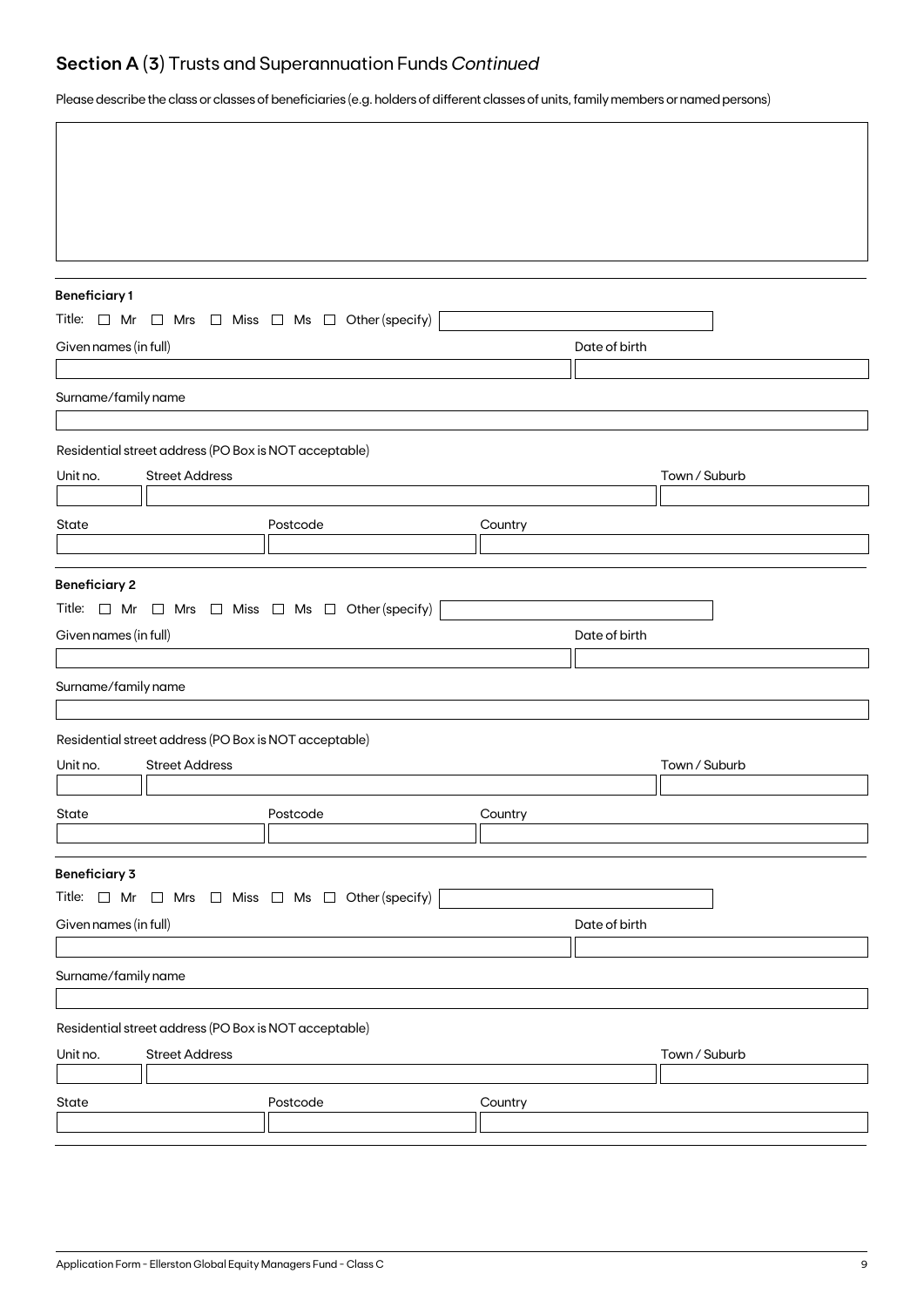## **Section A (3)** Trusts and Superannuation Funds *Continued*

Please describe the class or classes of beneficiaries (e.g. holders of different classes of units, family members or named persons)

| <b>Beneficiary1</b>   |                                                                                | Title: $\Box$ Mr $\Box$ Mrs $\Box$ Miss $\Box$ Ms $\Box$ Other (specify) |         |               |               |
|-----------------------|--------------------------------------------------------------------------------|--------------------------------------------------------------------------|---------|---------------|---------------|
| Given names (in full) |                                                                                |                                                                          |         | Date of birth |               |
|                       |                                                                                |                                                                          |         |               |               |
| Surname/family name   |                                                                                |                                                                          |         |               |               |
|                       |                                                                                |                                                                          |         |               |               |
|                       | Residential street address (PO Box is NOT acceptable)                          |                                                                          |         |               |               |
| Unit no.              | <b>Street Address</b>                                                          |                                                                          |         |               | Town / Suburb |
| State                 |                                                                                | Postcode                                                                 | Country |               |               |
|                       |                                                                                |                                                                          |         |               |               |
| <b>Beneficiary 2</b>  |                                                                                |                                                                          |         |               |               |
|                       |                                                                                | Title: $\Box$ Mr $\Box$ Mrs $\Box$ Miss $\Box$ Ms $\Box$ Other (specify) |         |               |               |
| Given names (in full) |                                                                                |                                                                          |         | Date of birth |               |
|                       |                                                                                |                                                                          |         |               |               |
| Surname/family name   |                                                                                |                                                                          |         |               |               |
|                       |                                                                                |                                                                          |         |               |               |
| Unit no.              | Residential street address (PO Box is NOT acceptable)<br><b>Street Address</b> |                                                                          |         |               | Town / Suburb |
|                       |                                                                                |                                                                          |         |               |               |
| State                 |                                                                                | Postcode                                                                 | Country |               |               |
|                       |                                                                                |                                                                          |         |               |               |
| <b>Beneficiary 3</b>  |                                                                                |                                                                          |         |               |               |
|                       |                                                                                | Title: $\Box$ Mr $\Box$ Mrs $\Box$ Miss $\Box$ Ms $\Box$ Other (specify) |         |               |               |
| Given names (in full) |                                                                                |                                                                          |         | Date of birth |               |
| Surname/family name   |                                                                                |                                                                          |         |               |               |
|                       |                                                                                |                                                                          |         |               |               |
|                       | Residential street address (PO Box is NOT acceptable)                          |                                                                          |         |               |               |
| Unit no.              | <b>Street Address</b>                                                          |                                                                          |         |               | Town / Suburb |
|                       |                                                                                |                                                                          |         |               |               |
| State                 |                                                                                | Postcode                                                                 | Country |               |               |
|                       |                                                                                |                                                                          |         |               |               |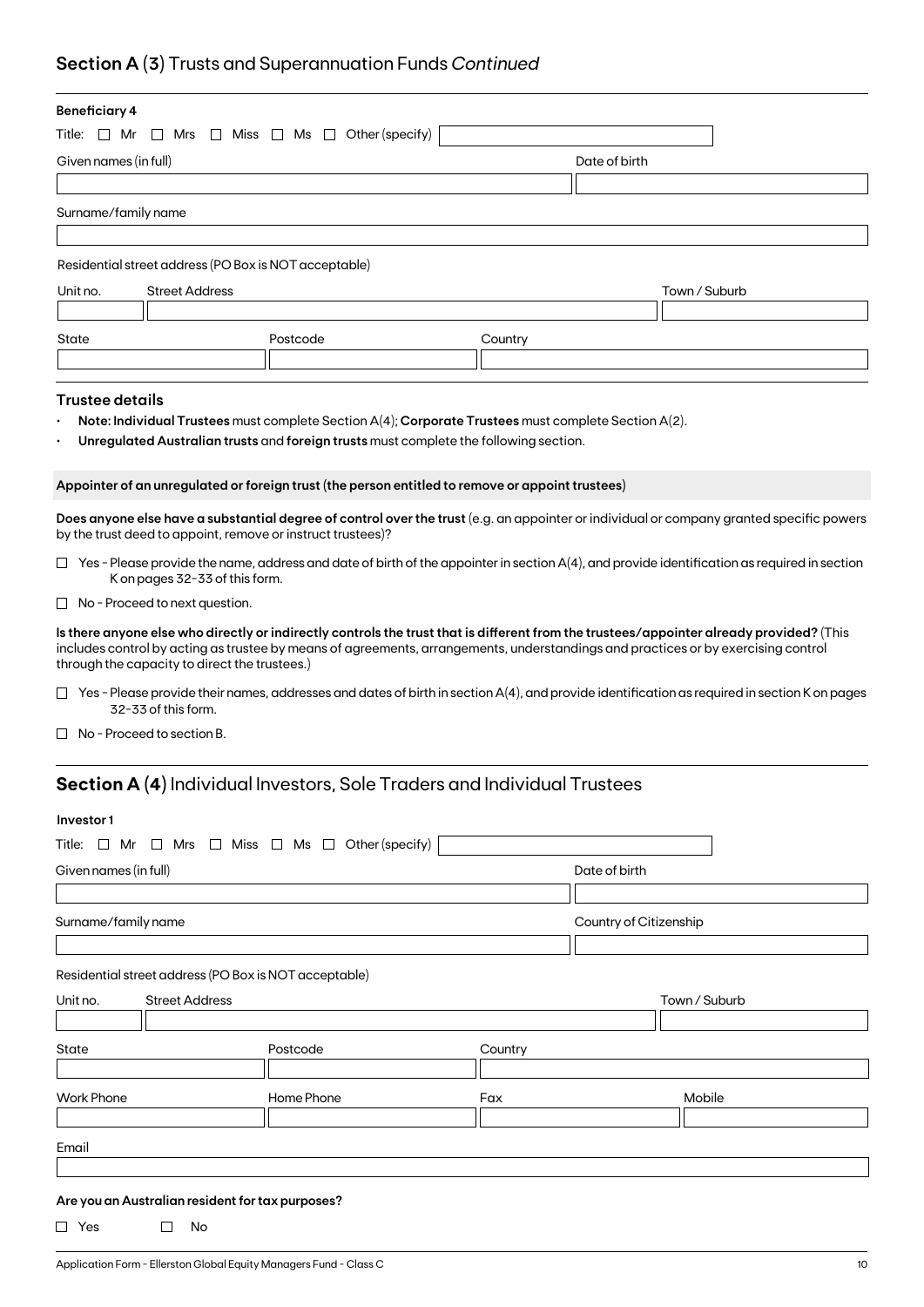## **Section A (3)** Trusts and Superannuation Funds *Continued*

| <b>Beneficiary 4</b>   |                                                             |                                                                                                      |         |                                                                                                                                                                                                                                                                               |
|------------------------|-------------------------------------------------------------|------------------------------------------------------------------------------------------------------|---------|-------------------------------------------------------------------------------------------------------------------------------------------------------------------------------------------------------------------------------------------------------------------------------|
| Title: $\Box$ Mr       |                                                             | $\Box$ Mrs $\Box$ Miss $\Box$ Ms $\Box$ Other (specify)                                              |         |                                                                                                                                                                                                                                                                               |
| Given names (in full)  |                                                             |                                                                                                      |         | Date of birth                                                                                                                                                                                                                                                                 |
|                        |                                                             |                                                                                                      |         |                                                                                                                                                                                                                                                                               |
| Surname/family name    |                                                             |                                                                                                      |         |                                                                                                                                                                                                                                                                               |
|                        |                                                             |                                                                                                      |         |                                                                                                                                                                                                                                                                               |
|                        | Residential street address (PO Box is NOT acceptable)       |                                                                                                      |         |                                                                                                                                                                                                                                                                               |
| Unit no.               | <b>Street Address</b>                                       |                                                                                                      |         | Town / Suburb                                                                                                                                                                                                                                                                 |
|                        |                                                             |                                                                                                      |         |                                                                                                                                                                                                                                                                               |
| State                  |                                                             | Postcode                                                                                             | Country |                                                                                                                                                                                                                                                                               |
|                        |                                                             |                                                                                                      |         |                                                                                                                                                                                                                                                                               |
| <b>Trustee details</b> |                                                             |                                                                                                      |         |                                                                                                                                                                                                                                                                               |
|                        |                                                             |                                                                                                      |         |                                                                                                                                                                                                                                                                               |
|                        |                                                             | Note: Individual Trustees must complete Section A(4); Corporate Trustees must complete Section A(2). |         |                                                                                                                                                                                                                                                                               |
|                        |                                                             | Unregulated Australian trusts and foreign trusts must complete the following section.                |         |                                                                                                                                                                                                                                                                               |
|                        |                                                             | Appointer of an unregulated or foreign trust (the person entitled to remove or appoint trustees)     |         |                                                                                                                                                                                                                                                                               |
|                        |                                                             |                                                                                                      |         |                                                                                                                                                                                                                                                                               |
|                        | by the trust deed to appoint, remove or instruct trustees)? |                                                                                                      |         | Does anyone else have a substantial degree of control over the trust (e.g. an appointer or individual or company granted specific powers                                                                                                                                      |
|                        | K on pages 32-33 of this form.                              |                                                                                                      |         | $\Box$ Yes - Please provide the name, address and date of birth of the appointer in section A(4), and provide identification as required in section                                                                                                                           |
|                        | $\Box$ No - Proceed to next question.                       |                                                                                                      |         |                                                                                                                                                                                                                                                                               |
|                        | through the capacity to direct the trustees.)               |                                                                                                      |         | Is there anyone else who directly or indirectly controls the trust that is different from the trustees/appointer already provided? (This<br>includes control by acting as trustee by means of agreements, arrangements, understandings and practices or by exercising control |
|                        | 32-33 of this form.                                         |                                                                                                      |         | $\Box$ Yes - Please provide their names, addresses and dates of birth in section A(4), and provide identification as required in section K on pages                                                                                                                           |
|                        | No - Proceed to section B.                                  |                                                                                                      |         |                                                                                                                                                                                                                                                                               |
|                        |                                                             | <b>Section A (4)</b> Individual Investors, Sole Traders and Individual Trustees                      |         |                                                                                                                                                                                                                                                                               |
|                        |                                                             |                                                                                                      |         |                                                                                                                                                                                                                                                                               |
| Investor1              |                                                             |                                                                                                      |         |                                                                                                                                                                                                                                                                               |
|                        |                                                             | Title: $\Box$ Mr $\Box$ Mrs $\Box$ Miss $\Box$ Ms $\Box$ Other (specify)                             |         |                                                                                                                                                                                                                                                                               |
| Given names (in full)  |                                                             |                                                                                                      |         | Date of birth                                                                                                                                                                                                                                                                 |
|                        |                                                             |                                                                                                      |         |                                                                                                                                                                                                                                                                               |
| Surname/family name    |                                                             |                                                                                                      |         | Country of Citizenship                                                                                                                                                                                                                                                        |
|                        |                                                             |                                                                                                      |         |                                                                                                                                                                                                                                                                               |

Residential street address (PO Box is NOT acceptable)

| Unit no.          | <b>Street Address</b> |            |         | Town / Suburb |
|-------------------|-----------------------|------------|---------|---------------|
|                   |                       |            |         |               |
| State             |                       | Postcode   | Country |               |
|                   |                       |            |         |               |
|                   |                       |            |         |               |
| <b>Work Phone</b> |                       | Home Phone | Fax     | Mobile        |
|                   |                       |            |         |               |
| Email             |                       |            |         |               |

### **Are you an Australian resident for tax purposes?**

 $\Box$  Yes  $\Box$  No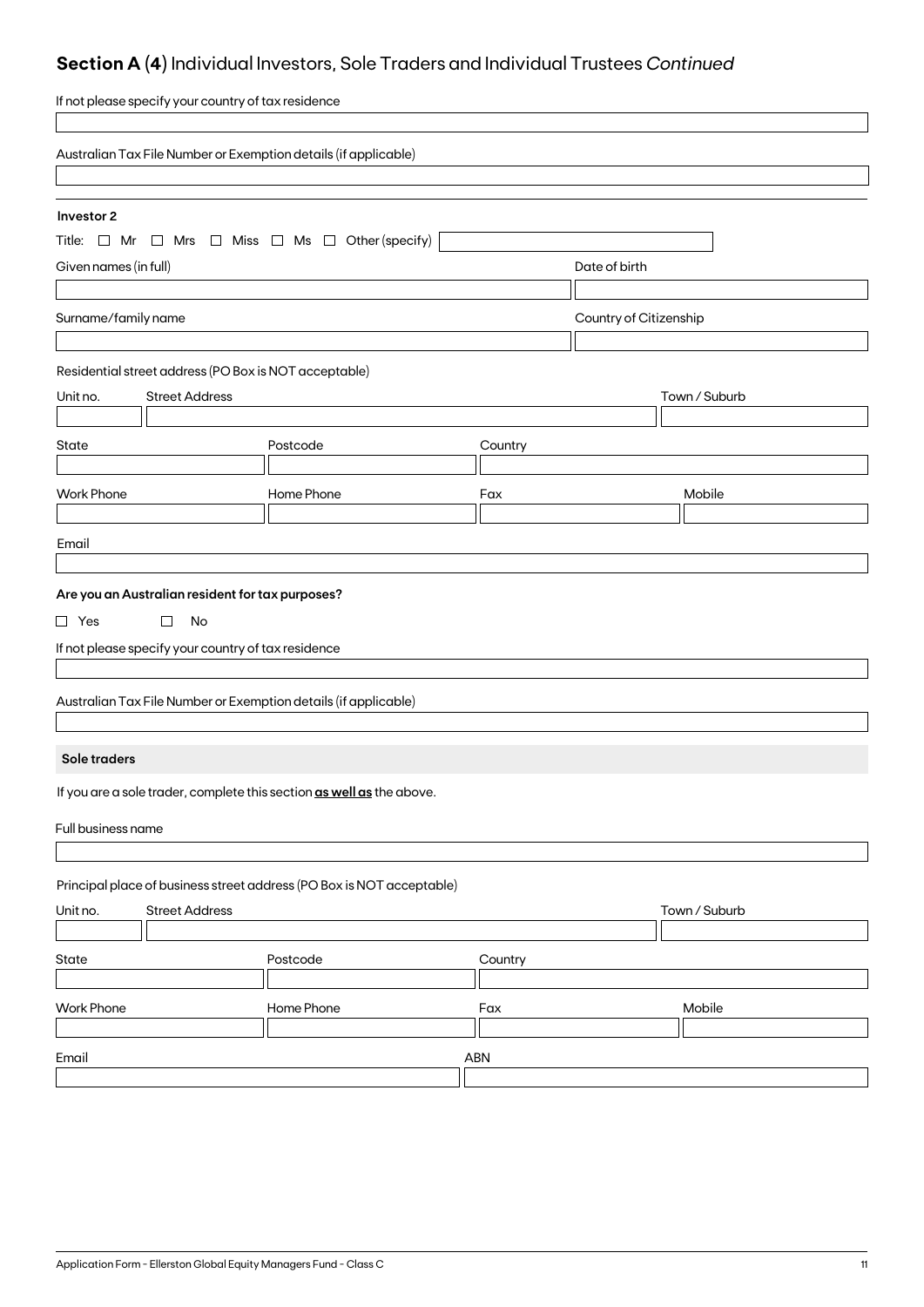## **Section A (4)** Individual Investors, Sole Traders and Individual Trustees *Continued*

| If not please specify your country of tax residence                      |            |         |                        |  |
|--------------------------------------------------------------------------|------------|---------|------------------------|--|
| Australian Tax File Number or Exemption details (if applicable)          |            |         |                        |  |
|                                                                          |            |         |                        |  |
| Investor 2                                                               |            |         |                        |  |
| Title: $\Box$ Mr $\Box$ Mrs $\Box$ Miss $\Box$ Ms $\Box$ Other (specify) |            |         |                        |  |
| Given names (in full)                                                    |            |         | Date of birth          |  |
|                                                                          |            |         |                        |  |
| Surname/family name                                                      |            |         | Country of Citizenship |  |
|                                                                          |            |         |                        |  |
| Residential street address (PO Box is NOT acceptable)                    |            |         |                        |  |
| <b>Street Address</b><br>Unit no.                                        |            |         | Town / Suburb          |  |
| State                                                                    | Postcode   | Country |                        |  |
|                                                                          |            |         |                        |  |
| <b>Work Phone</b>                                                        | Home Phone | Fax     | Mobile                 |  |
|                                                                          |            |         |                        |  |
| Email                                                                    |            |         |                        |  |
|                                                                          |            |         |                        |  |
| Are you an Australian resident for tax purposes?                         |            |         |                        |  |
| $\Box$ Yes<br>$\Box$<br>No                                               |            |         |                        |  |
| If not please specify your country of tax residence                      |            |         |                        |  |
|                                                                          |            |         |                        |  |
| Australian Tax File Number or Exemption details (if applicable)          |            |         |                        |  |
|                                                                          |            |         |                        |  |
| Sole traders                                                             |            |         |                        |  |
| If you are a sole trader, complete this section as well as the above.    |            |         |                        |  |
| Full business name                                                       |            |         |                        |  |
|                                                                          |            |         |                        |  |
| Principal place of business street address (PO Box is NOT acceptable)    |            |         |                        |  |
| <b>Street Address</b><br>Unit no.                                        |            |         | Town / Suburb          |  |
|                                                                          |            |         |                        |  |
| State                                                                    | Postcode   | Country |                        |  |
|                                                                          |            |         |                        |  |
| <b>Work Phone</b>                                                        | Home Phone | Fax     | Mobile                 |  |
| Email                                                                    |            | ABN     |                        |  |
|                                                                          |            |         |                        |  |
|                                                                          |            |         |                        |  |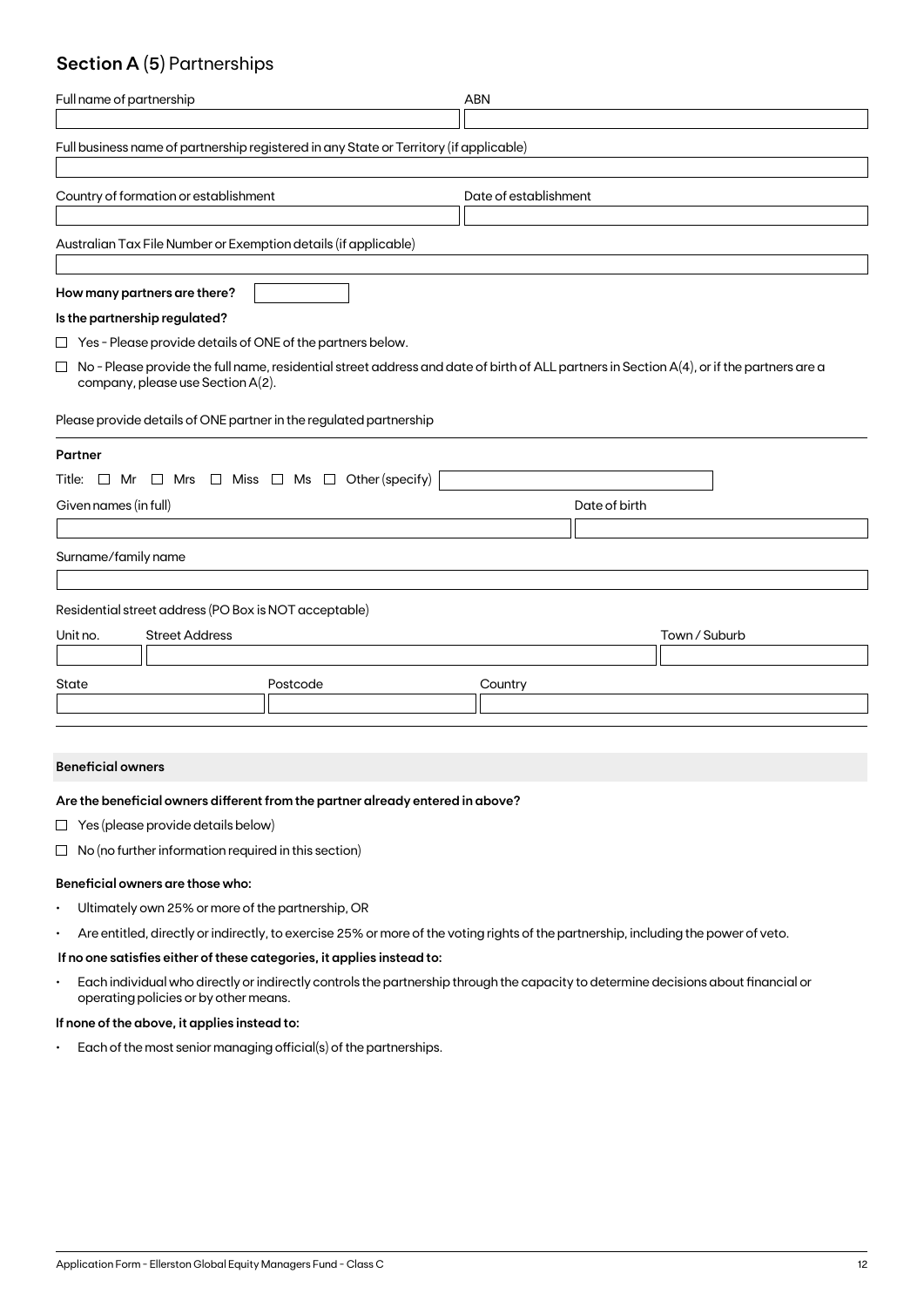## **Section A (5)** Partnerships

| Full name of partnership                                                                                                                                                                 | <b>ABN</b>            |  |  |  |  |
|------------------------------------------------------------------------------------------------------------------------------------------------------------------------------------------|-----------------------|--|--|--|--|
| Full business name of partnership registered in any State or Territory (if applicable)                                                                                                   |                       |  |  |  |  |
| Country of formation or establishment                                                                                                                                                    | Date of establishment |  |  |  |  |
| Australian Tax File Number or Exemption details (if applicable)                                                                                                                          |                       |  |  |  |  |
| How many partners are there?                                                                                                                                                             |                       |  |  |  |  |
| Is the partnership regulated?                                                                                                                                                            |                       |  |  |  |  |
| $\Box$ Yes - Please provide details of ONE of the partners below.                                                                                                                        |                       |  |  |  |  |
| No - Please provide the full name, residential street address and date of birth of ALL partners in Section A(4), or if the partners are a<br>$\Box$<br>company, please use Section A(2). |                       |  |  |  |  |
| Please provide details of ONE partner in the regulated partnership                                                                                                                       |                       |  |  |  |  |
| Partner                                                                                                                                                                                  |                       |  |  |  |  |
| Title: $\Box$ Mr $\Box$ Mrs $\Box$ Miss $\Box$ Ms $\Box$ Other (specify)                                                                                                                 |                       |  |  |  |  |
| Given names (in full)                                                                                                                                                                    | Date of birth         |  |  |  |  |
|                                                                                                                                                                                          |                       |  |  |  |  |
| Surname/family name                                                                                                                                                                      |                       |  |  |  |  |
| Residential street address (PO Box is NOT acceptable)                                                                                                                                    |                       |  |  |  |  |
| <b>Street Address</b><br>Unit no.                                                                                                                                                        | Town / Suburb         |  |  |  |  |
|                                                                                                                                                                                          |                       |  |  |  |  |
| State<br>Postcode                                                                                                                                                                        | Country               |  |  |  |  |
|                                                                                                                                                                                          |                       |  |  |  |  |

#### **Beneficial owners**

#### **Are the beneficial owners different from the partner already entered in above?**

- $\Box$  Yes (please provide details below)
- $\Box$  No (no further information required in this section)

#### **Beneficial owners are those who:**

- Ultimately own 25% or more of the partnership, OR
- Are entitled, directly or indirectly, to exercise 25% or more of the voting rights of the partnership, including the power of veto.

#### **If no one satisfies either of these categories, it applies instead to:**

• Each individual who directly or indirectly controls the partnership through the capacity to determine decisions about financial or operating policies or by other means.

#### **If none of the above, it applies instead to:**

• Each of the most senior managing official(s) of the partnerships.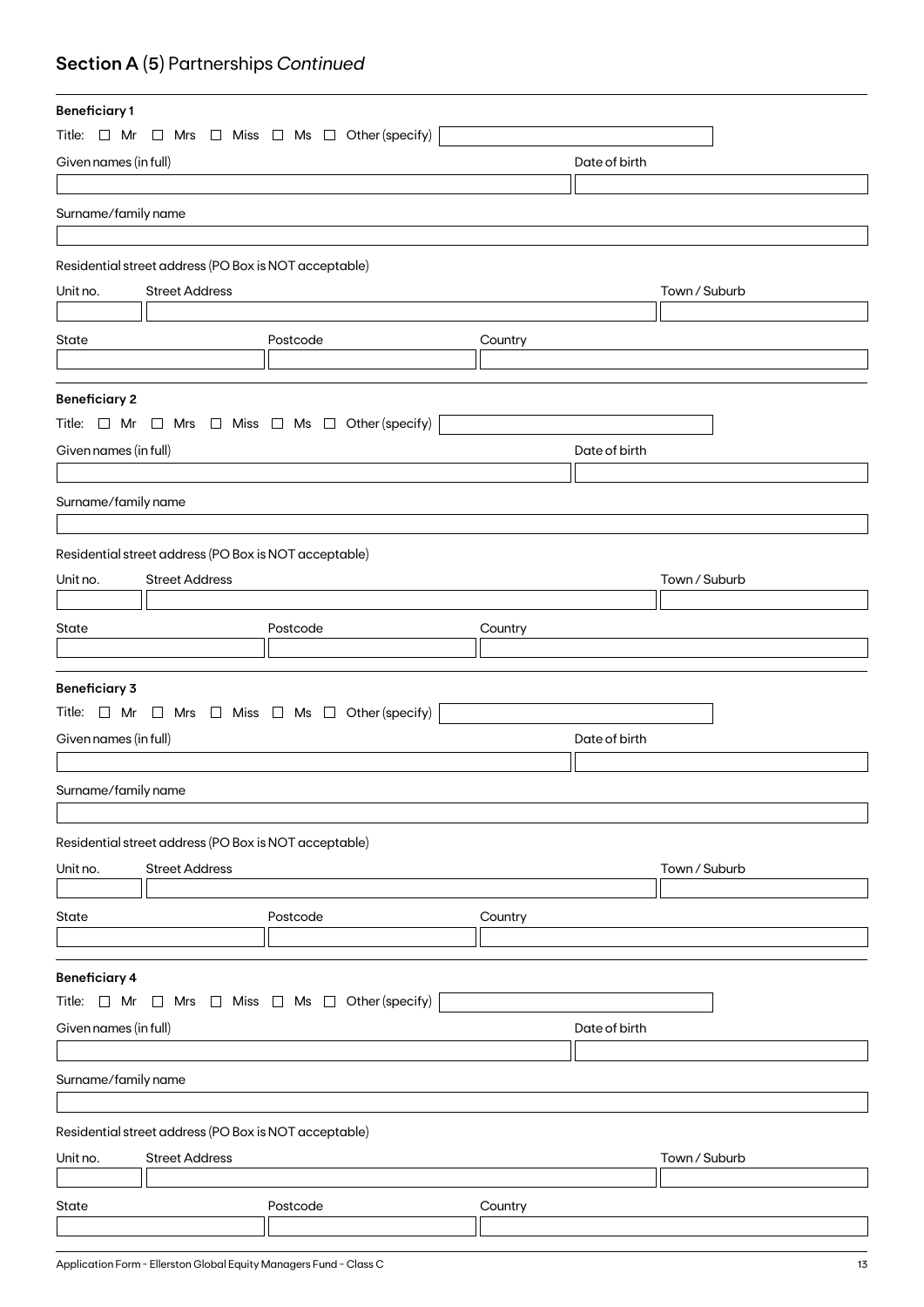## **Section A (5)** Partnerships *Continued*

| <b>Beneficiary1</b>   |                                                       |                                                                          |         |               |               |
|-----------------------|-------------------------------------------------------|--------------------------------------------------------------------------|---------|---------------|---------------|
|                       |                                                       | Title: $\Box$ Mr $\Box$ Mrs $\Box$ Miss $\Box$ Ms $\Box$ Other (specify) |         |               |               |
| Given names (in full) |                                                       |                                                                          |         | Date of birth |               |
|                       |                                                       |                                                                          |         |               |               |
| Surname/family name   |                                                       |                                                                          |         |               |               |
|                       |                                                       |                                                                          |         |               |               |
|                       | Residential street address (PO Box is NOT acceptable) |                                                                          |         |               |               |
| Unit no.              | <b>Street Address</b>                                 |                                                                          |         |               | Town / Suburb |
|                       |                                                       |                                                                          |         |               |               |
| State                 |                                                       | Postcode                                                                 | Country |               |               |
|                       |                                                       |                                                                          |         |               |               |
|                       |                                                       |                                                                          |         |               |               |
| <b>Beneficiary 2</b>  |                                                       | Title: $\Box$ Mr $\Box$ Mrs $\Box$ Miss $\Box$ Ms $\Box$ Other (specify) |         |               |               |
|                       |                                                       |                                                                          |         |               |               |
| Given names (in full) |                                                       |                                                                          |         | Date of birth |               |
|                       |                                                       |                                                                          |         |               |               |
| Surname/family name   |                                                       |                                                                          |         |               |               |
|                       |                                                       |                                                                          |         |               |               |
|                       | Residential street address (PO Box is NOT acceptable) |                                                                          |         |               |               |
| Unit no.              | <b>Street Address</b>                                 |                                                                          |         |               | Town / Suburb |
|                       |                                                       |                                                                          |         |               |               |
| State                 |                                                       | Postcode                                                                 | Country |               |               |
|                       |                                                       |                                                                          |         |               |               |
| <b>Beneficiary 3</b>  |                                                       |                                                                          |         |               |               |
|                       |                                                       | Title: $\Box$ Mr $\Box$ Mrs $\Box$ Miss $\Box$ Ms $\Box$ Other (specify) |         |               |               |
| Given names (in full) |                                                       |                                                                          |         | Date of birth |               |
|                       |                                                       |                                                                          |         |               |               |
| Surname/family name   |                                                       |                                                                          |         |               |               |
|                       |                                                       |                                                                          |         |               |               |
|                       | Residential street address (PO Box is NOT acceptable) |                                                                          |         |               |               |
| Unit no.              | <b>Street Address</b>                                 |                                                                          |         |               | Town / Suburb |
|                       |                                                       |                                                                          |         |               |               |
| State                 |                                                       | Postcode                                                                 | Country |               |               |
|                       |                                                       |                                                                          |         |               |               |
|                       |                                                       |                                                                          |         |               |               |
| <b>Beneficiary 4</b>  |                                                       |                                                                          |         |               |               |
| Title: $\Box$ Mr      | $\Box$                                                | Mrs $\Box$ Miss $\Box$ Ms $\Box$ Other (specify)                         |         |               |               |
| Given names (in full) |                                                       |                                                                          |         | Date of birth |               |
|                       |                                                       |                                                                          |         |               |               |
| Surname/family name   |                                                       |                                                                          |         |               |               |
|                       |                                                       |                                                                          |         |               |               |
|                       | Residential street address (PO Box is NOT acceptable) |                                                                          |         |               |               |
| Unit no.              | <b>Street Address</b>                                 |                                                                          |         |               | Town / Suburb |
|                       |                                                       |                                                                          |         |               |               |
| State                 |                                                       | Postcode                                                                 | Country |               |               |
|                       |                                                       |                                                                          |         |               |               |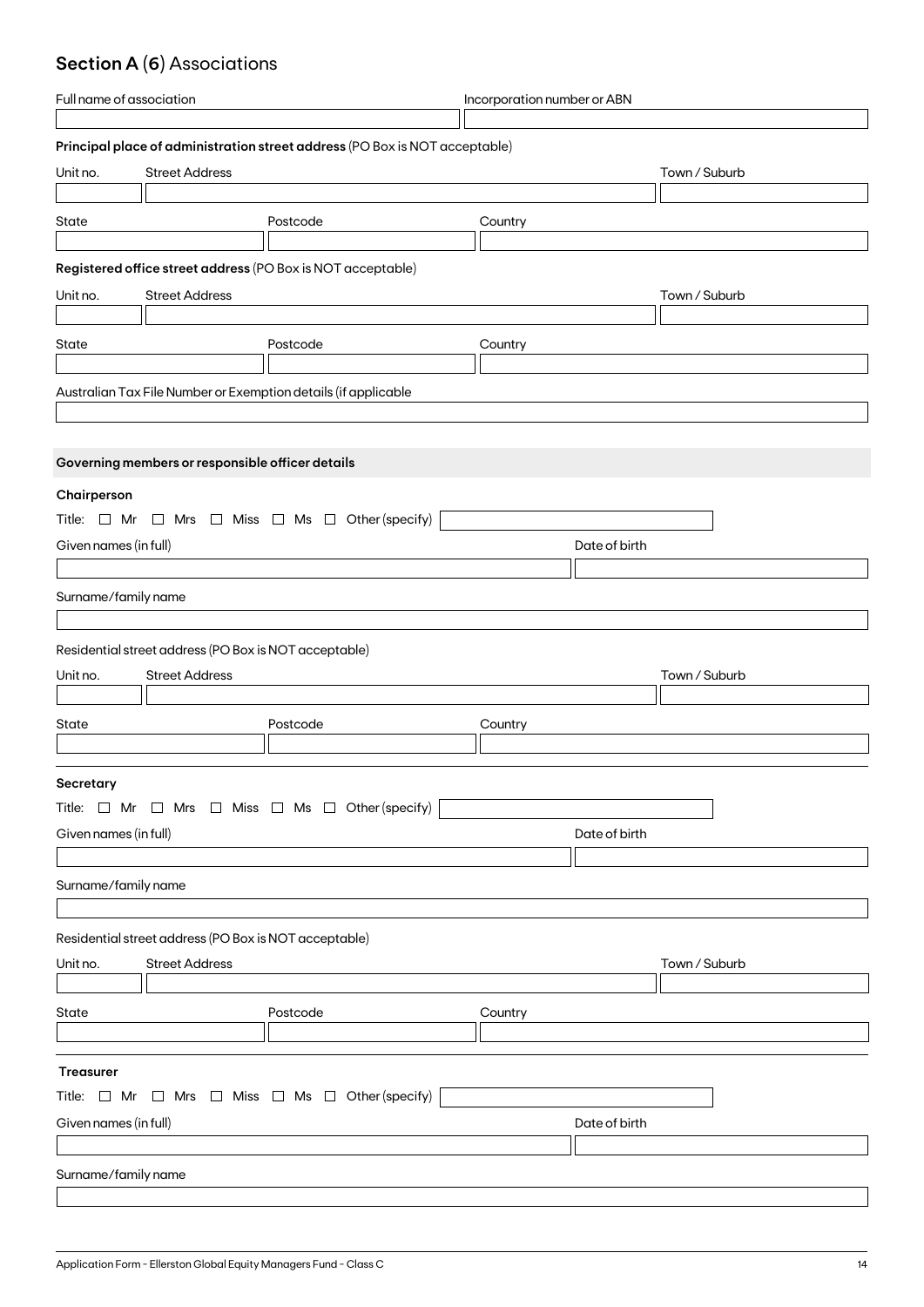## **Section A (6)** Associations

| Full name of association |                                                       | Incorporation number or ABN                                                 |               |               |
|--------------------------|-------------------------------------------------------|-----------------------------------------------------------------------------|---------------|---------------|
|                          |                                                       |                                                                             |               |               |
|                          |                                                       | Principal place of administration street address (PO Box is NOT acceptable) |               |               |
| Unit no.                 | <b>Street Address</b>                                 |                                                                             |               | Town / Suburb |
|                          |                                                       |                                                                             |               |               |
| State                    |                                                       | Postcode                                                                    | Country       |               |
|                          |                                                       |                                                                             |               |               |
|                          |                                                       | Registered office street address (PO Box is NOT acceptable)                 |               |               |
|                          |                                                       |                                                                             |               |               |
| Unit no.                 | <b>Street Address</b>                                 |                                                                             |               | Town / Suburb |
|                          |                                                       |                                                                             |               |               |
| State                    |                                                       | Postcode                                                                    | Country       |               |
|                          |                                                       |                                                                             |               |               |
|                          |                                                       | Australian Tax File Number or Exemption details (if applicable              |               |               |
|                          |                                                       |                                                                             |               |               |
|                          |                                                       |                                                                             |               |               |
|                          | Governing members or responsible officer details      |                                                                             |               |               |
| Chairperson              |                                                       |                                                                             |               |               |
|                          |                                                       | Title: $\Box$ Mr $\Box$ Mrs $\Box$ Miss $\Box$ Ms $\Box$ Other (specify)    |               |               |
|                          |                                                       |                                                                             |               |               |
| Given names (in full)    |                                                       |                                                                             | Date of birth |               |
|                          |                                                       |                                                                             |               |               |
| Surname/family name      |                                                       |                                                                             |               |               |
|                          |                                                       |                                                                             |               |               |
|                          | Residential street address (PO Box is NOT acceptable) |                                                                             |               |               |
| Unit no.                 | <b>Street Address</b>                                 |                                                                             |               | Town / Suburb |
|                          |                                                       |                                                                             |               |               |
| State                    |                                                       | Postcode                                                                    | Country       |               |
|                          |                                                       |                                                                             |               |               |
|                          |                                                       |                                                                             |               |               |
| Secretary                |                                                       |                                                                             |               |               |
|                          |                                                       | Title: $\Box$ Mr $\Box$ Mrs $\Box$ Miss $\Box$ Ms $\Box$ Other (specify)    |               |               |
| Given names (in full)    |                                                       |                                                                             | Date of birth |               |
|                          |                                                       |                                                                             |               |               |
| Surname/family name      |                                                       |                                                                             |               |               |
|                          |                                                       |                                                                             |               |               |
|                          |                                                       |                                                                             |               |               |
|                          | Residential street address (PO Box is NOT acceptable) |                                                                             |               |               |
| Unit no.                 | <b>Street Address</b>                                 |                                                                             |               | Town / Suburb |
|                          |                                                       |                                                                             |               |               |
| State                    |                                                       | Postcode                                                                    | Country       |               |
|                          |                                                       |                                                                             |               |               |
|                          |                                                       |                                                                             |               |               |
| <b>Treasurer</b>         |                                                       |                                                                             |               |               |
|                          |                                                       | Title: $\Box$ Mr $\Box$ Mrs $\Box$ Miss $\Box$ Ms $\Box$ Other (specify)    |               |               |
| Given names (in full)    |                                                       |                                                                             | Date of birth |               |
|                          |                                                       |                                                                             |               |               |
| Surname/family name      |                                                       |                                                                             |               |               |
|                          |                                                       |                                                                             |               |               |
|                          |                                                       |                                                                             |               |               |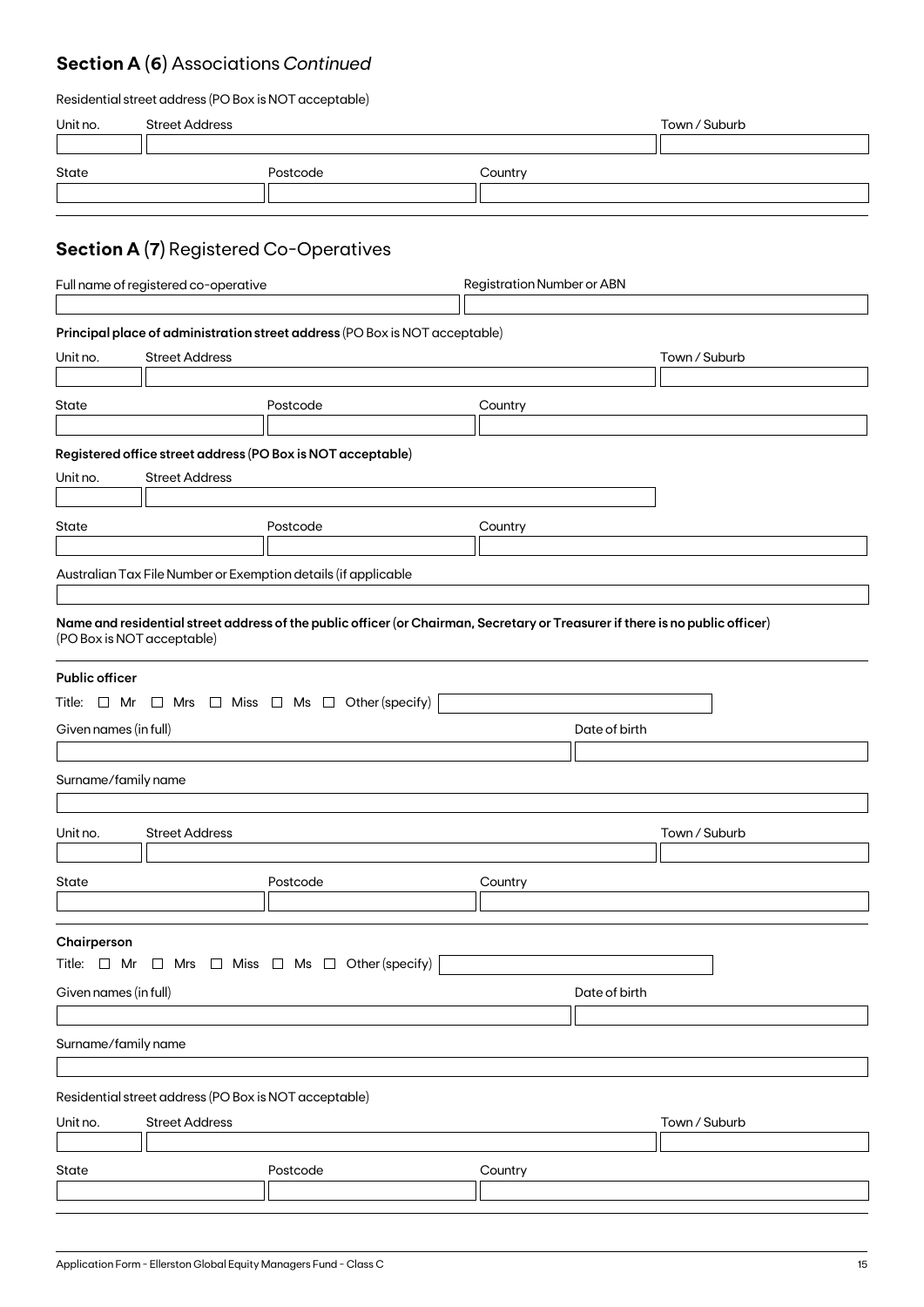## **Section A (6)** Associations *Continued*

| Residential street address (PO Box is NOT acceptable) |  |  |
|-------------------------------------------------------|--|--|
|-------------------------------------------------------|--|--|

| Unit no.                                                                                                                          | <b>Street Address</b>                                                          |                                                                                                                                                                                                           |               | Town / Suburb |  |  |
|-----------------------------------------------------------------------------------------------------------------------------------|--------------------------------------------------------------------------------|-----------------------------------------------------------------------------------------------------------------------------------------------------------------------------------------------------------|---------------|---------------|--|--|
| State                                                                                                                             |                                                                                | Postcode                                                                                                                                                                                                  | Country       |               |  |  |
| <b>Section A (7)</b> Registered Co-Operatives                                                                                     |                                                                                |                                                                                                                                                                                                           |               |               |  |  |
|                                                                                                                                   | Full name of registered co-operative<br><b>Registration Number or ABN</b>      |                                                                                                                                                                                                           |               |               |  |  |
| Unit no.                                                                                                                          | <b>Street Address</b>                                                          | Principal place of administration street address (PO Box is NOT acceptable)                                                                                                                               |               | Town / Suburb |  |  |
| State                                                                                                                             |                                                                                | Postcode                                                                                                                                                                                                  | Country       |               |  |  |
| Unit no.<br>State                                                                                                                 | <b>Street Address</b>                                                          | Registered office street address (PO Box is NOT acceptable)<br>Postcode                                                                                                                                   | Country       |               |  |  |
|                                                                                                                                   |                                                                                | Australian Tax File Number or Exemption details (if applicable                                                                                                                                            |               |               |  |  |
| (PO Box is NOT acceptable)<br><b>Public officer</b><br>Given names (in full)<br>Surname/family name                               |                                                                                | Name and residential street address of the public officer (or Chairman, Secretary or Treasurer if there is no public officer)<br>Title: $\Box$ Mr $\Box$ Mrs $\Box$ Miss $\Box$ Ms $\Box$ Other (specify) | Date of birth |               |  |  |
| Unit no.                                                                                                                          | <b>Street Address</b>                                                          |                                                                                                                                                                                                           |               | Town / Suburb |  |  |
| State                                                                                                                             |                                                                                | Postcode                                                                                                                                                                                                  | Country       |               |  |  |
| Chairperson<br>Title: $\Box$ Mr $\Box$ Mrs $\Box$ Miss $\Box$ Ms $\Box$ Other (specify)<br>Given names (in full)<br>Date of birth |                                                                                |                                                                                                                                                                                                           |               |               |  |  |
| Surname/family name                                                                                                               |                                                                                |                                                                                                                                                                                                           |               |               |  |  |
| Unit no.                                                                                                                          | Residential street address (PO Box is NOT acceptable)<br><b>Street Address</b> |                                                                                                                                                                                                           |               | Town / Suburb |  |  |
| State                                                                                                                             |                                                                                | Postcode                                                                                                                                                                                                  | Country       |               |  |  |
|                                                                                                                                   |                                                                                |                                                                                                                                                                                                           |               |               |  |  |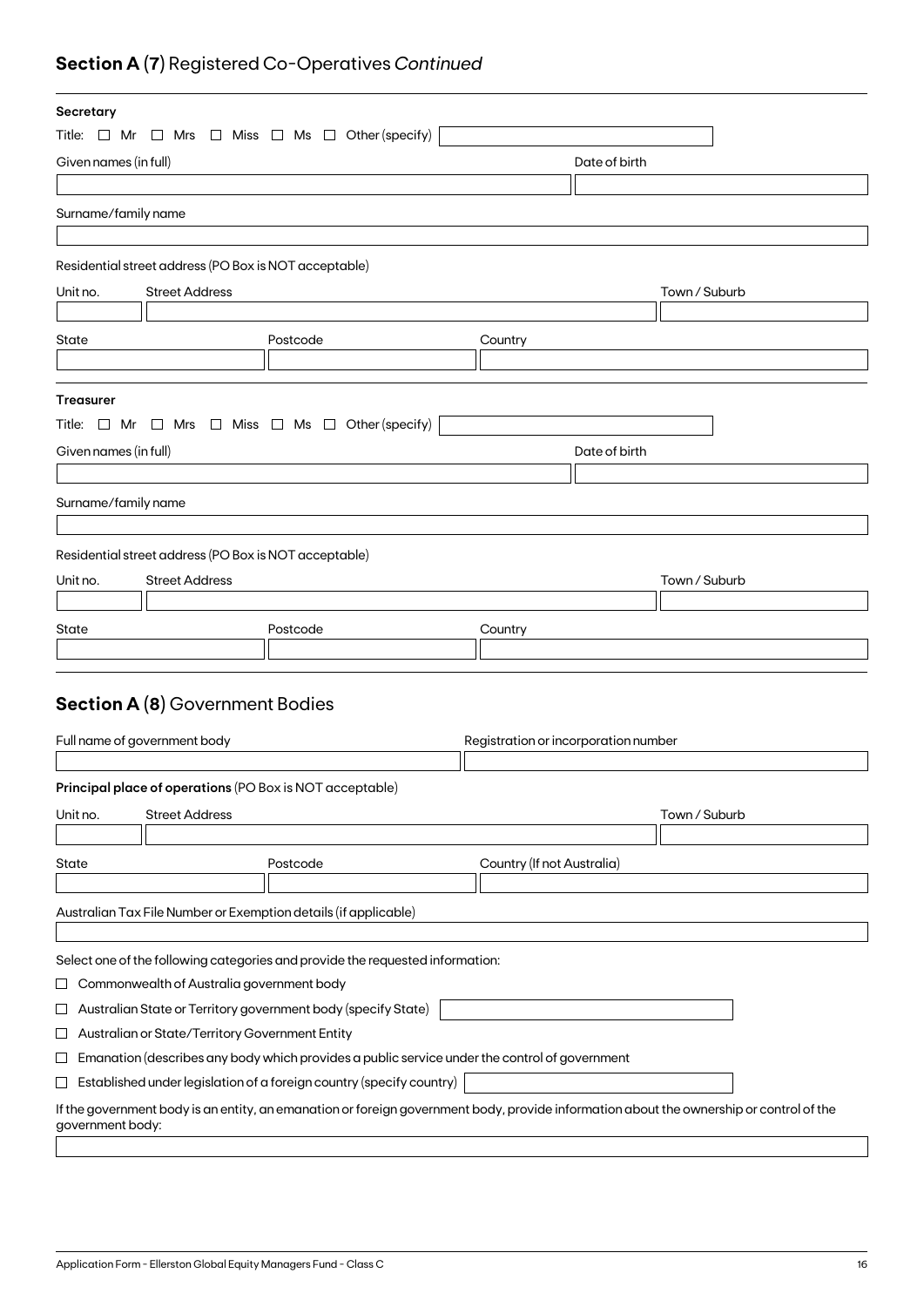## **Section A (7)** Registered Co-Operatives *Continued*

| Secretary             |                                                               |                                                                                                                                         |  |                                      |               |  |
|-----------------------|---------------------------------------------------------------|-----------------------------------------------------------------------------------------------------------------------------------------|--|--------------------------------------|---------------|--|
|                       |                                                               | Title: $\Box$ Mr $\Box$ Mrs $\Box$ Miss $\Box$ Ms $\Box$ Other (specify)                                                                |  |                                      |               |  |
| Given names (in full) |                                                               |                                                                                                                                         |  | Date of birth                        |               |  |
|                       |                                                               |                                                                                                                                         |  |                                      |               |  |
| Surname/family name   |                                                               |                                                                                                                                         |  |                                      |               |  |
|                       |                                                               |                                                                                                                                         |  |                                      |               |  |
|                       | Residential street address (PO Box is NOT acceptable)         |                                                                                                                                         |  |                                      |               |  |
| Unit no.              | <b>Street Address</b>                                         |                                                                                                                                         |  |                                      | Town / Suburb |  |
|                       |                                                               |                                                                                                                                         |  |                                      |               |  |
| State                 |                                                               | Postcode                                                                                                                                |  | Country                              |               |  |
|                       |                                                               |                                                                                                                                         |  |                                      |               |  |
|                       |                                                               |                                                                                                                                         |  |                                      |               |  |
| <b>Treasurer</b>      |                                                               |                                                                                                                                         |  |                                      |               |  |
|                       |                                                               | Title: $\Box$ Mr $\Box$ Mrs $\Box$ Miss $\Box$ Ms $\Box$ Other (specify)                                                                |  |                                      |               |  |
| Given names (in full) |                                                               |                                                                                                                                         |  | Date of birth                        |               |  |
|                       |                                                               |                                                                                                                                         |  |                                      |               |  |
| Surname/family name   |                                                               |                                                                                                                                         |  |                                      |               |  |
|                       |                                                               |                                                                                                                                         |  |                                      |               |  |
|                       | Residential street address (PO Box is NOT acceptable)         |                                                                                                                                         |  |                                      |               |  |
| Unit no.              | <b>Street Address</b>                                         |                                                                                                                                         |  |                                      | Town / Suburb |  |
|                       |                                                               |                                                                                                                                         |  |                                      |               |  |
| State                 |                                                               | Postcode                                                                                                                                |  | Country                              |               |  |
|                       |                                                               |                                                                                                                                         |  |                                      |               |  |
|                       |                                                               |                                                                                                                                         |  |                                      |               |  |
|                       | <b>Section A (8)</b> Government Bodies                        |                                                                                                                                         |  |                                      |               |  |
|                       |                                                               |                                                                                                                                         |  |                                      |               |  |
|                       | Full name of government body                                  |                                                                                                                                         |  | Registration or incorporation number |               |  |
|                       |                                                               |                                                                                                                                         |  |                                      |               |  |
|                       |                                                               | Principal place of operations (PO Box is NOT acceptable)                                                                                |  |                                      |               |  |
| Unit no.              | <b>Street Address</b>                                         |                                                                                                                                         |  |                                      | Town / Suburb |  |
|                       |                                                               |                                                                                                                                         |  |                                      |               |  |
| State                 |                                                               | Postcode                                                                                                                                |  | Country (If not Australia)           |               |  |
|                       |                                                               |                                                                                                                                         |  |                                      |               |  |
|                       |                                                               | Australian Tax File Number or Exemption details (if applicable)                                                                         |  |                                      |               |  |
|                       |                                                               |                                                                                                                                         |  |                                      |               |  |
|                       |                                                               | Select one of the following categories and provide the requested information:                                                           |  |                                      |               |  |
| ப                     | Commonwealth of Australia government body                     |                                                                                                                                         |  |                                      |               |  |
| ப                     | Australian State or Territory government body (specify State) |                                                                                                                                         |  |                                      |               |  |
| ப                     | Australian or State/Territory Government Entity               |                                                                                                                                         |  |                                      |               |  |
| $\sqcup$              |                                                               | Emanation (describes any body which provides a public service under the control of government                                           |  |                                      |               |  |
| $\sqcup$              |                                                               | Established under legislation of a foreign country (specify country)                                                                    |  |                                      |               |  |
| government body:      |                                                               | If the government body is an entity, an emanation or foreign government body, provide information about the ownership or control of the |  |                                      |               |  |
|                       |                                                               |                                                                                                                                         |  |                                      |               |  |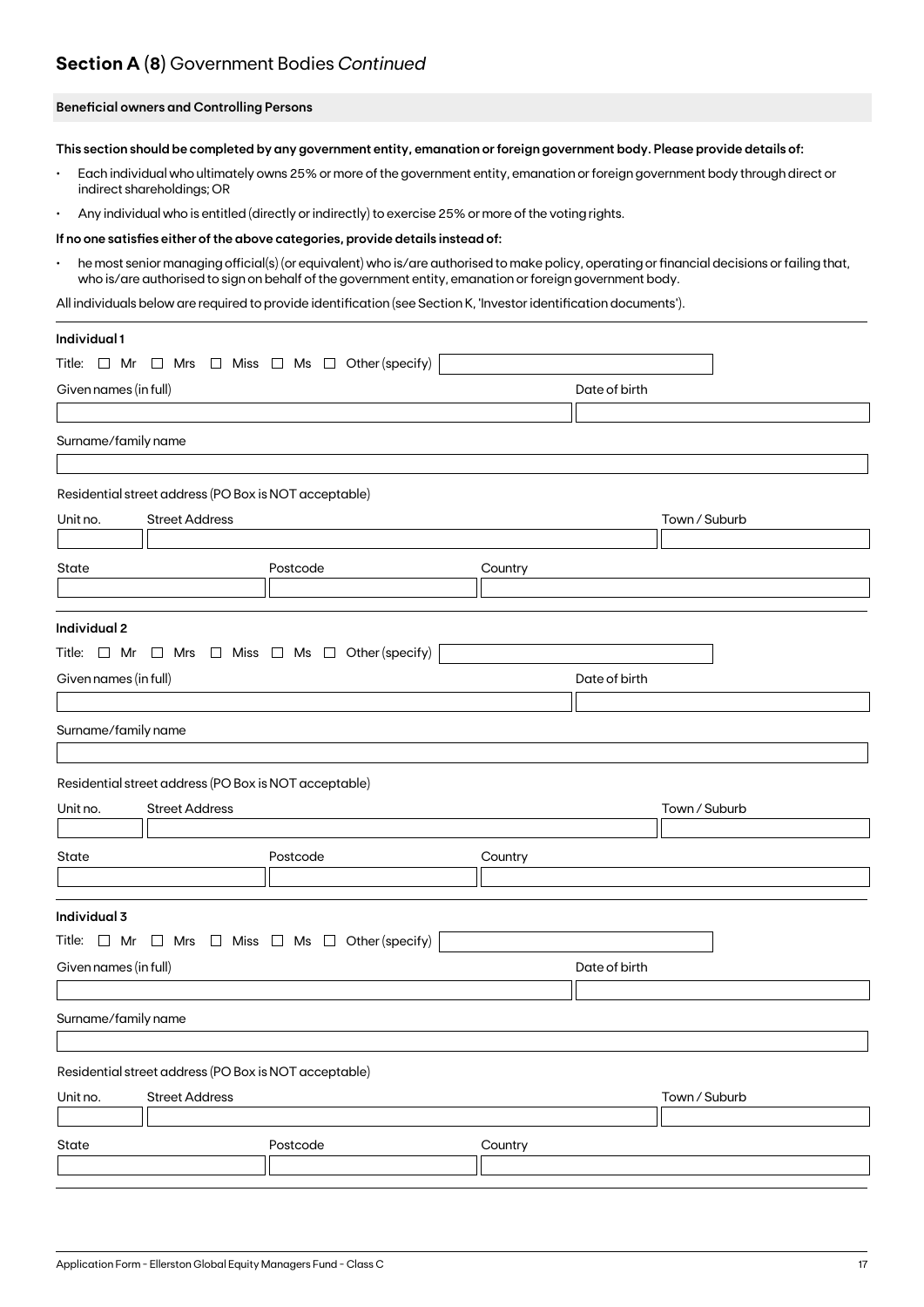### **Section A (8)** Government Bodies *Continued*

#### **Beneficial owners and Controlling Persons**

**This section should be completed by any government entity, emanation or foreign government body. Please provide details of:**

- Each individual who ultimately owns 25% or more of the government entity, emanation or foreign government body through direct or indirect shareholdings; OR
- Any individual who is entitled (directly or indirectly) to exercise 25% or more of the voting rights.

#### **If no one satisfies either of the above categories, provide details instead of:**

• he most senior managing official(s) (or equivalent) who is/are authorised to make policy, operating or financial decisions or failing that, who is/are authorised to sign on behalf of the government entity, emanation or foreign government body.

All individuals below are required to provide identification (see Section K, 'Investor identification documents').

| Individual 1          |                                                       |                                                                          |         |               |  |
|-----------------------|-------------------------------------------------------|--------------------------------------------------------------------------|---------|---------------|--|
| Title: $\Box$ Mr      |                                                       | $\Box$ Mrs $\Box$ Miss $\Box$ Ms $\Box$ Other (specify)                  |         |               |  |
| Given names (in full) |                                                       |                                                                          |         | Date of birth |  |
|                       |                                                       |                                                                          |         |               |  |
| Surname/family name   |                                                       |                                                                          |         |               |  |
|                       |                                                       |                                                                          |         |               |  |
|                       | Residential street address (PO Box is NOT acceptable) |                                                                          |         |               |  |
| Unit no.              | <b>Street Address</b>                                 |                                                                          |         | Town / Suburb |  |
|                       |                                                       |                                                                          |         |               |  |
| State                 |                                                       | Postcode                                                                 | Country |               |  |
|                       |                                                       |                                                                          |         |               |  |
| Individual 2          |                                                       |                                                                          |         |               |  |
|                       |                                                       | Title: $\Box$ Mr $\Box$ Mrs $\Box$ Miss $\Box$ Ms $\Box$ Other (specify) |         |               |  |
| Given names (in full) |                                                       |                                                                          |         | Date of birth |  |
|                       |                                                       |                                                                          |         |               |  |
| Surname/family name   |                                                       |                                                                          |         |               |  |
|                       |                                                       |                                                                          |         |               |  |
|                       | Residential street address (PO Box is NOT acceptable) |                                                                          |         |               |  |
| Unit no.              | <b>Street Address</b>                                 |                                                                          |         | Town / Suburb |  |
|                       |                                                       |                                                                          |         |               |  |
| State                 |                                                       | Postcode                                                                 | Country |               |  |
|                       |                                                       |                                                                          |         |               |  |
| Individual 3          |                                                       |                                                                          |         |               |  |
|                       |                                                       | Title: $\Box$ Mr $\Box$ Mrs $\Box$ Miss $\Box$ Ms $\Box$ Other (specify) |         |               |  |
| Given names (in full) |                                                       |                                                                          |         | Date of birth |  |
|                       |                                                       |                                                                          |         |               |  |
| Surname/family name   |                                                       |                                                                          |         |               |  |
|                       |                                                       |                                                                          |         |               |  |
|                       | Residential street address (PO Box is NOT acceptable) |                                                                          |         |               |  |
| Unit no.              | <b>Street Address</b>                                 |                                                                          |         | Town / Suburb |  |
|                       |                                                       |                                                                          |         |               |  |
| State                 |                                                       | Postcode                                                                 | Country |               |  |
|                       |                                                       |                                                                          |         |               |  |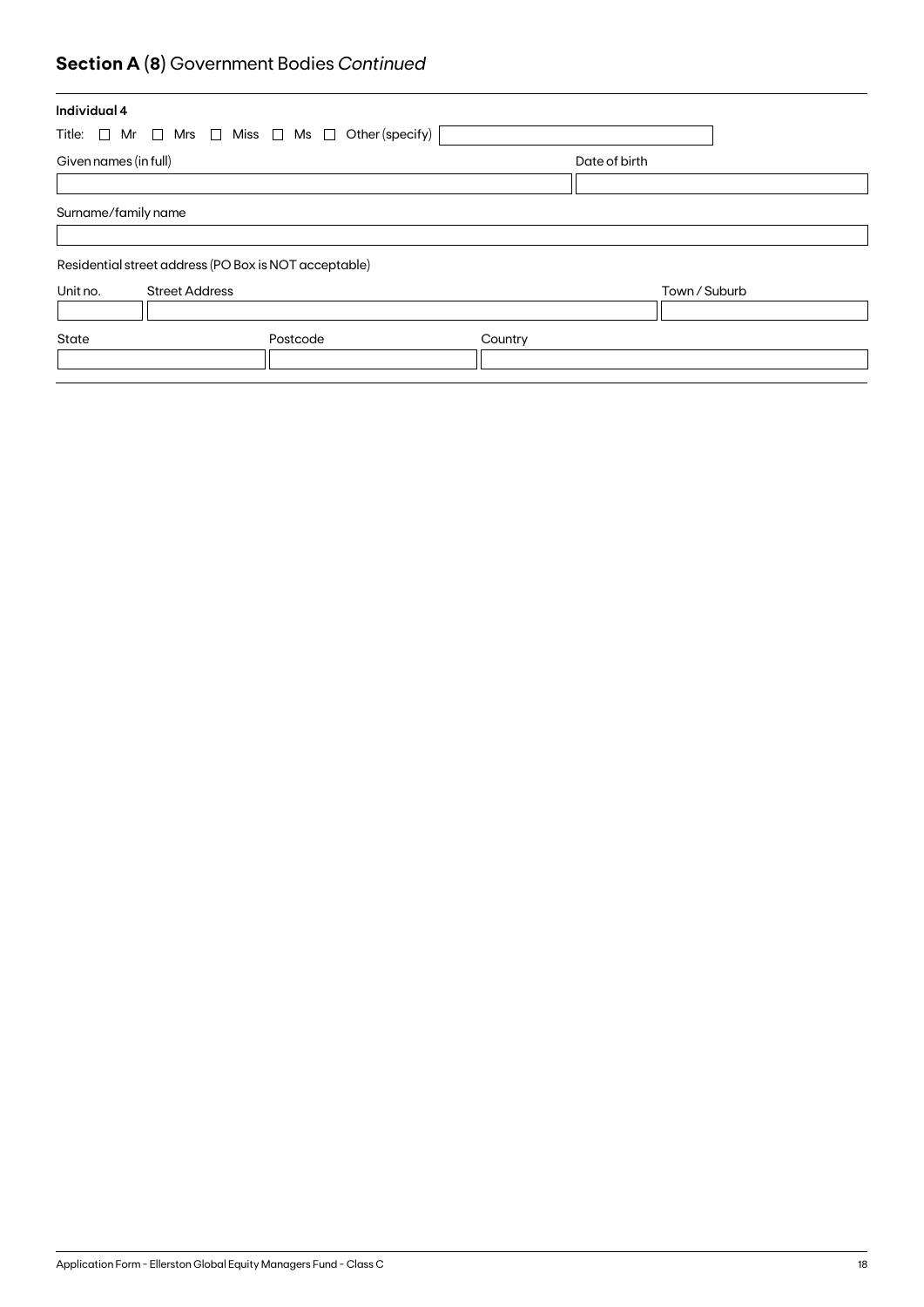## **Section A (8)** Government Bodies *Continued*

| Individual 4                                                             |          |         |               |  |
|--------------------------------------------------------------------------|----------|---------|---------------|--|
| Title: $\Box$ Mr $\Box$ Mrs $\Box$ Miss $\Box$ Ms $\Box$ Other (specify) |          |         |               |  |
| Given names (in full)                                                    |          |         | Date of birth |  |
|                                                                          |          |         |               |  |
| Surname/family name                                                      |          |         |               |  |
|                                                                          |          |         |               |  |
| Residential street address (PO Box is NOT acceptable)                    |          |         |               |  |
| Unit no.<br><b>Street Address</b>                                        |          |         | Town / Suburb |  |
|                                                                          |          |         |               |  |
| State                                                                    | Postcode | Country |               |  |
|                                                                          |          |         |               |  |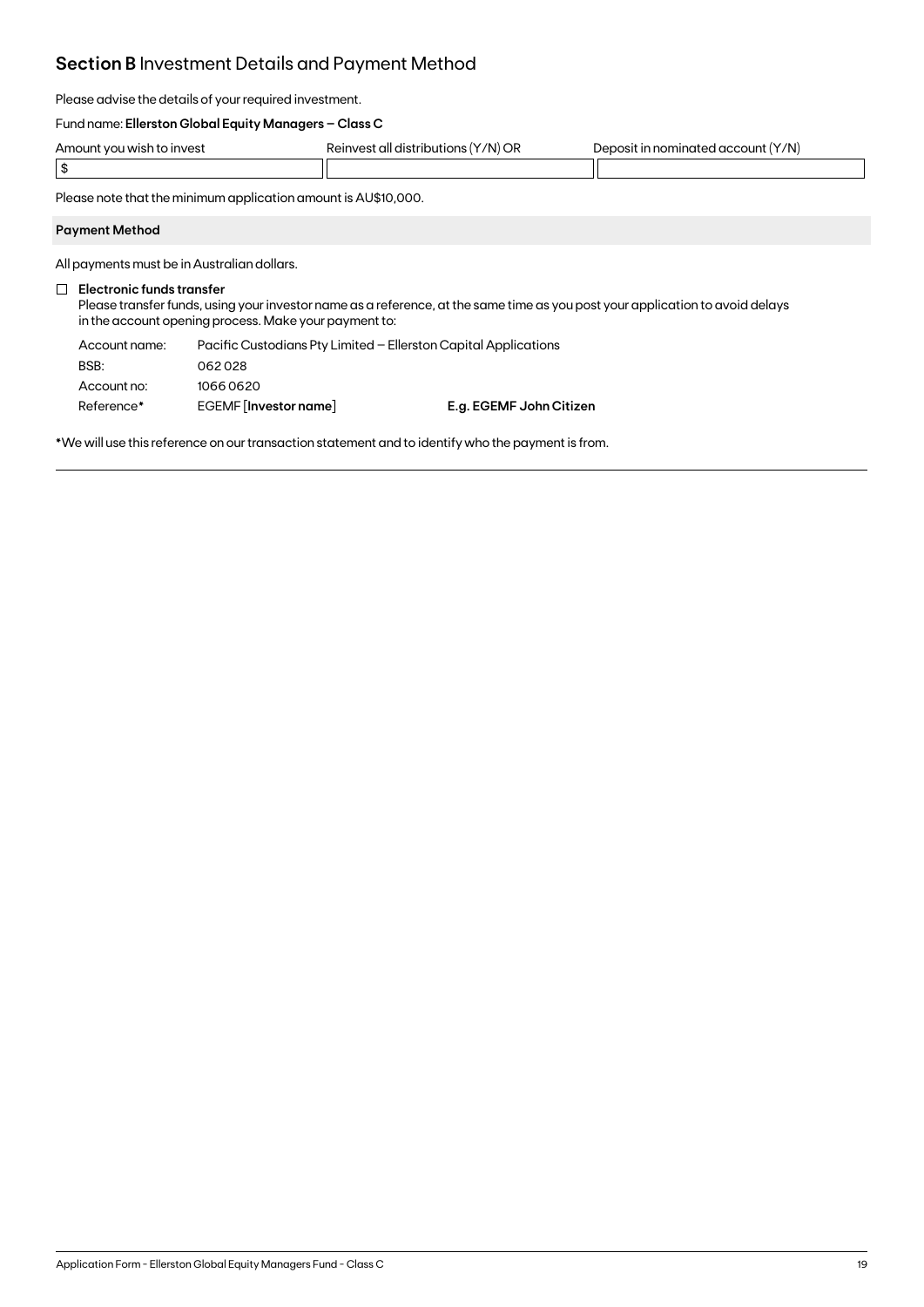### **Section B** Investment Details and Payment Method

Please advise the details of your required investment.

#### Fund name: **Ellerston Global Equity Managers – Class C**

| Amount you wish to invest | Y/N) OR<br>Reinvest all distributions ! | Y/N)<br>…it in nominate∩ .<br>d account.<br><b>IPOOSIT</b> |
|---------------------------|-----------------------------------------|------------------------------------------------------------|
|                           |                                         |                                                            |

Please note that the minimum application amount is AU\$10,000.

#### **Payment Method**

All payments must be in Australian dollars.

#### **Electronic funds transfer**

Please transfer funds, using your investor name as a reference, at the same time as you post your application to avoid delays in the account opening process. Make your payment to:

| Account name: | Pacific Custodians Pty Limited – Ellerston Capital Applications |                         |
|---------------|-----------------------------------------------------------------|-------------------------|
| BSB:          | 062028                                                          |                         |
| Account no:   | 10660620                                                        |                         |
| Reference*    | EGEMF [Investor name]                                           | E.g. EGEMF John Citizen |

\*We will use this reference on our transaction statement and to identify who the payment is from.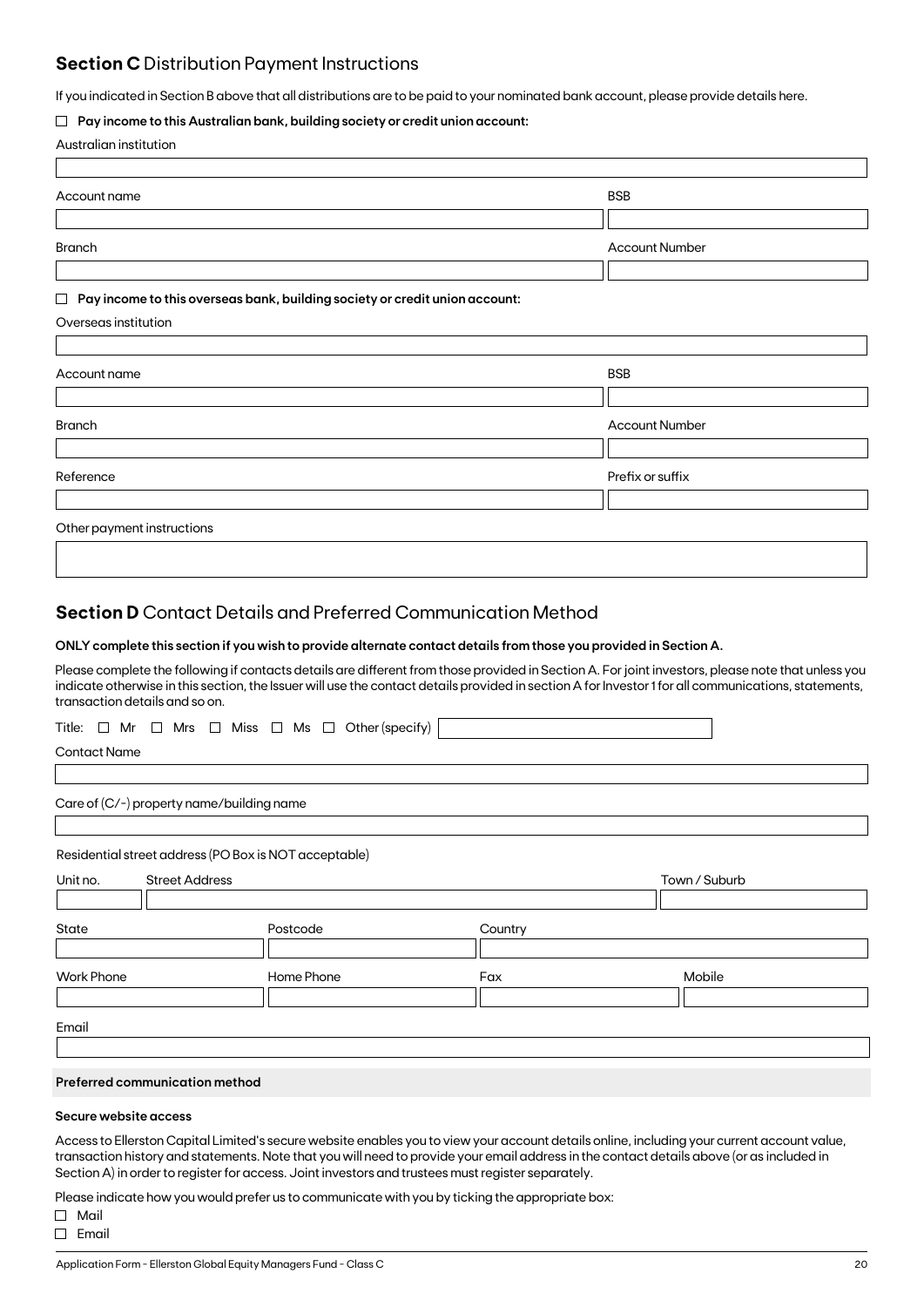### **Section C** Distribution Payment Instructions

If you indicated in Section B above that all distributions are to be paid to your nominated bank account, please provide details here.

#### **Pay income to this Australian bank, building society or credit union account:**

|  | Australian institution |
|--|------------------------|
|--|------------------------|

| Account name                                                                          | <b>BSB</b>            |
|---------------------------------------------------------------------------------------|-----------------------|
|                                                                                       |                       |
| <b>Branch</b>                                                                         | <b>Account Number</b> |
|                                                                                       |                       |
| Pay income to this overseas bank, building society or credit union account:<br>$\Box$ |                       |
| Overseas institution                                                                  |                       |
|                                                                                       |                       |
| Account name                                                                          | <b>BSB</b>            |
|                                                                                       |                       |
| <b>Branch</b>                                                                         | <b>Account Number</b> |
|                                                                                       |                       |
| Reference                                                                             | Prefix or suffix      |
|                                                                                       |                       |
| Other payment instructions                                                            |                       |
|                                                                                       |                       |

### **Section D** Contact Details and Preferred Communication Method

#### **ONLY complete this section if you wish to provide alternate contact details from those you provided in Section A.**

Please complete the following if contacts details are different from those provided in Section A. For joint investors, please note that unless you indicate otherwise in this section, the Issuer will use the contact details provided in section A for Investor 1 for all communications, statements, transaction details and so on.

|  |  |  |  |  |  |  |  |  |  | Title: $\Box$ Mr $\Box$ Mrs $\Box$ Miss $\Box$ Ms $\Box$ Other(specify) $\vert$ |  |
|--|--|--|--|--|--|--|--|--|--|---------------------------------------------------------------------------------|--|
|--|--|--|--|--|--|--|--|--|--|---------------------------------------------------------------------------------|--|

Contact Name

Care of (C/-) property name/building name

Residential street address (PO Box is NOT acceptable)

| Unit no.          | <b>Street Address</b> |            |         | Town / Suburb |
|-------------------|-----------------------|------------|---------|---------------|
|                   |                       |            |         |               |
| State             |                       | Postcode   | Country |               |
|                   |                       |            |         |               |
| <b>Work Phone</b> |                       | Home Phone | Fax     | Mobile        |
|                   |                       |            |         |               |
|                   |                       |            |         |               |
| Email             |                       |            |         |               |

#### **Preferred communication method**

#### **Secure website access**

Access to Ellerston Capital Limited's secure website enables you to view your account details online, including your current account value, transaction history and statements. Note that you will need to provide your email address in the contact details above (or as included in Section A) in order to register for access. Joint investors and trustees must register separately.

Please indicate how you would prefer us to communicate with you by ticking the appropriate box:

Mail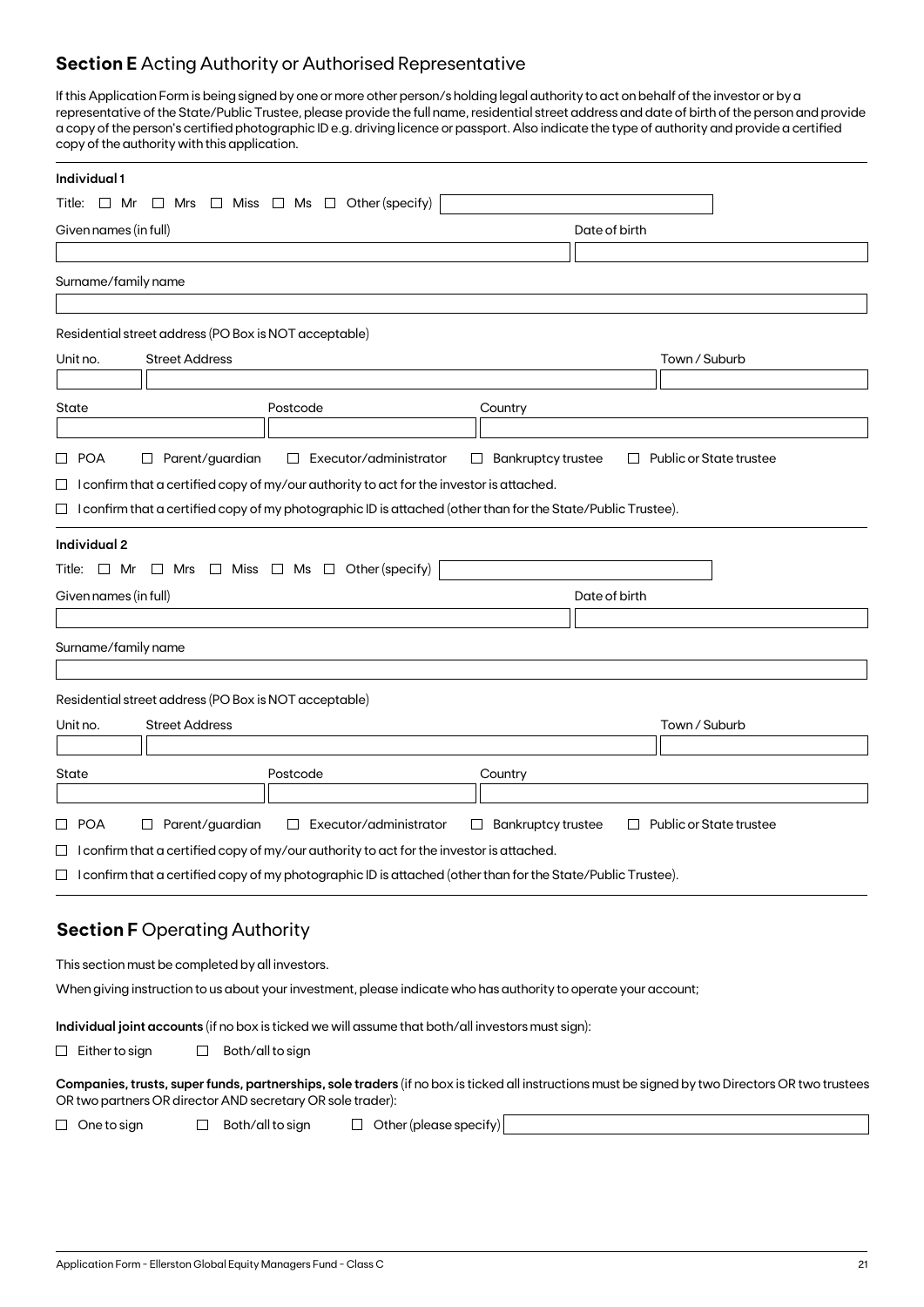### **Section E** Acting Authority or Authorised Representative

If this Application Form is being signed by one or more other person/s holding legal authority to act on behalf of the investor or by a representative of the State/Public Trustee, please provide the full name, residential street address and date of birth of the person and provide a copy of the person's certified photographic ID e.g. driving licence or passport. Also indicate the type of authority and provide a certified copy of the authority with this application.

| Individual 1                                                                                                                                                                                                           |                                                                          |
|------------------------------------------------------------------------------------------------------------------------------------------------------------------------------------------------------------------------|--------------------------------------------------------------------------|
| $\Box$ Mrs $\Box$ Miss $\Box$ Ms $\Box$ Other (specify)<br>Title: $\Box$ Mr                                                                                                                                            |                                                                          |
| Given names (in full)                                                                                                                                                                                                  | Date of birth                                                            |
|                                                                                                                                                                                                                        |                                                                          |
| Surname/family name                                                                                                                                                                                                    |                                                                          |
|                                                                                                                                                                                                                        |                                                                          |
| Residential street address (PO Box is NOT acceptable)                                                                                                                                                                  |                                                                          |
| <b>Street Address</b><br>Unit no.                                                                                                                                                                                      | Town / Suburb                                                            |
|                                                                                                                                                                                                                        |                                                                          |
| State<br>Postcode                                                                                                                                                                                                      | Country                                                                  |
|                                                                                                                                                                                                                        |                                                                          |
| $\square$ POA<br>$\Box$ Parent/guardian<br>$\Box$ Executor/administrator                                                                                                                                               | $\Box$ Bankruptcy trustee<br>Public or State trustee<br>$\Box$           |
| $\Box$ I confirm that a certified copy of my/our authority to act for the investor is attached.<br>$\Box$ I confirm that a certified copy of my photographic ID is attached (other than for the State/Public Trustee). |                                                                          |
|                                                                                                                                                                                                                        |                                                                          |
| Individual 2                                                                                                                                                                                                           |                                                                          |
| Title: $\Box$ Mr $\Box$ Mrs $\Box$ Miss $\Box$ Ms $\Box$ Other (specify)                                                                                                                                               |                                                                          |
| Given names (in full)                                                                                                                                                                                                  | Date of birth                                                            |
|                                                                                                                                                                                                                        |                                                                          |
| Surname/family name                                                                                                                                                                                                    |                                                                          |
|                                                                                                                                                                                                                        |                                                                          |
| Residential street address (PO Box is NOT acceptable)                                                                                                                                                                  |                                                                          |
| <b>Street Address</b><br>Unit no.                                                                                                                                                                                      | Town / Suburb                                                            |
| Postcode<br>State                                                                                                                                                                                                      | Country                                                                  |
|                                                                                                                                                                                                                        |                                                                          |
| □ POA<br>Parent/guardian<br>Executor/administrator<br>⊔<br>$\Box$                                                                                                                                                      | <b>Bankruptcy trustee</b><br>Public or State trustee<br>$\Box$<br>$\Box$ |
| $\Box$ I confirm that a certified copy of my/our authority to act for the investor is attached.                                                                                                                        |                                                                          |
| $\Box$ I confirm that a certified copy of my photographic ID is attached (other than for the State/Public Trustee).                                                                                                    |                                                                          |
|                                                                                                                                                                                                                        |                                                                          |
| <b>Section F Operating Authority</b>                                                                                                                                                                                   |                                                                          |
|                                                                                                                                                                                                                        |                                                                          |
| This section must be completed by all investors.                                                                                                                                                                       |                                                                          |
| When giving instruction to us about your investment, please indicate who has authority to operate your account;                                                                                                        |                                                                          |
| Individual joint accounts (if no box is ticked we will assume that both/all investors must sign):                                                                                                                      |                                                                          |
| Both/all to sign<br>$\Box$ Either to sign<br>ப                                                                                                                                                                         |                                                                          |
| Companies, trusts, super funds, partnerships, sole traders (if no box is ticked all instructions must be signed by two Directors OR two trustees<br>OR two partners OR director AND secretary OR sole trader):         |                                                                          |
| $\Box$ Other (please specify)<br>$\Box$ One to sign<br>Both/all to sign<br>$\Box$                                                                                                                                      |                                                                          |
|                                                                                                                                                                                                                        |                                                                          |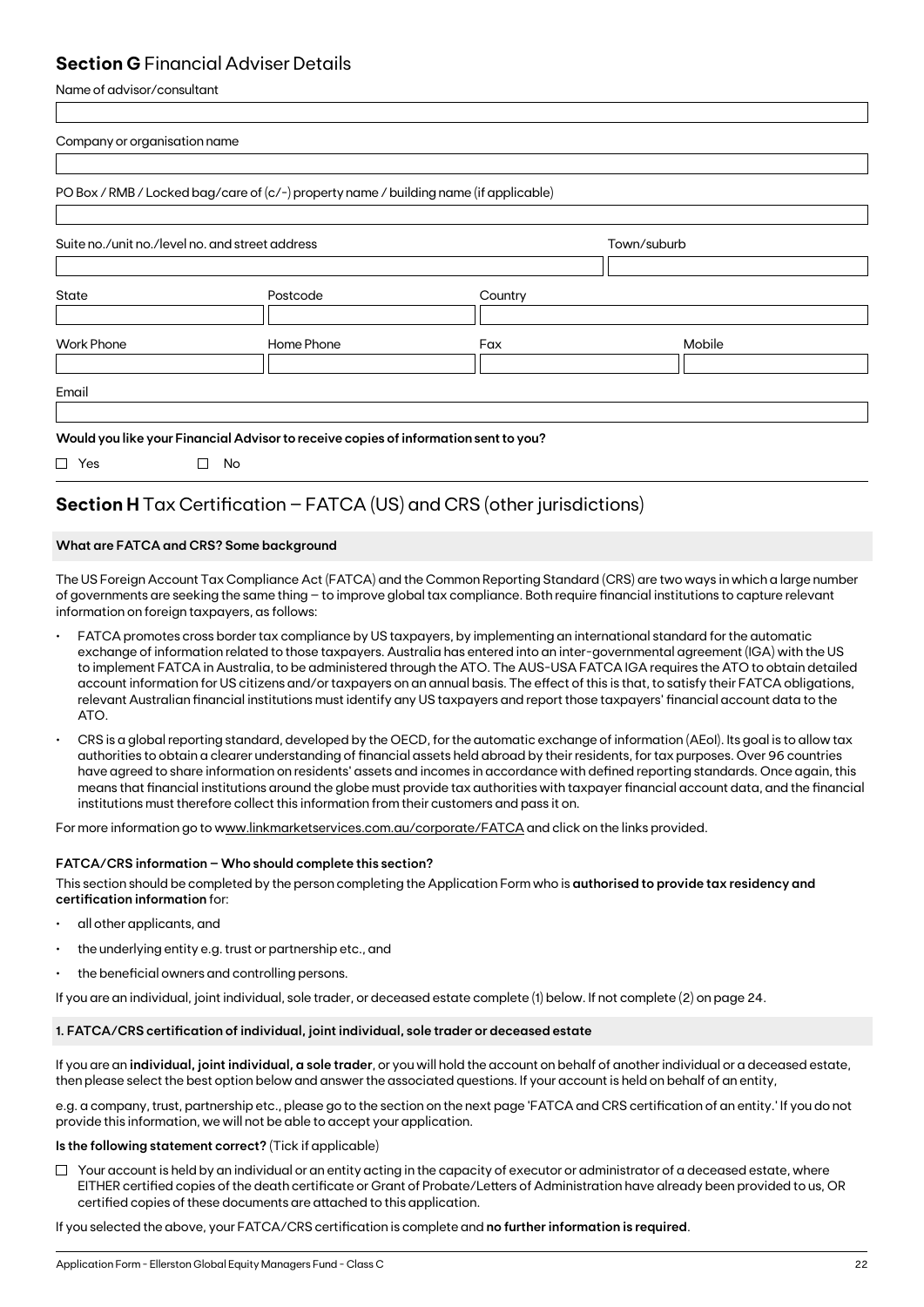### **Section G** Financial Adviser Details

Name of advisor/consultant

| Company or organisation name                    |                                                                                       |         |             |  |
|-------------------------------------------------|---------------------------------------------------------------------------------------|---------|-------------|--|
|                                                 | PO Box / RMB / Locked bag/care of (c/-) property name / building name (if applicable) |         |             |  |
| Suite no./unit no./level no. and street address |                                                                                       |         | Town/suburb |  |
| State                                           | Postcode                                                                              | Country |             |  |
| <b>Work Phone</b>                               | Home Phone                                                                            | Fax     | Mobile      |  |
| Email                                           |                                                                                       |         |             |  |
|                                                 | Would you like your Financial Advisor to receive copies of information sent to you?   |         |             |  |
| $\Box$ Yes                                      | No<br>$\Box$                                                                          |         |             |  |

## **Section H** Tax Certification – FATCA (US) and CRS (other jurisdictions)

#### **What are FATCA and CRS? Some background**

The US Foreign Account Tax Compliance Act (FATCA) and the Common Reporting Standard (CRS) are two ways in which a large number of governments are seeking the same thing – to improve global tax compliance. Both require financial institutions to capture relevant information on foreign taxpayers, as follows:

- FATCA promotes cross border tax compliance by US taxpayers, by implementing an international standard for the automatic exchange of information related to those taxpayers. Australia has entered into an inter-governmental agreement (IGA) with the US to implement FATCA in Australia, to be administered through the ATO. The AUS-USA FATCA IGA requires the ATO to obtain detailed account information for US citizens and/or taxpayers on an annual basis. The effect of this is that, to satisfy their FATCA obligations, relevant Australian financial institutions must identify any US taxpayers and report those taxpayers' financial account data to the ATO.
- CRS is a global reporting standard, developed by the OECD, for the automatic exchange of information (AEoI). Its goal is to allow tax authorities to obtain a clearer understanding of financial assets held abroad by their residents, for tax purposes. Over 96 countries have agreed to share information on residents' assets and incomes in accordance with defined reporting standards. Once again, this means that financial institutions around the globe must provide tax authorities with taxpayer financial account data, and the financial institutions must therefore collect this information from their customers and pass it on.

For more information go to www.linkmarketservices.com.au/corporate/FATCA and click on the links provided.

#### **FATCA/CRS information – Who should complete this section?**

This section should be completed by the person completing the Application Form who is **authorised to provide tax residency and certification information** for:

- all other applicants, and
- the underlying entity e.g. trust or partnership etc., and
- the beneficial owners and controlling persons.

If you are an individual, joint individual, sole trader, or deceased estate complete (1) below. If not complete (2) on page 24.

#### **1. FATCA/CRS certification of individual, joint individual, sole trader or deceased estate**

If you are an **individual, joint individual, a sole trader**, or you will hold the account on behalf of another individual or a deceased estate, then please select the best option below and answer the associated questions. If your account is held on behalf of an entity,

e.g. a company, trust, partnership etc., please go to the section on the next page 'FATCA and CRS certification of an entity.' If you do not provide this information, we will not be able to accept your application.

### **Is the following statement correct?** (Tick if applicable)

 $\Box$  Your account is held by an individual or an entity acting in the capacity of executor or administrator of a deceased estate, where EITHER certified copies of the death certificate or Grant of Probate/Letters of Administration have already been provided to us, OR certified copies of these documents are attached to this application.

If you selected the above, your FATCA/CRS certification is complete and **no further information is required**.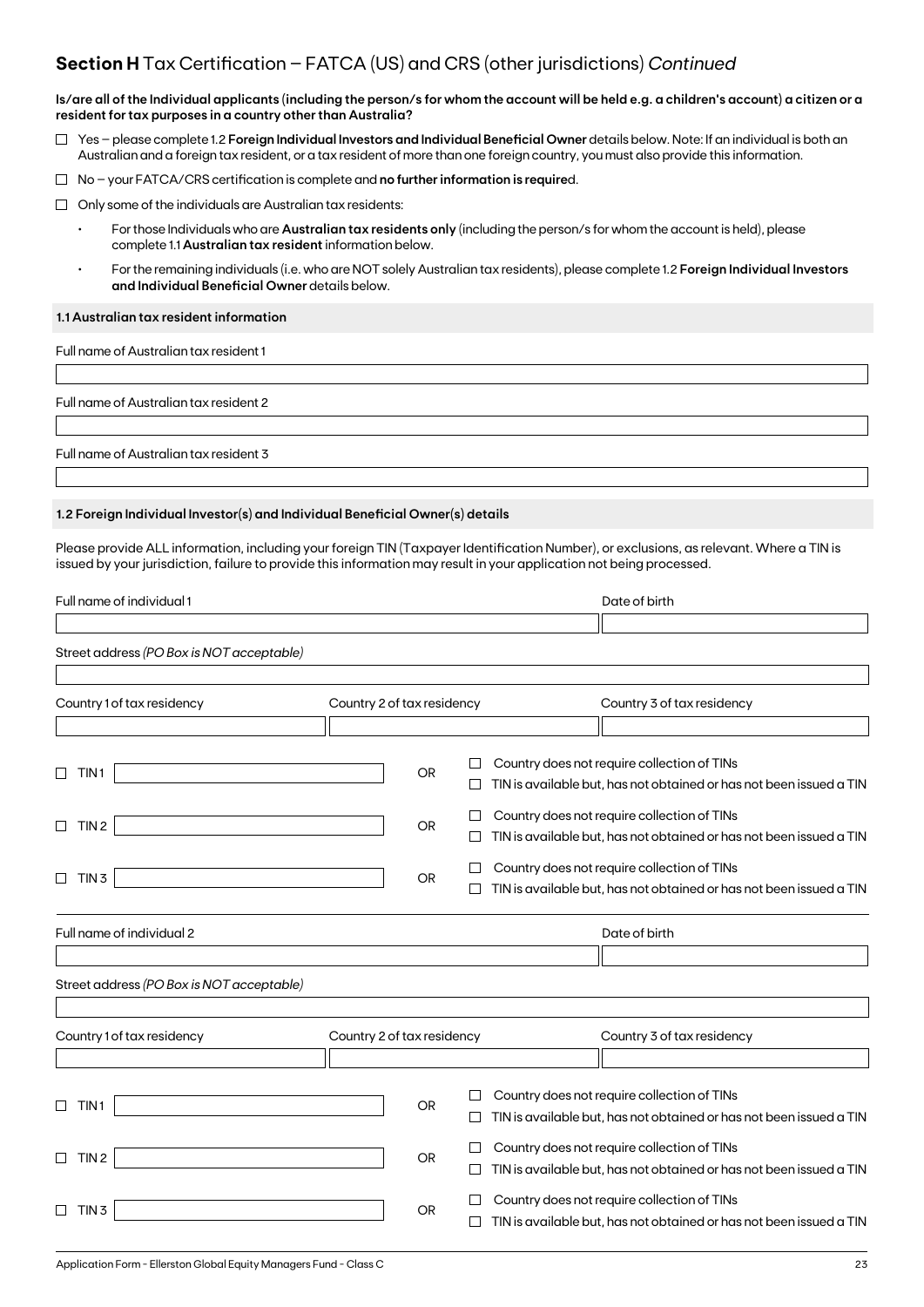### **Section H** Tax Certification – FATCA (US) and CRS (other jurisdictions) *Continued*

**Is/are all of the Individual applicants (including the person/s for whom the account will be held e.g. a children's account) a citizen or a resident for tax purposes in a country other than Australia?**

- Yes please complete 1.2 **Foreign Individual Investors and Individual Beneficial Owner** details below. Note: If an individual is both an Australian and a foreign tax resident, or a tax resident of more than one foreign country, you must also provide this information.
- No your FATCA/CRS certification is complete and **no further information is require**d.
- $\Box$  Only some of the individuals are Australian tax residents:
	- For those Individuals who are **Australian tax residents only** (including the person/s for whom the account is held), please complete 1.1 **Australian tax resident** information below.
	- For the remaining individuals (i.e. who are NOT solely Australian tax residents), please complete 1.2 **Foreign Individual Investors and Individual Beneficial Owner** details below.

#### **1.1 Australian tax resident information**

Full name of Australian tax resident 1

Full name of Australian tax resident 2

Full name of Australian tax resident 3

#### **1.2 Foreign Individual Investor(s) and Individual Beneficial Owner(s) details**

Please provide ALL information, including your foreign TIN (Taxpayer Identification Number), or exclusions, as relevant. Where a TIN is issued by your jurisdiction, failure to provide this information may result in your application not being processed.

| Full name of individual 1                 |                            |           |   | Date of birth                                                       |
|-------------------------------------------|----------------------------|-----------|---|---------------------------------------------------------------------|
|                                           |                            |           |   |                                                                     |
| Street address (PO Box is NOT acceptable) |                            |           |   |                                                                     |
|                                           |                            |           |   |                                                                     |
| Country 1 of tax residency                | Country 2 of tax residency |           |   | Country 3 of tax residency                                          |
|                                           |                            |           |   |                                                                     |
|                                           |                            |           |   | Country does not require collection of TINs                         |
| TIN <sub>1</sub>                          |                            | <b>OR</b> |   | TIN is available but, has not obtained or has not been issued a TIN |
|                                           |                            |           |   | Country does not require collection of TINs                         |
| TIN <sub>2</sub><br>$\Box$                |                            | <b>OR</b> |   | TIN is available but, has not obtained or has not been issued a TIN |
|                                           |                            |           |   | Country does not require collection of TINs                         |
| TIN <sub>3</sub><br>□                     |                            | <b>OR</b> |   | TIN is available but, has not obtained or has not been issued a TIN |
| Full name of individual 2                 |                            |           |   | Date of birth                                                       |
|                                           |                            |           |   |                                                                     |
| Street address (PO Box is NOT acceptable) |                            |           |   |                                                                     |
|                                           |                            |           |   |                                                                     |
| Country 1 of tax residency                | Country 2 of tax residency |           |   | Country 3 of tax residency                                          |
|                                           |                            |           |   |                                                                     |
|                                           |                            |           |   | Country does not require collection of TINs                         |
| TIN <sub>1</sub>                          |                            | <b>OR</b> |   | TIN is available but, has not obtained or has not been issued a TIN |
|                                           |                            |           | □ | Country does not require collection of TINs                         |
| TIN <sub>2</sub><br>П                     |                            | <b>OR</b> |   | TIN is available but, has not obtained or has not been issued a TIN |
|                                           |                            |           |   | Country does not require collection of TINs                         |
| TIN <sub>3</sub>                          |                            | OR        |   | TIN is available but, has not obtained or has not been issued a TIN |
|                                           |                            |           |   |                                                                     |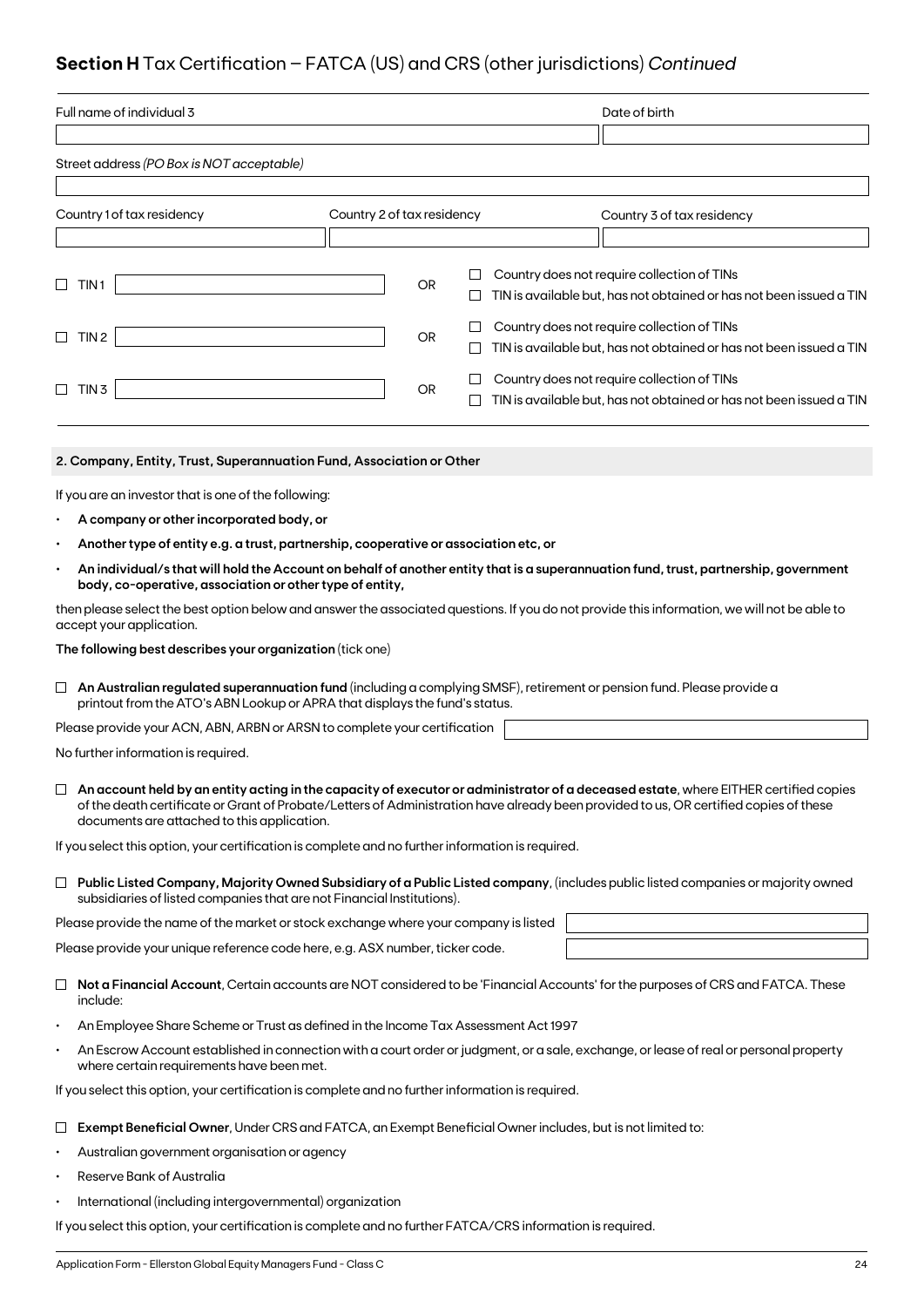## **Section H** Tax Certification – FATCA (US) and CRS (other jurisdictions) *Continued*

| Full name of individual 3                                                                                                   |                                                                                                           |           |        | Date of birth                                                                                                                                                                                                                                                                 |  |  |
|-----------------------------------------------------------------------------------------------------------------------------|-----------------------------------------------------------------------------------------------------------|-----------|--------|-------------------------------------------------------------------------------------------------------------------------------------------------------------------------------------------------------------------------------------------------------------------------------|--|--|
|                                                                                                                             |                                                                                                           |           |        |                                                                                                                                                                                                                                                                               |  |  |
| Street address (PO Box is NOT acceptable)                                                                                   |                                                                                                           |           |        |                                                                                                                                                                                                                                                                               |  |  |
|                                                                                                                             |                                                                                                           |           |        |                                                                                                                                                                                                                                                                               |  |  |
| Country 1 of tax residency                                                                                                  | Country 2 of tax residency                                                                                |           |        | Country 3 of tax residency                                                                                                                                                                                                                                                    |  |  |
|                                                                                                                             |                                                                                                           |           |        |                                                                                                                                                                                                                                                                               |  |  |
| □<br>TIN 1                                                                                                                  |                                                                                                           | <b>OR</b> | Ш      | Country does not require collection of TINs<br>TIN is available but, has not obtained or has not been issued a TIN                                                                                                                                                            |  |  |
|                                                                                                                             |                                                                                                           |           | ⊔      | Country does not require collection of TINs                                                                                                                                                                                                                                   |  |  |
| TIN 2<br>$\Box$                                                                                                             |                                                                                                           | <b>OR</b> | $\Box$ | TIN is available but, has not obtained or has not been issued a TIN                                                                                                                                                                                                           |  |  |
| $\Box$ TIN 3                                                                                                                |                                                                                                           | OR        |        | Country does not require collection of TINs<br>TIN is available but, has not obtained or has not been issued a TIN                                                                                                                                                            |  |  |
|                                                                                                                             |                                                                                                           |           | ப      |                                                                                                                                                                                                                                                                               |  |  |
|                                                                                                                             |                                                                                                           |           |        |                                                                                                                                                                                                                                                                               |  |  |
| 2. Company, Entity, Trust, Superannuation Fund, Association or Other                                                        |                                                                                                           |           |        |                                                                                                                                                                                                                                                                               |  |  |
| If you are an investor that is one of the following:                                                                        |                                                                                                           |           |        |                                                                                                                                                                                                                                                                               |  |  |
| A company or other incorporated body, or                                                                                    |                                                                                                           |           |        |                                                                                                                                                                                                                                                                               |  |  |
| Another type of entity e.g. a trust, partnership, cooperative or association etc, or                                        |                                                                                                           |           |        |                                                                                                                                                                                                                                                                               |  |  |
| body, co-operative, association or other type of entity,                                                                    |                                                                                                           |           |        | An individual/s that will hold the Account on behalf of another entity that is a superannuation fund, trust, partnership, government                                                                                                                                          |  |  |
| accept your application.                                                                                                    |                                                                                                           |           |        | then please select the best option below and answer the associated questions. If you do not provide this information, we will not be able to                                                                                                                                  |  |  |
| The following best describes your organization (tick one)                                                                   |                                                                                                           |           |        |                                                                                                                                                                                                                                                                               |  |  |
| An Australian regulated superannuation fund (including a complying SMSF), retirement or pension fund. Please provide a<br>⊔ |                                                                                                           |           |        |                                                                                                                                                                                                                                                                               |  |  |
| printout from the ATO's ABN Lookup or APRA that displays the fund's status.                                                 |                                                                                                           |           |        |                                                                                                                                                                                                                                                                               |  |  |
| Please provide your ACN, ABN, ARBN or ARSN to complete your certification                                                   |                                                                                                           |           |        |                                                                                                                                                                                                                                                                               |  |  |
| No further information is required.                                                                                         |                                                                                                           |           |        |                                                                                                                                                                                                                                                                               |  |  |
| documents are attached to this application.                                                                                 |                                                                                                           |           |        | An account held by an entity acting in the capacity of executor or administrator of a deceased estate, where EITHER certified copies<br>of the death certificate or Grant of Probate/Letters of Administration have already been provided to us, OR certified copies of these |  |  |
| If you select this option, your certification is complete and no further information is required.                           |                                                                                                           |           |        |                                                                                                                                                                                                                                                                               |  |  |
|                                                                                                                             |                                                                                                           |           |        | $\Box$ Public Listed Company, Majority Owned Subsidiary of a Public Listed company, (includes public listed companies or majority owned                                                                                                                                       |  |  |
| subsidiaries of listed companies that are not Financial Institutions).                                                      |                                                                                                           |           |        |                                                                                                                                                                                                                                                                               |  |  |
| Please provide the name of the market or stock exchange where your company is listed                                        |                                                                                                           |           |        |                                                                                                                                                                                                                                                                               |  |  |
| Please provide your unique reference code here, e.g. ASX number, ticker code.                                               |                                                                                                           |           |        |                                                                                                                                                                                                                                                                               |  |  |
| include:                                                                                                                    |                                                                                                           |           |        | Not a Financial Account, Certain accounts are NOT considered to be 'Financial Accounts' for the purposes of CRS and FATCA. These                                                                                                                                              |  |  |
| An Employee Share Scheme or Trust as defined in the Income Tax Assessment Act 1997<br>$\bullet$                             |                                                                                                           |           |        |                                                                                                                                                                                                                                                                               |  |  |
| where certain requirements have been met.                                                                                   |                                                                                                           |           |        | An Escrow Account established in connection with a court order or judgment, or a sale, exchange, or lease of real or personal property                                                                                                                                        |  |  |
| If you select this option, your certification is complete and no further information is required.                           |                                                                                                           |           |        |                                                                                                                                                                                                                                                                               |  |  |
|                                                                                                                             | Exempt Beneficial Owner, Under CRS and FATCA, an Exempt Beneficial Owner includes, but is not limited to: |           |        |                                                                                                                                                                                                                                                                               |  |  |

- Australian government organisation or agency
- Reserve Bank of Australia
- International (including intergovernmental) organization

If you select this option, your certification is complete and no further FATCA/CRS information is required.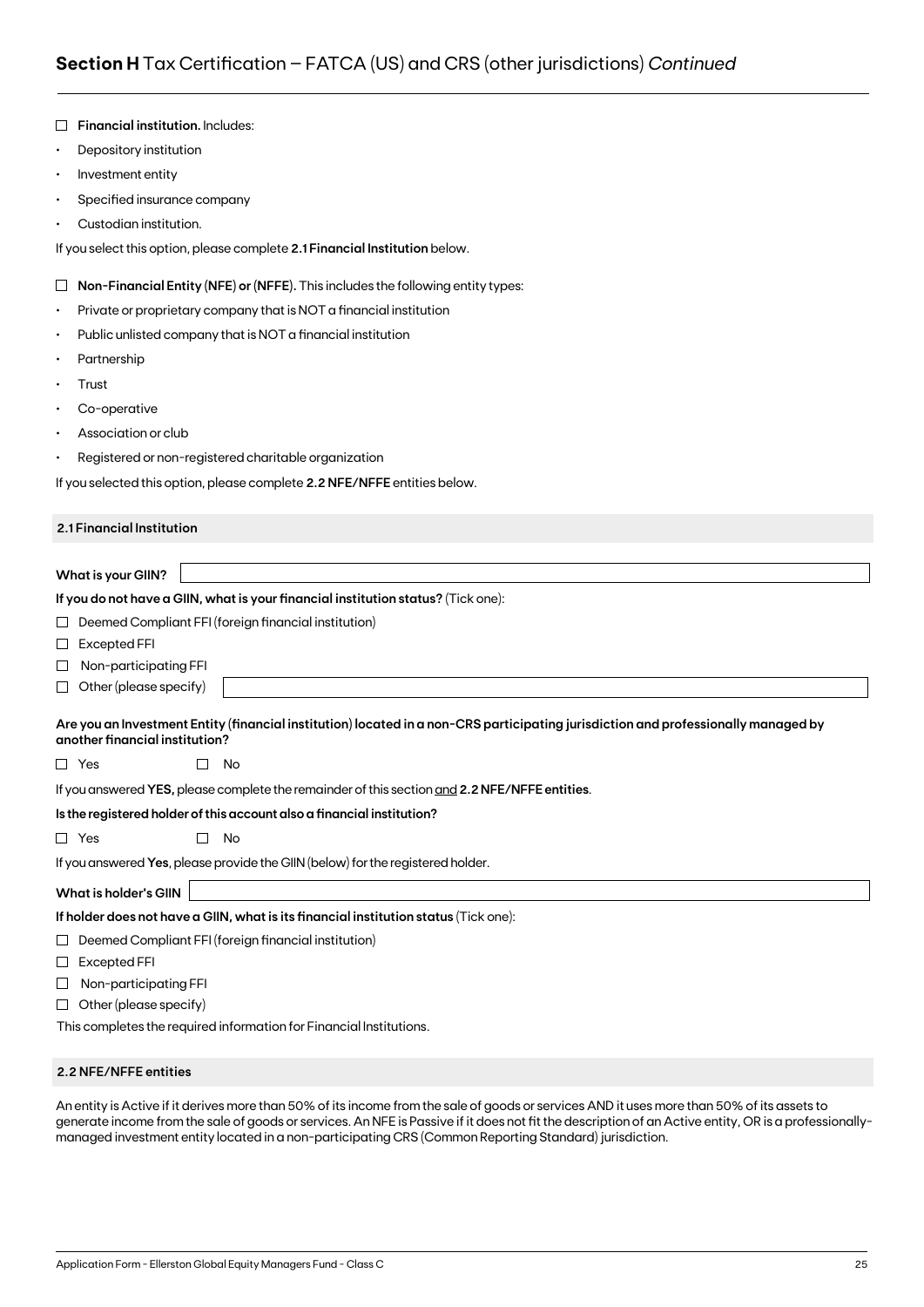|           | <b>Financial institution. Includes:</b>                                                                                                                              |
|-----------|----------------------------------------------------------------------------------------------------------------------------------------------------------------------|
| $\bullet$ | Depository institution                                                                                                                                               |
| $\bullet$ | Investment entity                                                                                                                                                    |
| ٠         | Specified insurance company                                                                                                                                          |
|           | Custodian institution.                                                                                                                                               |
|           | If you select this option, please complete 2.1 Financial Institution below.                                                                                          |
| $\Box$    | Non-Financial Entity (NFE) or (NFFE). This includes the following entity types:                                                                                      |
| ٠         | Private or proprietary company that is NOT a financial institution                                                                                                   |
| ٠         | Public unlisted company that is NOT a financial institution                                                                                                          |
|           | Partnership                                                                                                                                                          |
| ٠         | Trust                                                                                                                                                                |
| ٠         | Co-operative                                                                                                                                                         |
|           | Association or club                                                                                                                                                  |
| ٠         | Registered or non-registered charitable organization                                                                                                                 |
|           | If you selected this option, please complete 2.2 NFE/NFFE entities below.                                                                                            |
|           | 2.1 Financial Institution                                                                                                                                            |
|           |                                                                                                                                                                      |
|           | <b>What is your GIIN?</b>                                                                                                                                            |
|           | If you do not have a GIIN, what is your financial institution status? (Tick one):                                                                                    |
| ப         | Deemed Compliant FFI (foreign financial institution)                                                                                                                 |
| $\sqcup$  | <b>Excepted FFI</b>                                                                                                                                                  |
| ⊔         | Non-participating FFI                                                                                                                                                |
| ⊔         | Other (please specify)                                                                                                                                               |
|           | Are you an Investment Entity (financial institution) located in a non-CRS participating jurisdiction and professionally managed by<br>another financial institution? |
|           | $\Box$ Yes<br>No                                                                                                                                                     |
|           | If you answered YES, please complete the remainder of this section and 2.2 NFE/NFFE entities.                                                                        |
|           | Is the registered holder of this account also a financial institution?                                                                                               |
|           | $\Box$ Yes<br>П<br>No                                                                                                                                                |
|           | If you answered Yes, please provide the GIIN (below) for the registered holder.                                                                                      |
|           | <b>What is holder's GIIN</b>                                                                                                                                         |
|           | If holder does not have a GIIN, what is its financial institution status (Tick one):                                                                                 |
| ⊔         | Deemed Compliant FFI (foreign financial institution)                                                                                                                 |
| ⊔         | Excepted FFI                                                                                                                                                         |
| ⊔         | Non-participating FFI                                                                                                                                                |
| ⊔         | Other (please specify)                                                                                                                                               |
|           | This completes the required information for Financial Institutions.                                                                                                  |

#### **2.2 NFE/NFFE entities**

An entity is Active if it derives more than 50% of its income from the sale of goods or services AND it uses more than 50% of its assets to generate income from the sale of goods or services. An NFE is Passive if it does not fit the description of an Active entity, OR is a professionallymanaged investment entity located in a non-participating CRS (Common Reporting Standard) jurisdiction.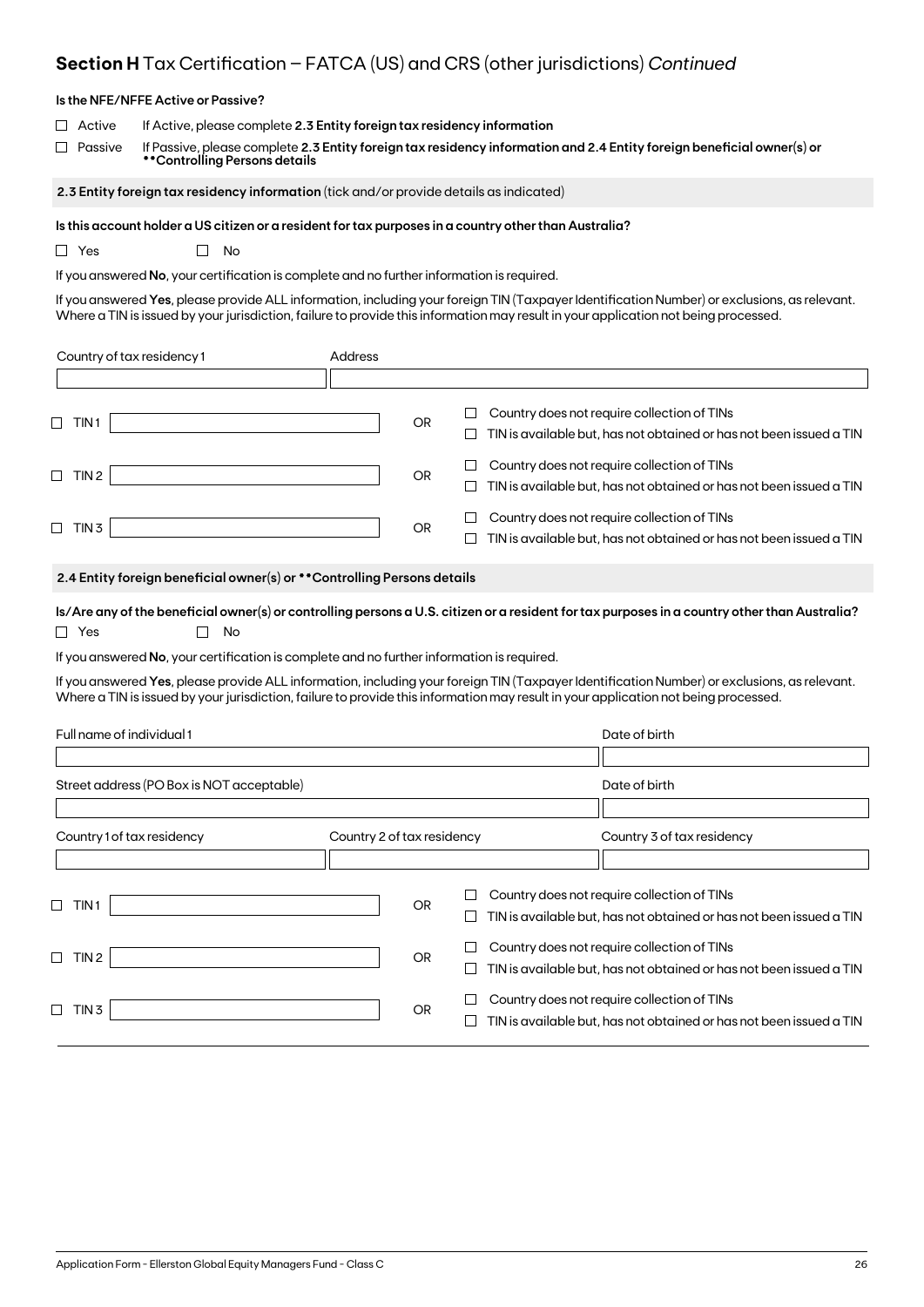## **Section H** Tax Certification – FATCA (US) and CRS (other jurisdictions) *Continued*

|                              | Is the NFE/NFFE Active or Passive?                                                                                                                                                                                                 |                            |           |             |                                                                                                                                                                                                                                                                                     |  |
|------------------------------|------------------------------------------------------------------------------------------------------------------------------------------------------------------------------------------------------------------------------------|----------------------------|-----------|-------------|-------------------------------------------------------------------------------------------------------------------------------------------------------------------------------------------------------------------------------------------------------------------------------------|--|
| Active<br>Passive            | If Active, please complete 2.3 Entity foreign tax residency information<br>If Passive, please complete 2.3 Entity foreign tax residency information and 2.4 Entity foreign beneficial owner(s) or<br>**Controlling Persons details |                            |           |             |                                                                                                                                                                                                                                                                                     |  |
|                              | 2.3 Entity foreign tax residency information (tick and/or provide details as indicated)                                                                                                                                            |                            |           |             |                                                                                                                                                                                                                                                                                     |  |
| $\Box$ Yes                   | Is this account holder a US citizen or a resident for tax purposes in a country other than Australia?<br>No<br>$\mathbf{L}$<br>If you answered No, your certification is complete and no further information is required.          |                            |           |             | If you answered Yes, please provide ALL information, including your foreign TIN (Taxpayer Identification Number) or exclusions, as relevant.<br>Where a TIN is issued by your jurisdiction, failure to provide this information may result in your application not being processed. |  |
| Country of tax residency 1   |                                                                                                                                                                                                                                    | Address                    |           |             |                                                                                                                                                                                                                                                                                     |  |
|                              |                                                                                                                                                                                                                                    |                            |           |             |                                                                                                                                                                                                                                                                                     |  |
| $\Box$ TIN1                  |                                                                                                                                                                                                                                    |                            | <b>OR</b> | $\Box$<br>⊔ | Country does not require collection of TINs<br>TIN is available but, has not obtained or has not been issued a TIN                                                                                                                                                                  |  |
| $\Box$ TIN 2                 |                                                                                                                                                                                                                                    |                            | OR        | ப<br>ப      | Country does not require collection of TINs<br>TIN is available but, has not obtained or has not been issued a TIN                                                                                                                                                                  |  |
| $\Box$ TIN 3                 |                                                                                                                                                                                                                                    |                            | OR        |             | Country does not require collection of TINs<br>TIN is available but, has not obtained or has not been issued a TIN                                                                                                                                                                  |  |
|                              | 2.4 Entity foreign beneficial owner(s) or ** Controlling Persons details                                                                                                                                                           |                            |           |             |                                                                                                                                                                                                                                                                                     |  |
| $\Box$ Yes                   | No                                                                                                                                                                                                                                 |                            |           |             | Is/Are any of the beneficial owner(s) or controlling persons a U.S. citizen or a resident for tax purposes in a country other than Australia?                                                                                                                                       |  |
|                              | If you answered No, your certification is complete and no further information is required.                                                                                                                                         |                            |           |             |                                                                                                                                                                                                                                                                                     |  |
|                              |                                                                                                                                                                                                                                    |                            |           |             | If you answered Yes, please provide ALL information, including your foreign TIN (Taxpayer Identification Number) or exclusions, as relevant.<br>Where a TIN is issued by your jurisdiction, failure to provide this information may result in your application not being processed. |  |
| Full name of individual 1    |                                                                                                                                                                                                                                    |                            |           |             | Date of birth                                                                                                                                                                                                                                                                       |  |
|                              | Street address (PO Box is NOT acceptable)                                                                                                                                                                                          |                            |           |             | Date of birth                                                                                                                                                                                                                                                                       |  |
|                              |                                                                                                                                                                                                                                    |                            |           |             |                                                                                                                                                                                                                                                                                     |  |
| Country 1 of tax residency   |                                                                                                                                                                                                                                    | Country 2 of tax residency |           |             | Country 3 of tax residency                                                                                                                                                                                                                                                          |  |
| $\sqcup$<br>TIN <sub>1</sub> |                                                                                                                                                                                                                                    |                            | <b>OR</b> | ப           | Country does not require collection of TINs<br>TIN is available but, has not obtained or has not been issued a TIN                                                                                                                                                                  |  |
| $\Box$ TIN 2                 |                                                                                                                                                                                                                                    |                            | <b>OR</b> | $\Box$<br>ப | Country does not require collection of TINs<br>TIN is available but, has not obtained or has not been issued a TIN                                                                                                                                                                  |  |
| $\Box$ TIN 3                 |                                                                                                                                                                                                                                    |                            | OR        | ப<br>$\Box$ | Country does not require collection of TINs<br>TIN is available but, has not obtained or has not been issued a TIN                                                                                                                                                                  |  |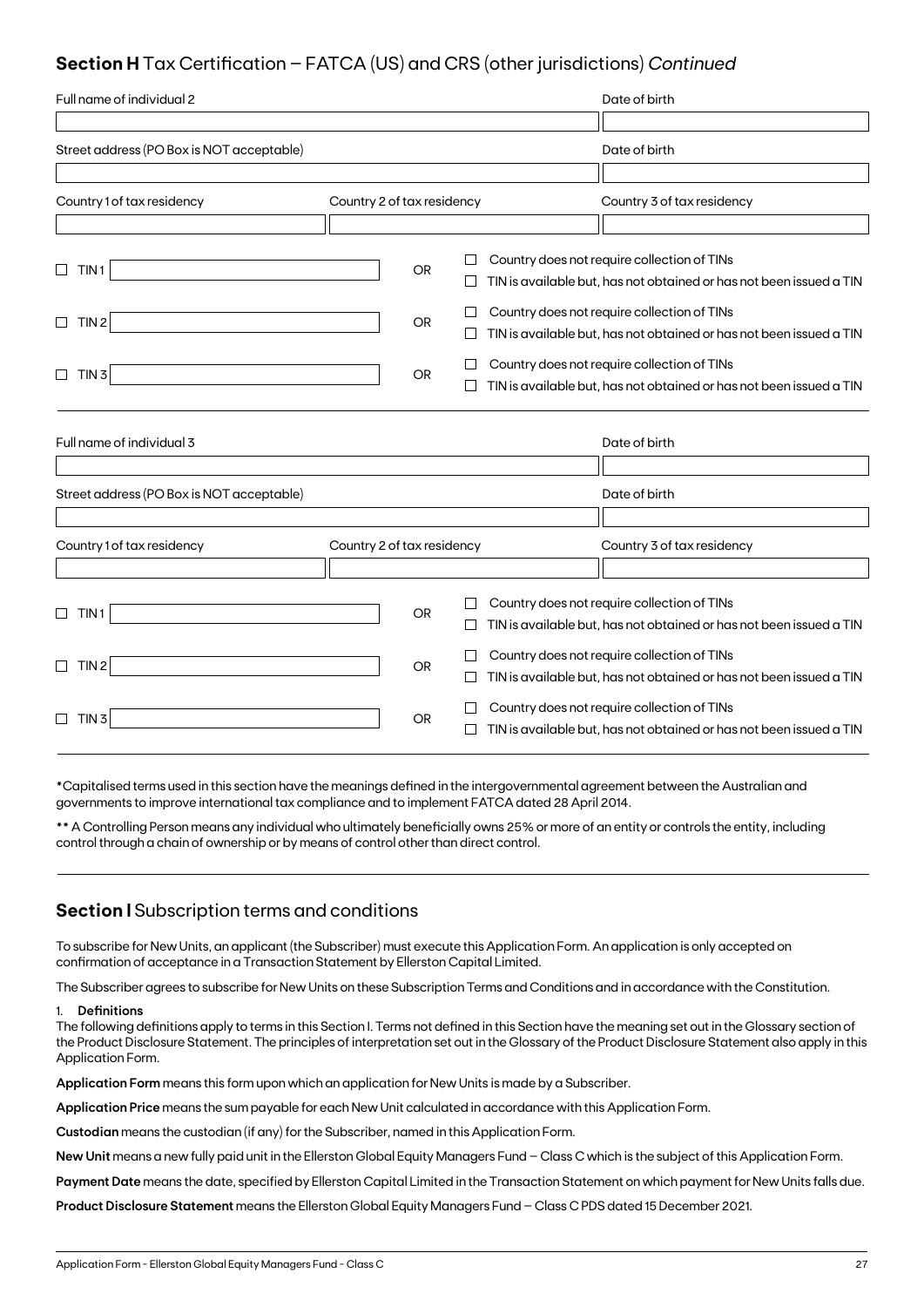## **Section H** Tax Certification – FATCA (US) and CRS (other jurisdictions) *Continued*

| Full name of individual 2                 |                            |           |         | Date of birth                                                                                                      |
|-------------------------------------------|----------------------------|-----------|---------|--------------------------------------------------------------------------------------------------------------------|
|                                           |                            |           |         |                                                                                                                    |
| Street address (PO Box is NOT acceptable) |                            |           |         | Date of birth                                                                                                      |
|                                           |                            |           |         |                                                                                                                    |
| Country 1 of tax residency                | Country 2 of tax residency |           |         | Country 3 of tax residency                                                                                         |
|                                           |                            |           |         |                                                                                                                    |
| $\Box$<br>TIN <sub>1</sub>                |                            | <b>OR</b> |         | Country does not require collection of TINs<br>TIN is available but, has not obtained or has not been issued a TIN |
| TIN <sub>2</sub><br>$\Box$                |                            | <b>OR</b> |         | Country does not require collection of TINs<br>TIN is available but, has not obtained or has not been issued a TIN |
| $\Box$<br>TIN <sub>3</sub>                |                            | <b>OR</b> |         | Country does not require collection of TINs<br>TIN is available but, has not obtained or has not been issued a TIN |
| Full name of individual 3                 |                            |           |         | Date of birth                                                                                                      |
| Street address (PO Box is NOT acceptable) |                            |           |         | Date of birth                                                                                                      |
|                                           |                            |           |         |                                                                                                                    |
| Country 1 of tax residency                | Country 2 of tax residency |           |         | Country 3 of tax residency                                                                                         |
| TIN 1<br>⊔                                |                            | <b>OR</b> | $\perp$ | Country does not require collection of TINs<br>TIN is available but, has not obtained or has not been issued a TIN |
| TIN <sub>2</sub><br>$\Box$                |                            | <b>OR</b> |         | Country does not require collection of TINs<br>TIN is available but, has not obtained or has not been issued a TIN |
| TIN <sub>3</sub><br>$\Box$                |                            | OR.       |         | Country does not require collection of TINs<br>TIN is available but, has not obtained or has not been issued a TIN |

\*Capitalised terms used in this section have the meanings defined in the intergovernmental agreement between the Australian and governments to improve international tax compliance and to implement FATCA dated 28 April 2014.

\*\* A Controlling Person means any individual who ultimately beneficially owns 25% or more of an entity or controls the entity, including control through a chain of ownership or by means of control other than direct control.

### **Section I** Subscription terms and conditions

To subscribe for New Units, an applicant (the Subscriber) must execute this Application Form. An application is only accepted on confirmation of acceptance in a Transaction Statement by Ellerston Capital Limited.

The Subscriber agrees to subscribe for New Units on these Subscription Terms and Conditions and in accordance with the Constitution.

#### 1. **Definitions**

The following definitions apply to terms in this Section I. Terms not defined in this Section have the meaning set out in the Glossary section of the Product Disclosure Statement. The principles of interpretation set outin the Glossary of the Product Disclosure Statement also apply in this Application Form.

**Application Form** means this form upon which an application for New Units is made by a Subscriber.

**Application Price** means the sum payable for each New Unit calculated in accordance with this Application Form.

**Custodian** means the custodian (if any) for the Subscriber, named in this Application Form.

**New Unit** means a new fully paid unit in the Ellerston Global Equity Managers Fund – Class C which is the subject of this Application Form.

**Payment Date** means the date, specified by Ellerston Capital Limited in the Transaction Statement on which payment for New Units falls due.

**Product Disclosure Statement** means the Ellerston Global Equity Managers Fund– Class C PDS dated 15 December 2021.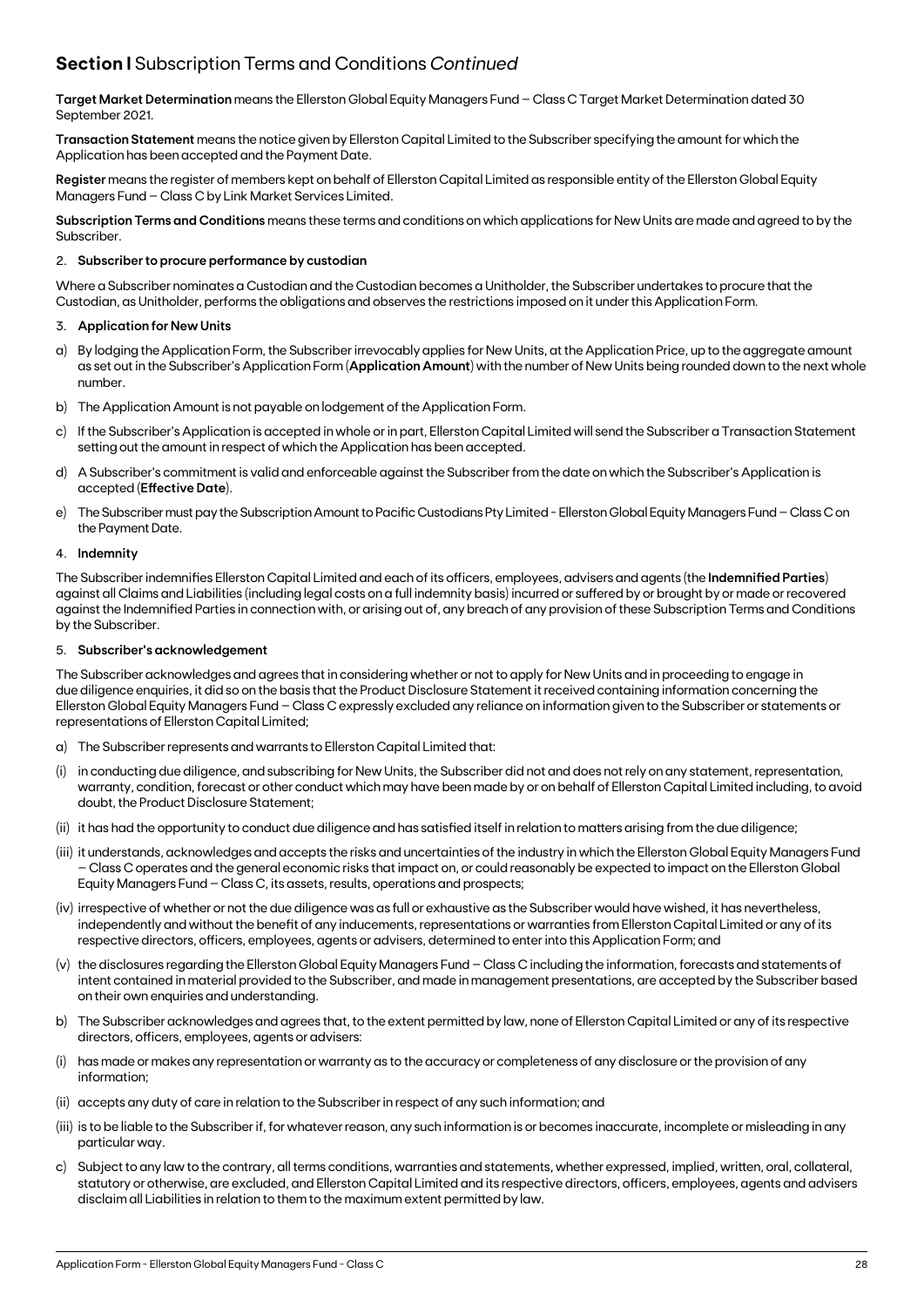## **Section I** Subscription Terms and Conditions *Continued*

**Target Market Determination** means the Ellerston Global Equity Managers Fund – Class C Target Market Determination dated 30 September 2021.

**Transaction Statement** means the notice given by Ellerston Capital Limited to the Subscriber specifying the amount for which the Application has been accepted and the Payment Date.

**Register** means the register of members kept on behalf of Ellerston Capital Limited as responsible entity of the Ellerston Global Equity Managers Fund – Class C by Link Market Services Limited.

**Subscription Terms and Conditions** means these terms and conditions on which applications for New Units are made and agreed to by the Subscriber.

#### 2. **Subscriber to procure performance by custodian**

Where a Subscriber nominates a Custodian and the Custodian becomes a Unitholder, the Subscriber undertakes to procure that the Custodian, as Unitholder, performs the obligations and observes the restrictions imposed on it under this Application Form.

#### 3. **Application for New Units**

- a) By lodging the Application Form, the Subscriber irrevocably applies for New Units, at the Application Price, up to the aggregate amount as set out in the Subscriber's Application Form (**Application Amount**) with the number of New Units being rounded down to the next whole number.
- b) The Application Amount is not payable on lodgement of the Application Form.
- c) If the Subscriber's Application is accepted in whole or in part, Ellerston Capital Limited will send the Subscriber a Transaction Statement setting out the amount in respect of which the Application has been accepted.
- d) A Subscriber's commitment is valid and enforceable against the Subscriber from the date on which the Subscriber's Application is accepted (**Effective Date**).
- e) The Subscriber must pay the Subscription Amount to Pacific Custodians Pty Limited Ellerston Global Equity Managers Fund Class C on the Payment Date.

#### 4. **Indemnity**

The Subscriber indemnifies Ellerston Capital Limited and each of its officers, employees, advisers and agents (the **Indemnified Parties**) against all Claims and Liabilities (including legal costs on a full indemnity basis) incurred or suffered by or brought by or made or recovered against the Indemnified Parties in connection with, or arising out of, any breach of any provision of these Subscription Terms and Conditions by the Subscriber.

#### 5. **Subscriber's acknowledgement**

The Subscriber acknowledges and agrees that in considering whether or not to apply for New Units and in proceeding to engage in due diligence enquiries, it did so on the basis that the Product Disclosure Statement it received containing information concerning the Ellerston Global Equity Managers Fund – Class C expressly excluded any reliance on information given to the Subscriber or statements or representations of Ellerston Capital Limited;

- a) The Subscriber represents and warrants to Ellerston Capital Limited that:
- (i) in conducting due diligence, and subscribing for New Units, the Subscriber did not and does not rely on any statement, representation, warranty, condition, forecast or other conduct which may have been made by or on behalf of Ellerston Capital Limited including, to avoid doubt, the Product Disclosure Statement;
- (ii) it has had the opportunity to conduct due diligence and has satisfied itself in relation to matters arising from the due diligence;
- (iii) it understands, acknowledges and accepts the risks and uncertainties of the industry in which the Ellerston Global Equity Managers Fund – Class C operates and the general economic risks that impact on, or could reasonably be expected to impact on the Ellerston Global Equity Managers Fund – Class C, its assets, results, operations and prospects;
- (iv) irrespective of whether or not the due diligence was as full or exhaustive as the Subscriber would have wished, it has nevertheless, independently and without the benefit of any inducements, representations or warranties from Ellerston Capital Limited or any of its respective directors, officers, employees, agents or advisers, determined to enter into this Application Form; and
- (v) the disclosures regarding the Ellerston Global Equity Managers Fund Class C including the information, forecasts and statements of intent contained in material provided to the Subscriber, and made in management presentations, are accepted by the Subscriber based on their own enquiries and understanding.
- b) The Subscriber acknowledges and agrees that, to the extent permitted by law, none of Ellerston Capital Limited or any of its respective directors, officers, employees, agents or advisers:
- has made or makes any representation or warranty as to the accuracy or completeness of any disclosure or the provision of any information;
- (ii) accepts any duty of care in relation to the Subscriber in respect of any such information; and
- (iii) is to be liable to the Subscriber if, for whatever reason, any such information is or becomes inaccurate, incomplete or misleading in any particular way.
- c) Subject to any law to the contrary, all terms conditions, warranties and statements, whether expressed, implied, written, oral, collateral, statutory or otherwise, are excluded, and Ellerston Capital Limited and its respective directors, officers, employees, agents and advisers disclaim all Liabilities in relation to them to the maximum extent permitted by law.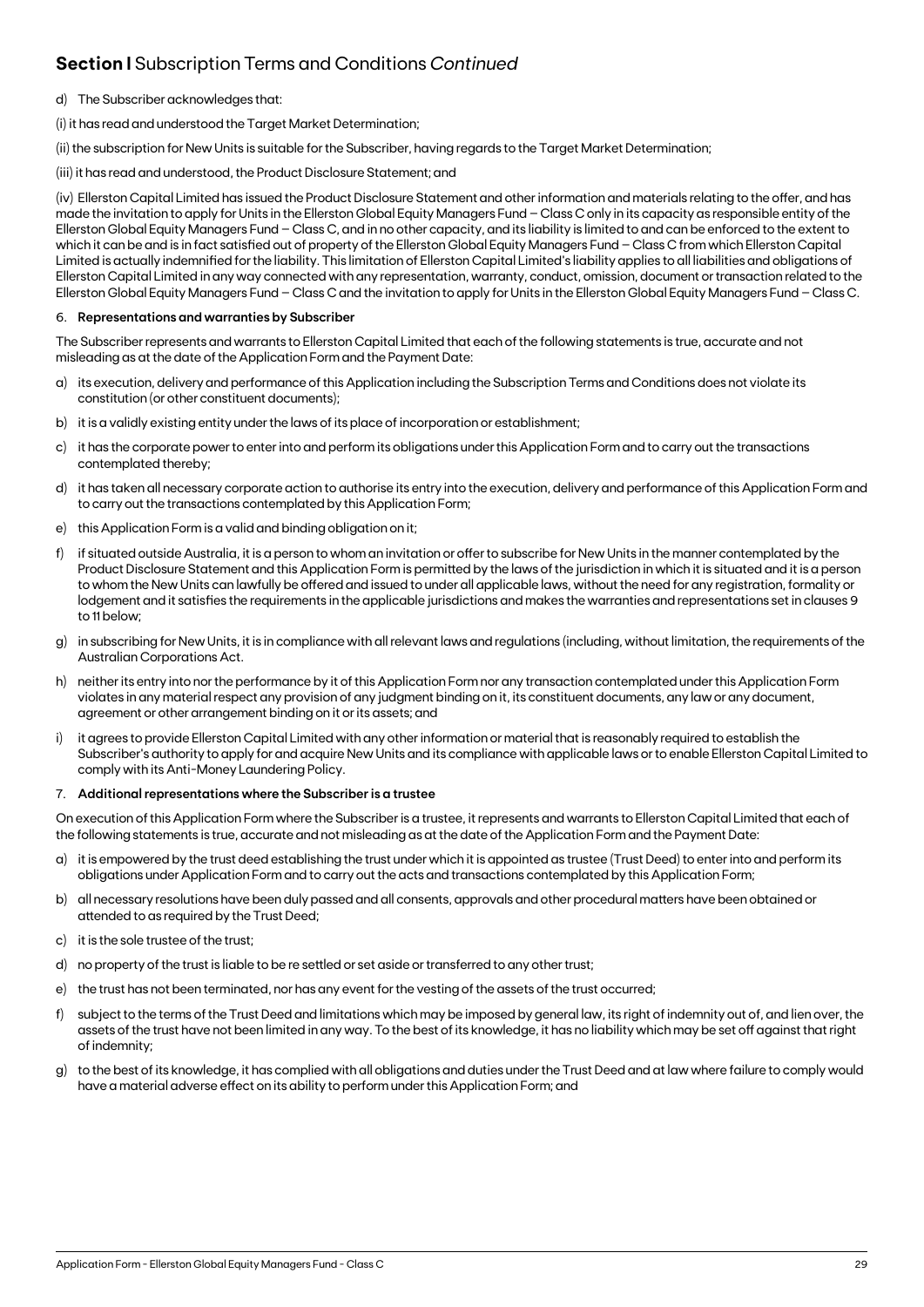## **Section I** Subscription Terms and Conditions *Continued*

- d) The Subscriber acknowledges that:
- (i) it has read and understood the Target Market Determination;

(ii) the subscription for New Units is suitable for the Subscriber, having regards to the Target Market Determination;

(iii) it has read and understood, the Product Disclosure Statement; and

(iv) Ellerston Capital Limited has issued the Product Disclosure Statement and other information and materials relating to the offer, and has made the invitation to apply for Units in the Ellerston Global Equity Managers Fund – Class C only in its capacity as responsible entity of the Ellerston Global Equity Managers Fund – Class C, and in no other capacity, and its liability is limited to and can be enforced to the extent to which it can be and is in fact satisfied out of property of the Ellerston Global Equity Managers Fund – Class C from which Ellerston Capital Limited is actually indemnified for the liability. This limitation of Ellerston Capital Limited's liability applies to all liabilities and obligations of Ellerston Capital Limited in any way connected with any representation, warranty, conduct, omission, document or transaction related to the Ellerston Global Equity Managers Fund – Class C and the invitation to apply for Units in the Ellerston Global Equity Managers Fund – Class C.

#### 6. **Representations and warranties by Subscriber**

The Subscriber represents and warrants to Ellerston Capital Limited that each of the following statements is true, accurate and not misleading as at the date of the Application Form and the Payment Date:

- a) its execution, delivery and performance of this Application including the Subscription Terms and Conditions does not violate its constitution (or other constituent documents);
- b) it is a validly existing entity under the laws of its place of incorporation or establishment;
- c) it has the corporate power to enter into and perform its obligations under this Application Form and to carry out the transactions contemplated thereby;
- d) it has taken all necessary corporate action to authorise its entry into the execution, delivery and performance of this Application Form and to carry out the transactions contemplated by this Application Form;
- e) this Application Form is a valid and binding obligation on it;
- f) if situated outside Australia, it is a person to whom an invitation or offer to subscribe for New Units in the manner contemplated by the Product Disclosure Statement and this Application Form is permitted by the laws of the jurisdiction in which it is situated and it is a person to whom the New Units can lawfully be offered and issued to under all applicable laws, without the need for any registration, formality or lodgement and it satisfies the requirements in the applicable jurisdictions and makes the warranties and representations set in clauses 9 to 11 below;
- g) in subscribing for New Units, it is in compliance with all relevant laws and regulations (including, without limitation, the requirements of the Australian Corporations Act.
- h) neither its entry into nor the performance by it of this Application Form nor any transaction contemplated under this Application Form violates in any material respect any provision of any judgment binding on it, its constituent documents, any law or any document, agreement or other arrangement binding on it or its assets; and
- i) it agrees to provide Ellerston Capital Limited with any other information or material that is reasonably required to establish the Subscriber's authority to apply for and acquire New Units and its compliance with applicable laws or to enable Ellerston Capital Limited to comply with its Anti-Money Laundering Policy.

#### 7. **Additional representations where the Subscriber is a trustee**

On execution of this Application Form where the Subscriber is a trustee, it represents and warrants to Ellerston Capital Limited that each of the following statements is true, accurate and not misleading as at the date of the Application Form and the Payment Date:

- a) it is empowered by the trust deed establishing the trust under which it is appointed as trustee (Trust Deed) to enter into and perform its obligations under Application Form and to carry out the acts and transactions contemplated by this Application Form;
- b) all necessary resolutions have been duly passed and all consents, approvals and other procedural matters have been obtained or attended to as required by the Trust Deed;
- c) it is the sole trustee of the trust;
- d) no property of the trust is liable to be re settled or set aside or transferred to any other trust;
- e) the trust has not been terminated, nor has any event for the vesting of the assets of the trust occurred;
- f) subject to the terms of the Trust Deed and limitations which may be imposed by general law, its right of indemnity out of, and lien over, the assets of the trust have not been limited in any way. To the best of its knowledge, it has no liability which may be set off against that right of indemnity;
- g) to the best of its knowledge, it has complied with all obligations and duties under the Trust Deed and at law where failure to comply would have a material adverse effect on its ability to perform under this Application Form; and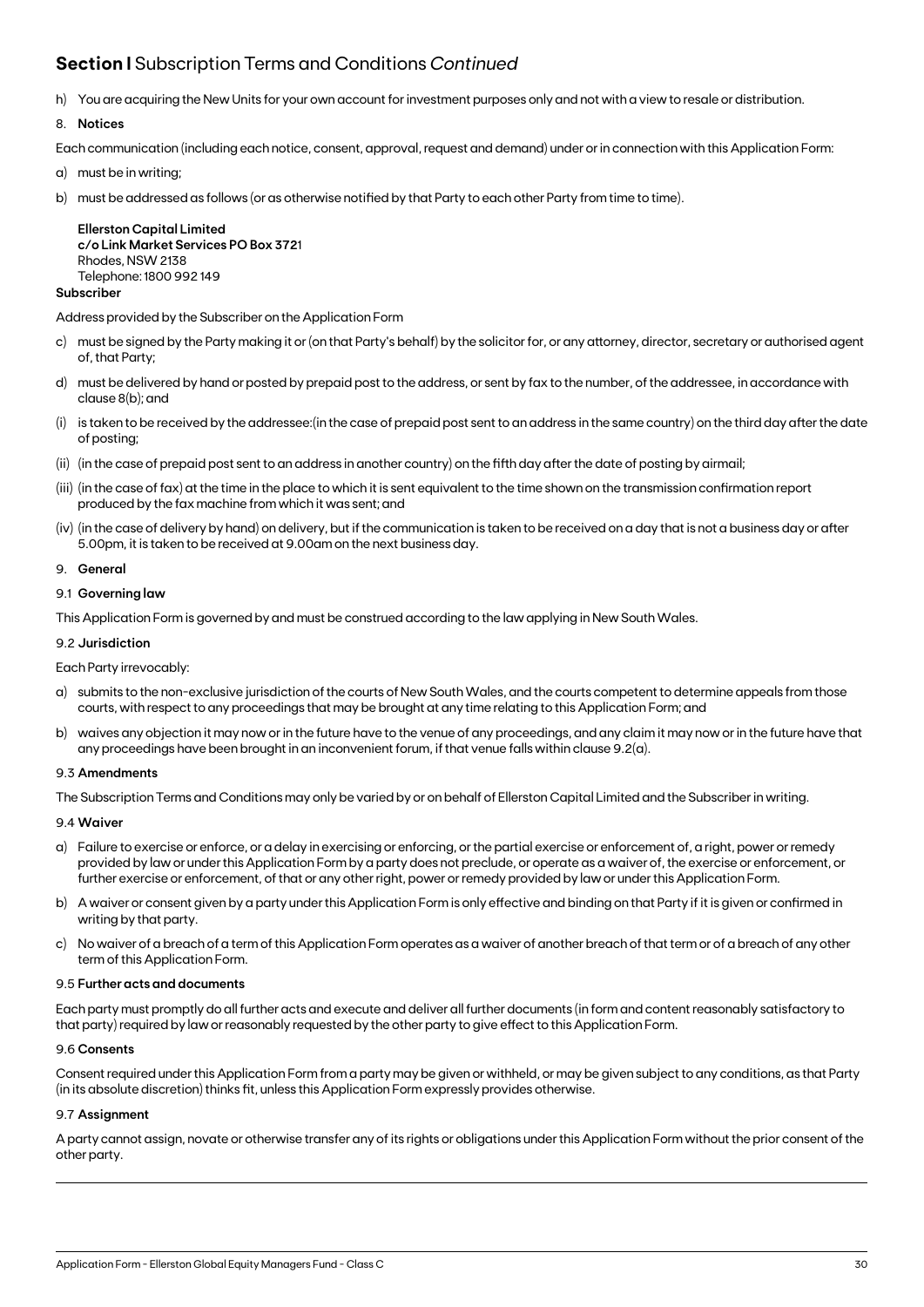## **Section I** Subscription Terms and Conditions *Continued*

h) You are acquiring the New Units for your own account for investment purposes only and not with a view to resale or distribution.

#### 8. **Notices**

Each communication (including each notice, consent, approval, request and demand) under or in connection with this Application Form:

- a) must be in writing;
- b) must be addressed as follows (or as otherwise notified by that Party to each other Party from time to time).

**Ellerston Capital Limited c/o Link Market Services PO Box 372**1 Rhodes, NSW 2138 Telephone: 1800 992 149

#### **Subscriber**

Address provided by the Subscriber on the Application Form

- c) must be signed by the Party making it or (on that Party's behalf) by the solicitor for, or any attorney, director, secretary or authorised agent of, that Party;
- d) must be delivered by hand or posted by prepaid post to the address, or sent by fax to the number, of the addressee, in accordance with clause 8(b); and
- (i) is taken to be received by the addressee:(in the case of prepaid post sent to an address in the same country) on the third day after the date of posting;
- (ii) (in the case of prepaid post sent to an address in another country) on the fifth day after the date of posting by airmail;
- (iii) (in the case of fax) at the time in the place to which it is sent equivalent to the time shown on the transmission confirmation report produced by the fax machine from which it was sent; and
- (iv) (in the case of delivery by hand) on delivery, but if the communication is taken to be received on a day that is not a business day or after 5.00pm, it is taken to be received at 9.00am on the next business day.

#### 9. **General**

#### 9.1 **Governing law**

This Application Form is governed by and must be construed according to the law applying in New South Wales.

#### 9.2 **Jurisdiction**

#### Each Party irrevocably:

- a) submits to the non-exclusive jurisdiction of the courts of New South Wales, and the courts competent to determine appeals from those courts, with respect to any proceedings that may be brought at any time relating to this Application Form; and
- b) waives any objection it may now or in the future have to the venue of any proceedings, and any claim it may now or in the future have that any proceedings have been brought in an inconvenient forum, if that venue falls within clause 9.2(a).

#### 9.3 **Amendments**

The Subscription Terms and Conditions may only be varied by or on behalf of Ellerston Capital Limited and the Subscriber in writing.

#### 9.4 **Waiver**

- a) Failure to exercise or enforce, or a delay in exercising or enforcing, or the partial exercise or enforcement of, a right, power or remedy provided by law or under this Application Form by a party does not preclude, or operate as a waiver of, the exercise or enforcement, or further exercise or enforcement, of that or any other right, power or remedy provided by law or under this Application Form.
- b) A waiver or consent given by a party under this Application Form is only effective and binding on that Party if it is given or confirmed in writing by that party.
- c) No waiver of a breach of a term of this Application Form operates as a waiver of another breach of that term or of a breach of any other term of this Application Form.

#### 9.5 **Further acts and documents**

Each party must promptly do all further acts and execute and deliver all further documents (in form and content reasonably satisfactory to that party) required by law or reasonably requested by the other party to give effect to this Application Form.

#### 9.6 **Consents**

Consent required under this Application Form from a party may be given or withheld, or may be given subject to any conditions, as that Party (in its absolute discretion) thinks fit, unless this Application Form expressly provides otherwise.

#### 9.7 **Assignment**

A party cannot assign, novate or otherwise transfer any of its rights or obligations under this Application Form without the prior consent of the other party.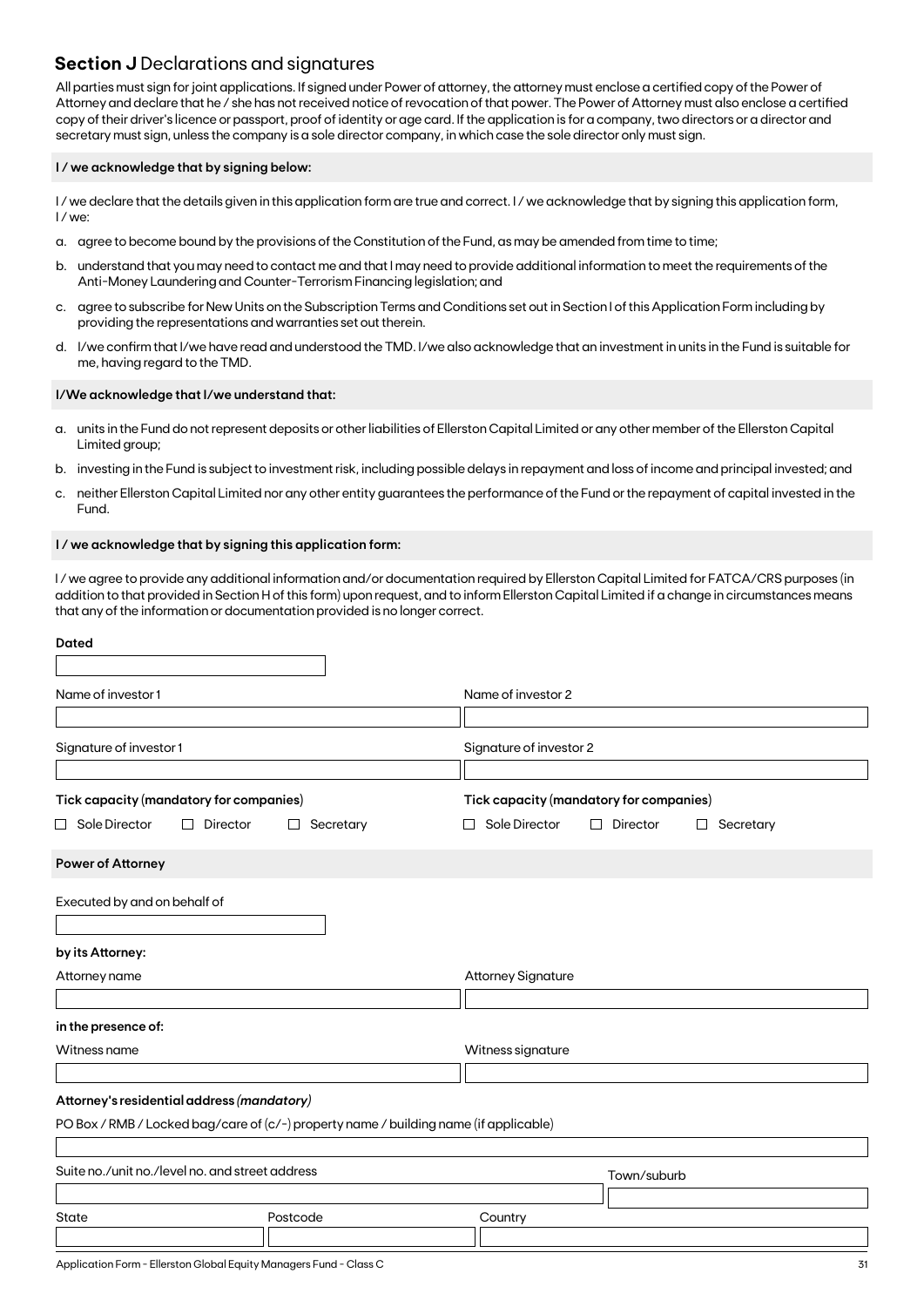### **Section J** Declarations and signatures

All parties must sign for joint applications. If signed under Power of attorney, the attorney must enclose a certified copy of the Power of Attorney and declare that he / she has not received notice of revocation of that power. The Power of Attorney must also enclose a certified copy of their driver's licence or passport, proof of identity or age card. If the application is for a company, two directors or a director and secretary must sign, unless the company is a sole director company, in which case the sole director only must sign.

#### **I / we acknowledge that by signing below:**

I/we declare that the details given in this application form are true and correct. I/we acknowledge that by signing this application form, I / we:

- a. agree to become bound by the provisions of the Constitution of the Fund, as may be amended from time to time;
- b. understand that you may need to contact me and that I may need to provide additional information to meet the requirements of the Anti-Money Laundering and Counter-Terrorism Financing legislation; and
- c. agree to subscribe for New Units on the Subscription Terms and Conditions set out in Section I of this Application Form including by providing the representations and warranties set out therein.
- d. I/we confirm that I/we have read and understood the TMD. I/we also acknowledge that an investment in units in the Fund is suitable for me, having regard to the TMD.

#### **I/We acknowledge that I/we understand that:**

- a. units in the Fund do not represent deposits or other liabilities of Ellerston Capital Limited or any other member of the Ellerston Capital Limited group;
- b. investing in the Fund is subject to investment risk, including possible delays in repayment and loss of income and principal invested; and
- c. neither Ellerston Capital Limited nor any other entity guarantees the performance of the Fund or the repayment of capital invested in the Fund.

#### **I / we acknowledge that by signing this application form:**

I / we agree to provide any additional information and/or documentation required by Ellerston Capital Limited for FATCA/CRS purposes (in addition to that provided in Section H of this form) upon request, and to inform Ellerston Capital Limited if a change in circumstances means that any of the information or documentation provided is no longer correct.

| <b>Dated</b>                                                         |                                                                                       |                                                                                                                  |
|----------------------------------------------------------------------|---------------------------------------------------------------------------------------|------------------------------------------------------------------------------------------------------------------|
| Name of investor 1                                                   |                                                                                       | Name of investor 2                                                                                               |
| Signature of investor 1                                              |                                                                                       | Signature of investor 2                                                                                          |
| Tick capacity (mandatory for companies)<br>$\Box$ Sole Director<br>П | Director<br>Secretary<br>$\Box$                                                       | Tick capacity (mandatory for companies)<br>Sole Director<br>Director<br>□<br>Secretary<br>$\Box$<br>$\mathbf{I}$ |
| <b>Power of Attorney</b>                                             |                                                                                       |                                                                                                                  |
| Executed by and on behalf of                                         |                                                                                       |                                                                                                                  |
| by its Attorney:                                                     |                                                                                       |                                                                                                                  |
| Attorney name                                                        |                                                                                       | <b>Attorney Signature</b>                                                                                        |
| in the presence of:                                                  |                                                                                       |                                                                                                                  |
| Witness name                                                         |                                                                                       | Witness signature                                                                                                |
| Attorney's residential address (mandatory)                           |                                                                                       |                                                                                                                  |
|                                                                      | PO Box / RMB / Locked bag/care of (c/-) property name / building name (if applicable) |                                                                                                                  |
| Suite no./unit no./level no. and street address                      |                                                                                       | Town/suburb                                                                                                      |
| <b>State</b>                                                         | Postcode                                                                              | Country                                                                                                          |
|                                                                      |                                                                                       |                                                                                                                  |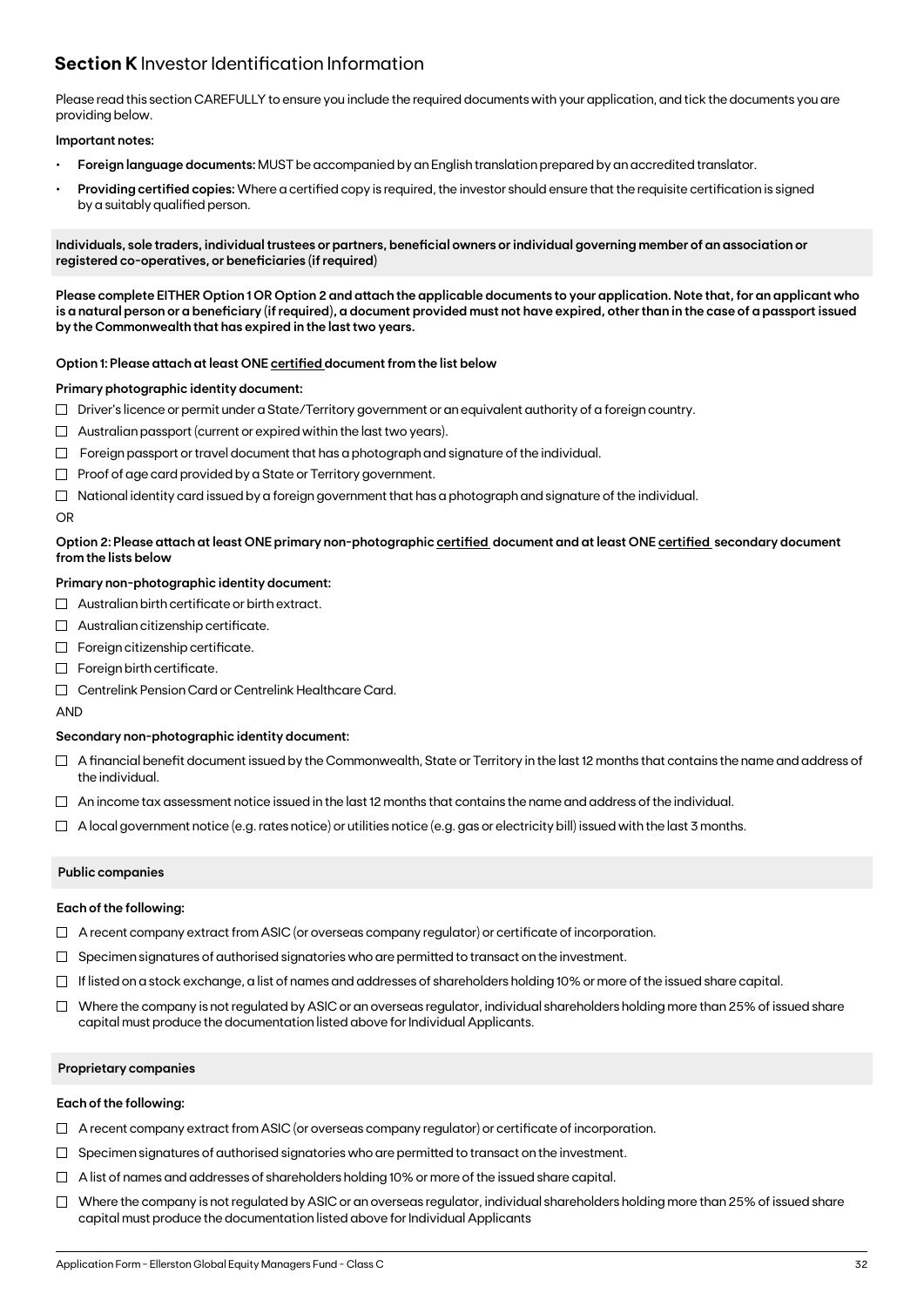## **Section K** Investor Identification Information

Please read this section CAREFULLY to ensure you include the required documents with your application, and tick the documents you are providing below.

#### **Important notes:**

- **• Foreign language documents:** MUST be accompanied by an English translation prepared by an accredited translator.
- **Providing certified copies:** Where a certified copy is required, the investor should ensure that the requisite certification is signed by a suitably qualified person.

**Individuals, sole traders, individual trustees or partners, beneficial owners or individual governing member of an association or registered co-operatives, or beneficiaries (if required)**

**Please complete EITHER Option 1 OR Option 2 and attach the applicable documents to your application. Note that, for an applicant who is a natural person or a beneficiary (if required), a document provided must not have expired, other than in the case of a passport issued by the Commonwealth that has expired in the last two years.**

#### **Option 1: Please attach at least ONE certified document from the list below**

#### **Primary photographic identity document:**

- $\Box$  Driver's licence or permit under a State/Territory government or an equivalent authority of a foreign country.
- $\Box$  Australian passport (current or expired within the last two years).
- $\Box$  Foreign passport or travel document that has a photograph and signature of the individual.
- $\Box$  Proof of age card provided by a State or Territory government.
- $\Box$  National identity card issued by a foreign government that has a photograph and signature of the individual.

#### OR

#### **Option 2: Please attach at least ONE primary non-photographic certified document and at least ONE certified secondary document from the lists below**

#### **Primary non-photographic identity document:**

- $\Box$  Australian birth certificate or birth extract.
- $\Box$  Australian citizenship certificate.
- $\Box$  Foreign citizenship certificate.
- Foreign birth certificate.
- Centrelink Pension Card or Centrelink Healthcare Card.

AND

#### **Secondary non-photographic identity document:**

- $\Box$  A financial benefit document issued by the Commonwealth, State or Territory in the last 12 months that contains the name and address of the individual.
- $\Box$  An income tax assessment notice issued in the last 12 months that contains the name and address of the individual.
- $\Box$  A local government notice (e.g. rates notice) or utilities notice (e.g. gas or electricity bill) issued with the last 3 months.

#### **Public companies**

#### **Each of the following:**

- $\Box$  A recent company extract from ASIC (or overseas company regulator) or certificate of incorporation.
- $\Box$  Specimen signatures of authorised signatories who are permitted to transact on the investment.
- $\Box$  If listed on a stock exchange, a list of names and addresses of shareholders holding 10% or more of the issued share capital.
- $\Box$  Where the company is not regulated by ASIC or an overseas regulator, individual shareholders holding more than 25% of issued share capital must produce the documentation listed above for Individual Applicants.

#### **Proprietary companies**

#### **Each of the following:**

- $\Box$  A recent company extract from ASIC (or overseas company regulator) or certificate of incorporation.
- $\Box$  Specimen signatures of authorised signatories who are permitted to transact on the investment.
- $\Box$  A list of names and addresses of shareholders holding 10% or more of the issued share capital.
- $\Box$  Where the company is not regulated by ASIC or an overseas regulator, individual shareholders holding more than 25% of issued share capital must produce the documentation listed above for Individual Applicants